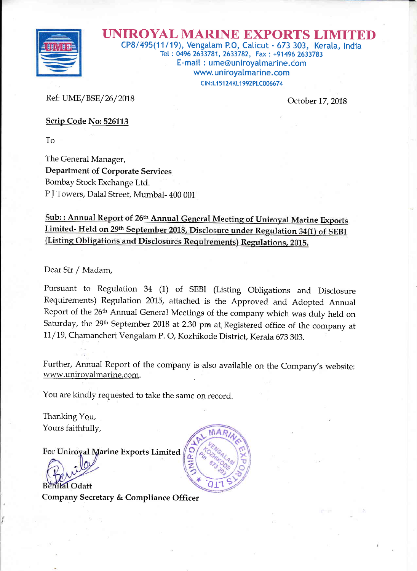

UNIROYAL MARINE EXPORTS LI CPB|495(11119), Vengatam P.O, Caticut - 573 303, Kerata, lndia Tet : 0496 2633781, 2633782, Fax : +91496 2633783 E-mait : ume@uniroyatmarine.com www.uniroyalmarine.com <sup>C</sup>lN : Ll 51 24KL1 992PLCOO667 4

Ref: UME /BSE/26/2018

October 17,2018

Scrip Code No:526113

To

The General Manager, Department of Corporate Services Bombay Stock Exchange Ltd. P J Towers, Dalal Street, Mumbai- 400 001

Sub: : Annual Report of 26<sup>th</sup> Annual General Meeting of Uniroyal Marine Exports Limited- Held on 29th September 2018, Disclosure under Regulation 34(1) of SEBI<br>(Listing Obligations and Disclosures Requirements) Regulations, 2015.

Dear Sir / Madam,

Pursuant to Regulation 34 (1) of SEBI (Listing Obligations and Disclosure Requirements) Regulation 2015, attached is the Approved and Adopted Annual Report of the 26<sup>th</sup> Annual General Meetings of the company which was duly held on Saturday, the 29<sup>th</sup> September 2018 at 2.30 pm at Registered office of the company at 11/19, Chamancheri Vengalam P. O, Kozhikode District, Kerala 673 303.

Further, Annual Report of the company is also available on the Company's website: www.uniroyalmarine.com.

You are kindly requested to take the same on record.

Thanking You, Yours faithfully,

For Uniroyal Marine Exports Limited

Benilal Odatt

Company Secretary & Compliance Officer

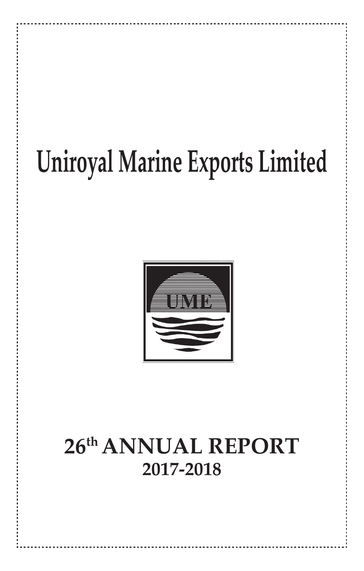# **Uniroyal Marine Exports Limited**



## **26th ANNUAL REPORT 2017-2018**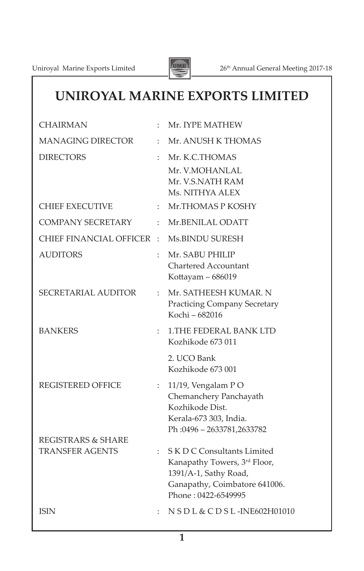

## **UNIROYAL MARINE EXPORTS LIMITED**

| <b>CHAIRMAN</b>            |                      | Mr. IYPE MATHEW                                                                                                                              |
|----------------------------|----------------------|----------------------------------------------------------------------------------------------------------------------------------------------|
| <b>MANAGING DIRECTOR</b>   | $\ddot{\phantom{a}}$ | Mr. ANUSH K THOMAS                                                                                                                           |
| <b>DIRECTORS</b>           |                      | Mr. K.C.THOMAS<br>Mr. V.MOHANLAL<br>Mr. V.S.NATH RAM<br>Ms. NITHYA ALEX                                                                      |
| <b>CHIEF EXECUTIVE</b>     |                      | Mr.THOMAS P KOSHY                                                                                                                            |
| <b>COMPANY SECRETARY</b>   | ÷                    | Mr.BENILAL ODATT                                                                                                                             |
| CHIEF FINANCIAL OFFICER    | ÷                    | Ms.BINDU SURESH                                                                                                                              |
| <b>AUDITORS</b>            | $\ddot{\cdot}$       | Mr. SABU PHILIP<br><b>Chartered Accountant</b><br>Kottayam – 686019                                                                          |
| <b>SECRETARIAL AUDITOR</b> | ÷                    | Mr. SATHEESH KUMAR. N<br><b>Practicing Company Secretary</b><br>Kochi – 682016                                                               |
| <b>BANKERS</b>             | $\ddot{\phantom{a}}$ | <b>1.THE FEDERAL BANK LTD</b><br>Kozhikode 673011                                                                                            |
|                            |                      | 2. UCO Bank<br>Kozhikode 673 001                                                                                                             |
| <b>REGISTERED OFFICE</b>   | $\ddot{\phantom{a}}$ | 11/19, Vengalam PO<br>Chemanchery Panchayath<br>Kozhikode Dist.<br>Kerala-673 303, India.<br>Ph: 0496 - 2633781, 2633782                     |
| REGISTRARS & SHARE         |                      |                                                                                                                                              |
| <b>TRANSFER AGENTS</b>     | ÷                    | S K D C Consultants Limited<br>Kanapathy Towers, 3rd Floor,<br>1391/A-1, Sathy Road,<br>Ganapathy, Coimbatore 641006.<br>Phone: 0422-6549995 |
| <b>ISIN</b>                |                      | N S D L & C D S L - INE 602 H01010                                                                                                           |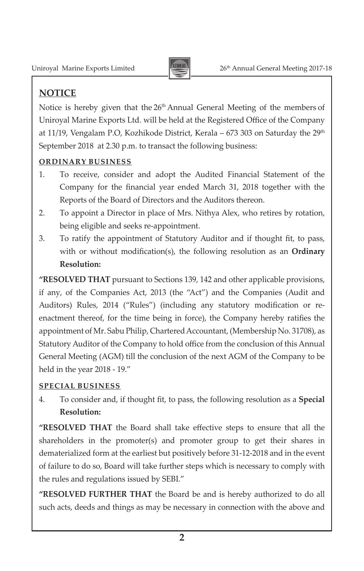

## **NOTICE**

Notice is hereby given that the 26<sup>th</sup> Annual General Meeting of the members of Uniroyal Marine Exports Ltd. will be held at the Registered Office of the Company at 11/19, Vengalam P.O, Kozhikode District, Kerala – 673 303 on Saturday the  $29<sup>th</sup>$ September 2018 at 2.30 p.m. to transact the following business:

## **ORDINARY BUSINESS**

- 1. To receive, consider and adopt the Audited Financial Statement of the Company for the financial year ended March 31, 2018 together with the Reports of the Board of Directors and the Auditors thereon.
- 2. To appoint a Director in place of Mrs. Nithya Alex, who retires by rotation, being eligible and seeks re-appointment.
- 3. To ratify the appointment of Statutory Auditor and if thought fit, to pass, with or without modification(s), the following resolution as an **Ordinary Resolution:**

**"RESOLVED THAT** pursuant to Sections 139, 142 and other applicable provisions, if any, of the Companies Act, 2013 (the "Act") and the Companies (Audit and Auditors) Rules, 2014 ("Rules") (including any statutory modification or reenactment thereof, for the time being in force), the Company hereby ratifies the appointment of Mr. Sabu Philip, Chartered Accountant, (Membership No. 31708), as Statutory Auditor of the Company to hold office from the conclusion of this Annual General Meeting (AGM) till the conclusion of the next AGM of the Company to be held in the year 2018 - 19."

## **SPECIAL BUSINESS**

4. To consider and, if thought fit, to pass, the following resolution as a **Special Resolution:**

**"RESOLVED THAT** the Board shall take effective steps to ensure that all the shareholders in the promoter(s) and promoter group to get their shares in dematerialized form at the earliest but positively before 31-12-2018 and in the event of failure to do so, Board will take further steps which is necessary to comply with the rules and regulations issued by SEBI."

**"RESOLVED FURTHER THAT** the Board be and is hereby authorized to do all such acts, deeds and things as may be necessary in connection with the above and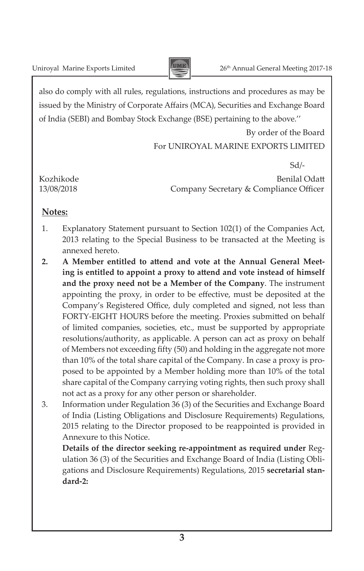

also do comply with all rules, regulations, instructions and procedures as may be issued by the Ministry of Corporate Affairs (MCA), Securities and Exchange Board of India (SEBI) and Bombay Stock Exchange (BSE) pertaining to the above.''

> By order of the Board For UNIROYAL MARINE EXPORTS LIMITED

 Sd/- Kozhikode Benilal Odatt 13/08/2018 Company Secretary & Compliance Officer

## **Notes:**

- 1. Explanatory Statement pursuant to Section 102(1) of the Companies Act, 2013 relating to the Special Business to be transacted at the Meeting is annexed hereto.
- **2. A Member entitled to attend and vote at the Annual General Meeting is entitled to appoint a proxy to attend and vote instead of himself and the proxy need not be a Member of the Company**. The instrument appointing the proxy, in order to be effective, must be deposited at the Company's Registered Office, duly completed and signed, not less than FORTY-EIGHT HOURS before the meeting. Proxies submitted on behalf of limited companies, societies, etc., must be supported by appropriate resolutions/authority, as applicable. A person can act as proxy on behalf of Members not exceeding fifty (50) and holding in the aggregate not more than 10% of the total share capital of the Company. In case a proxy is proposed to be appointed by a Member holding more than 10% of the total share capital of the Company carrying voting rights, then such proxy shall not act as a proxy for any other person or shareholder.
- 3. Information under Regulation 36 (3) of the Securities and Exchange Board of India (Listing Obligations and Disclosure Requirements) Regulations, 2015 relating to the Director proposed to be reappointed is provided in Annexure to this Notice.

 **Details of the director seeking re-appointment as required under** Regulation 36 (3) of the Securities and Exchange Board of India (Listing Obligations and Disclosure Requirements) Regulations, 2015 **secretarial standard-2:**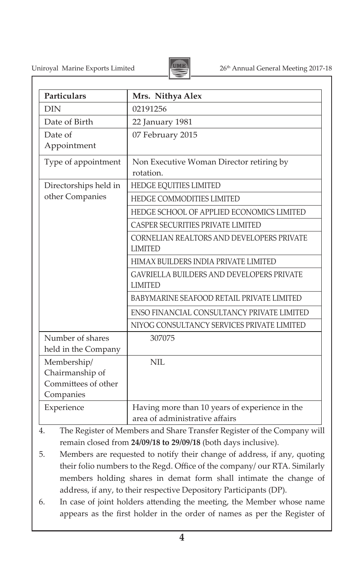Uniroyal Marine Exports Limited 26<sup>th</sup> Annual General Meeting 2017-18



| Particulars                             | Mrs. Nithya Alex                                                   |
|-----------------------------------------|--------------------------------------------------------------------|
| <b>DIN</b>                              | 02191256                                                           |
| Date of Birth                           | 22 January 1981                                                    |
| Date of<br>Appointment                  | 07 February 2015                                                   |
| Type of appointment                     | Non Executive Woman Director retiring by<br>rotation.              |
| Directorships held in                   | HEDGE EQUITIES LIMITED                                             |
| other Companies                         | HEDGE COMMODITIES LIMITED                                          |
|                                         | HEDGE SCHOOL OF APPLIED ECONOMICS LIMITED                          |
|                                         | <b>CASPER SECURITIES PRIVATE LIMITED</b>                           |
|                                         | CORNELIAN REALTORS AND DEVELOPERS PRIVATE<br><b>LIMITED</b>        |
|                                         | HIMAX BUILDERS INDIA PRIVATE LIMITED                               |
|                                         | <b>GAVRIELLA BUILDERS AND DEVELOPERS PRIVATE</b><br><b>LIMITED</b> |
|                                         | BABYMARINE SEAFOOD RETAIL PRIVATE LIMITED                          |
|                                         | ENSO FINANCIAL CONSULTANCY PRIVATE LIMITED                         |
|                                         | NIYOG CONSULTANCY SERVICES PRIVATE LIMITED                         |
| Number of shares<br>held in the Company | 307075                                                             |
| Membership/                             | NII.                                                               |
| Chairmanship of                         |                                                                    |
| Committees of other                     |                                                                    |
| Companies                               |                                                                    |
| Experience                              | Having more than 10 years of experience in the                     |
|                                         | area of administrative affairs                                     |

4. The Register of Members and Share Transfer Register of the Company will remain closed from **24/09/18 to 29/09/18** (both days inclusive).

- 5. Members are requested to notify their change of address, if any, quoting their folio numbers to the Regd. Office of the company/ our RTA. Similarly members holding shares in demat form shall intimate the change of address, if any, to their respective Depository Participants (DP).
- 6. In case of joint holders attending the meeting, the Member whose name appears as the first holder in the order of names as per the Register of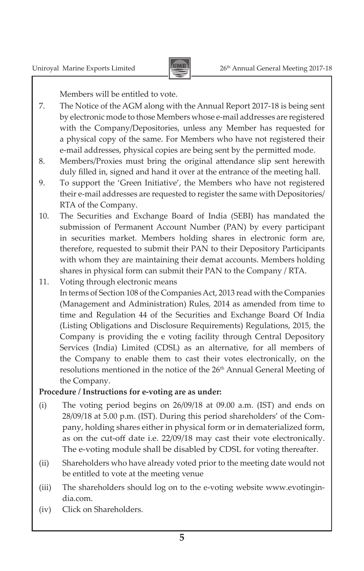

Members will be entitled to vote.

- 7. The Notice of the AGM along with the Annual Report 2017-18 is being sent by electronic mode to those Members whose e-mail addresses are registered with the Company/Depositories, unless any Member has requested for a physical copy of the same. For Members who have not registered their e-mail addresses, physical copies are being sent by the permitted mode.
- 8. Members/Proxies must bring the original attendance slip sent herewith duly filled in, signed and hand it over at the entrance of the meeting hall.
- 9. To support the 'Green Initiative', the Members who have not registered their e-mail addresses are requested to register the same with Depositories/ RTA of the Company.
- 10. The Securities and Exchange Board of India (SEBI) has mandated the submission of Permanent Account Number (PAN) by every participant in securities market. Members holding shares in electronic form are, therefore, requested to submit their PAN to their Depository Participants with whom they are maintaining their demat accounts. Members holding shares in physical form can submit their PAN to the Company / RTA.
- 11. Voting through electronic means In terms of Section 108 of the Companies Act, 2013 read with the Companies (Management and Administration) Rules, 2014 as amended from time to time and Regulation 44 of the Securities and Exchange Board Of India (Listing Obligations and Disclosure Requirements) Regulations, 2015, the Company is providing the e voting facility through Central Depository Services (India) Limited (CDSL) as an alternative, for all members of the Company to enable them to cast their votes electronically, on the resolutions mentioned in the notice of the 26<sup>th</sup> Annual General Meeting of the Company.

### **Procedure / Instructions for e-voting are as under:**

- (i) The voting period begins on 26/09/18 at 09.00 a.m. (IST) and ends on 28/09/18 at 5.00 p.m. (IST). During this period shareholders' of the Company, holding shares either in physical form or in dematerialized form, as on the cut-off date i.e. 22/09/18 may cast their vote electronically. The e-voting module shall be disabled by CDSL for voting thereafter.
- (ii) Shareholders who have already voted prior to the meeting date would not be entitled to vote at the meeting venue
- (iii) The shareholders should log on to the e-voting website www.evotingindia.com.
- (iv) Click on Shareholders.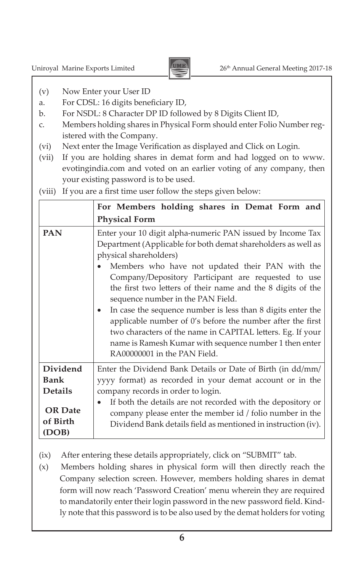

- (v) Now Enter your User ID
- a. For CDSL: 16 digits beneficiary ID,
- b. For NSDL: 8 Character DP ID followed by 8 Digits Client ID,
- c. Members holding shares in Physical Form should enter Folio Number registered with the Company.
- (vi) Next enter the Image Verification as displayed and Click on Login.
- (vii) If you are holding shares in demat form and had logged on to www. evotingindia.com and voted on an earlier voting of any company, then your existing password is to be used.
- (viii) If you are a first time user follow the steps given below:

|                                     | For Members holding shares in Demat Form and                                                                                                                                                                                                                                                                                                                                                                                                                                                                                                                                                                                                             |
|-------------------------------------|----------------------------------------------------------------------------------------------------------------------------------------------------------------------------------------------------------------------------------------------------------------------------------------------------------------------------------------------------------------------------------------------------------------------------------------------------------------------------------------------------------------------------------------------------------------------------------------------------------------------------------------------------------|
|                                     | <b>Physical Form</b>                                                                                                                                                                                                                                                                                                                                                                                                                                                                                                                                                                                                                                     |
| <b>PAN</b>                          | Enter your 10 digit alpha-numeric PAN issued by Income Tax<br>Department (Applicable for both demat shareholders as well as<br>physical shareholders)<br>Members who have not updated their PAN with the<br>Company/Depository Participant are requested to use<br>the first two letters of their name and the 8 digits of the<br>sequence number in the PAN Field.<br>In case the sequence number is less than 8 digits enter the<br>applicable number of 0's before the number after the first<br>two characters of the name in CAPITAL letters. Eg. If your<br>name is Ramesh Kumar with sequence number 1 then enter<br>RA00000001 in the PAN Field. |
| <b>Dividend</b><br><b>Bank</b>      | Enter the Dividend Bank Details or Date of Birth (in dd/mm/<br>yyyy format) as recorded in your demat account or in the                                                                                                                                                                                                                                                                                                                                                                                                                                                                                                                                  |
| <b>Details</b>                      | company records in order to login.                                                                                                                                                                                                                                                                                                                                                                                                                                                                                                                                                                                                                       |
| <b>OR</b> Date<br>of Birth<br>(DOB) | If both the details are not recorded with the depository or<br>company please enter the member id / folio number in the<br>Dividend Bank details field as mentioned in instruction (iv).                                                                                                                                                                                                                                                                                                                                                                                                                                                                 |

- (ix) After entering these details appropriately, click on "SUBMIT" tab.
- (x) Members holding shares in physical form will then directly reach the Company selection screen. However, members holding shares in demat form will now reach 'Password Creation' menu wherein they are required to mandatorily enter their login password in the new password field. Kindly note that this password is to be also used by the demat holders for voting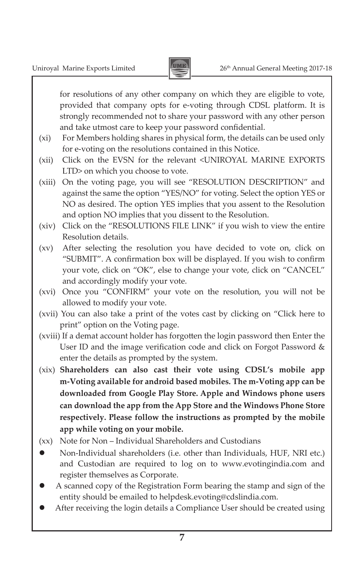

for resolutions of any other company on which they are eligible to vote, provided that company opts for e-voting through CDSL platform. It is strongly recommended not to share your password with any other person and take utmost care to keep your password confidential.

- (xi) For Members holding shares in physical form, the details can be used only for e-voting on the resolutions contained in this Notice.
- (xii) Click on the EVSN for the relevant <UNIROYAL MARINE EXPORTS LTD> on which you choose to vote.
- (xiii) On the voting page, you will see "RESOLUTION DESCRIPTION" and against the same the option "YES/NO" for voting. Select the option YES or NO as desired. The option YES implies that you assent to the Resolution and option NO implies that you dissent to the Resolution.
- (xiv) Click on the "RESOLUTIONS FILE LINK" if you wish to view the entire Resolution details.
- (xv) After selecting the resolution you have decided to vote on, click on "SUBMIT". A confirmation box will be displayed. If you wish to confirm your vote, click on "OK", else to change your vote, click on "CANCEL" and accordingly modify your vote.
- (xvi) Once you "CONFIRM" your vote on the resolution, you will not be allowed to modify your vote.
- (xvii) You can also take a print of the votes cast by clicking on "Click here to print" option on the Voting page.
- (xviii) If a demat account holder has forgotten the login password then Enter the User ID and the image verification code and click on Forgot Password & enter the details as prompted by the system.
- (xix) **Shareholders can also cast their vote using CDSL's mobile app m-Voting available for android based mobiles. The m-Voting app can be downloaded from Google Play Store. Apple and Windows phone users can download the app from the App Store and the Windows Phone Store respectively. Please follow the instructions as prompted by the mobile app while voting on your mobile.**
- (xx) Note for Non Individual Shareholders and Custodians
- Non-Individual shareholders (i.e. other than Individuals, HUF, NRI etc.) and Custodian are required to log on to www.evotingindia.com and register themselves as Corporate.
- A scanned copy of the Registration Form bearing the stamp and sign of the entity should be emailed to helpdesk.evoting@cdslindia.com.
- After receiving the login details a Compliance User should be created using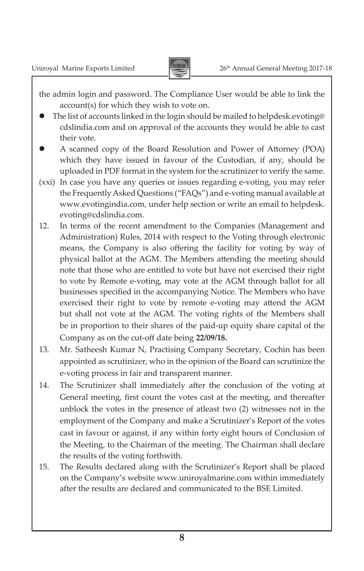

the admin login and password. The Compliance User would be able to link the account(s) for which they wish to vote on.

- The list of accounts linked in the login should be mailed to helpdesk.evoting@ cdslindia.com and on approval of the accounts they would be able to cast their vote.
- A scanned copy of the Board Resolution and Power of Attorney (POA) which they have issued in favour of the Custodian, if any, should be uploaded in PDF format in the system for the scrutinizer to verify the same.
- (xxi) In case you have any queries or issues regarding e-voting, you may refer the Frequently Asked Questions ("FAQs") and e-voting manual available at www.evotingindia.com, under help section or write an email to helpdesk. evoting@cdslindia.com.
- 12. In terms of the recent amendment to the Companies (Management and Administration) Rules, 2014 with respect to the Voting through electronic means, the Company is also offering the facility for voting by way of physical ballot at the AGM. The Members attending the meeting should note that those who are entitled to vote but have not exercised their right to vote by Remote e-voting, may vote at the AGM through ballot for all businesses specified in the accompanying Notice. The Members who have exercised their right to vote by remote e-voting may attend the AGM but shall not vote at the AGM. The voting rights of the Members shall be in proportion to their shares of the paid-up equity share capital of the Company as on the cut-off date being **22/09/18.**
- 13. Mr. Satheesh Kumar N, Practising Company Secretary, Cochin has been appointed as scrutinizer, who in the opinion of the Board can scrutinize the e-voting process in fair and transparent manner.
- 14. The Scrutinizer shall immediately after the conclusion of the voting at General meeting, first count the votes cast at the meeting, and thereafter unblock the votes in the presence of atleast two (2) witnesses not in the employment of the Company and make a Scrutinizer's Report of the votes cast in favour or against, if any within forty eight hours of Conclusion of the Meeting, to the Chairman of the meeting. The Chairman shall declare the results of the voting forthwith.
- 15. The Results declared along with the Scrutinizer's Report shall be placed on the Company's website www.uniroyalmarine.com within immediately after the results are declared and communicated to the BSE Limited.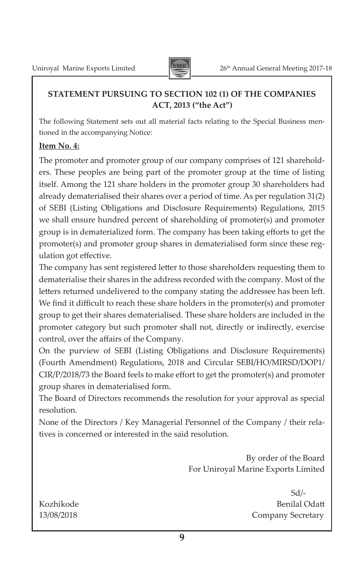

## **STATEMENT PURSUING TO SECTION 102 (1) OF THE COMPANIES ACT, 2013 ("the Act")**

The following Statement sets out all material facts relating to the Special Business mentioned in the accompanying Notice:

### **Item No. 4:**

The promoter and promoter group of our company comprises of 121 shareholders. These peoples are being part of the promoter group at the time of listing itself. Among the 121 share holders in the promoter group 30 shareholders had already dematerialised their shares over a period of time. As per regulation 31(2) of SEBI (Listing Obligations and Disclosure Requirements) Regulations, 2015 we shall ensure hundred percent of shareholding of promoter(s) and promoter group is in dematerialized form. The company has been taking efforts to get the promoter(s) and promoter group shares in dematerialised form since these regulation got effective.

The company has sent registered letter to those shareholders requesting them to dematerialise their shares in the address recorded with the company. Most of the letters returned undelivered to the company stating the addressee has been left. We find it difficult to reach these share holders in the promoter(s) and promoter group to get their shares dematerialised. These share holders are included in the promoter category but such promoter shall not, directly or indirectly, exercise control, over the affairs of the Company.

On the purview of SEBI (Listing Obligations and Disclosure Requirements) (Fourth Amendment) Regulations, 2018 and Circular SEBI/HO/MIRSD/DOP1/ CIR/P/2018/73 the Board feels to make effort to get the promoter(s) and promoter group shares in dematerialised form.

The Board of Directors recommends the resolution for your approval as special resolution.

None of the Directors / Key Managerial Personnel of the Company / their relatives is concerned or interested in the said resolution.

> By order of the Board For Uniroyal Marine Exports Limited

 Sd/- Kozhikode Benilal Odatt 13/08/2018 Company Secretary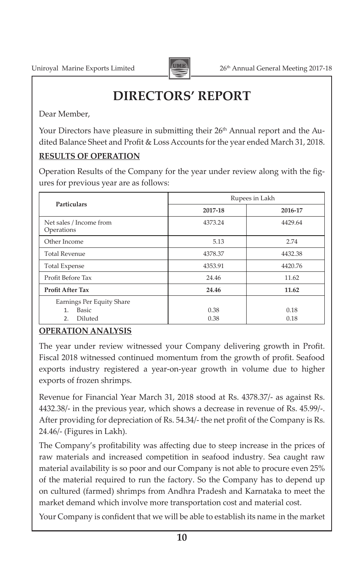

## **DIRECTORS' REPORT**

Dear Member,

Your Directors have pleasure in submitting their 26<sup>th</sup> Annual report and the Audited Balance Sheet and Profit & Loss Accounts for the year ended March 31, 2018.

## **RESULTS OF OPERATION**

Operation Results of the Company for the year under review along with the figures for previous year are as follows:

| <b>Particulars</b>                                 | Rupees in Lakh |         |  |  |  |
|----------------------------------------------------|----------------|---------|--|--|--|
|                                                    | 2017-18        | 2016-17 |  |  |  |
| Net sales / Income from<br>Operations              | 4373.24        | 4429.64 |  |  |  |
| Other Income                                       | 5.13           | 2.74    |  |  |  |
| <b>Total Revenue</b>                               | 4378.37        | 4432.38 |  |  |  |
| <b>Total Expense</b>                               | 4353.91        | 4420.76 |  |  |  |
| Profit Before Tax                                  | 24.46          | 11.62   |  |  |  |
| Profit After Tax                                   | 24.46          | 11.62   |  |  |  |
| Earnings Per Equity Share<br>Basic<br>$\mathbf{1}$ | 0.38           | 0.18    |  |  |  |
| Diluted<br>2.                                      | 0.38           | 0.18    |  |  |  |

## **OPERATION ANALYSIS**

The year under review witnessed your Company delivering growth in Profit. Fiscal 2018 witnessed continued momentum from the growth of profit. Seafood exports industry registered a year-on-year growth in volume due to higher exports of frozen shrimps.

Revenue for Financial Year March 31, 2018 stood at Rs. 4378.37/- as against Rs. 4432.38/- in the previous year, which shows a decrease in revenue of Rs. 45.99/-. After providing for depreciation of Rs. 54.34/- the net profit of the Company is Rs. 24.46/- (Figures in Lakh).

The Company's profitability was affecting due to steep increase in the prices of raw materials and increased competition in seafood industry. Sea caught raw material availability is so poor and our Company is not able to procure even 25% of the material required to run the factory. So the Company has to depend up on cultured (farmed) shrimps from Andhra Pradesh and Karnataka to meet the market demand which involve more transportation cost and material cost.

Your Company is confident that we will be able to establish its name in the market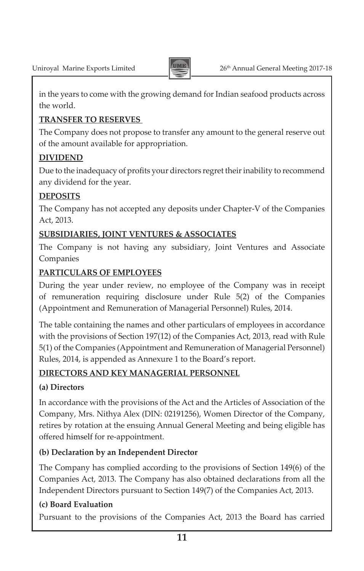

in the years to come with the growing demand for Indian seafood products across the world.

## **TRANSFER TO RESERVES**

The Company does not propose to transfer any amount to the general reserve out of the amount available for appropriation.

## **DIVIDEND**

Due to the inadequacy of profits your directors regret their inability to recommend any dividend for the year.

## **DEPOSITS**

The Company has not accepted any deposits under Chapter-V of the Companies Act, 2013.

## **SUBSIDIARIES, JOINT VENTURES & ASSOCIATES**

The Company is not having any subsidiary, Joint Ventures and Associate Companies

## **PARTICULARS OF EMPLOYEES**

During the year under review, no employee of the Company was in receipt of remuneration requiring disclosure under Rule 5(2) of the Companies (Appointment and Remuneration of Managerial Personnel) Rules, 2014.

The table containing the names and other particulars of employees in accordance with the provisions of Section 197(12) of the Companies Act, 2013, read with Rule 5(1) of the Companies (Appointment and Remuneration of Managerial Personnel) Rules, 2014, is appended as Annexure 1 to the Board's report.

## **DIRECTORS AND KEY MANAGERIAL PERSONNEL**

## **(a) Directors**

In accordance with the provisions of the Act and the Articles of Association of the Company, Mrs. Nithya Alex (DIN: 02191256), Women Director of the Company, retires by rotation at the ensuing Annual General Meeting and being eligible has offered himself for re-appointment.

## **(b) Declaration by an Independent Director**

The Company has complied according to the provisions of Section 149(6) of the Companies Act, 2013. The Company has also obtained declarations from all the Independent Directors pursuant to Section 149(7) of the Companies Act, 2013.

## **(c) Board Evaluation**

Pursuant to the provisions of the Companies Act, 2013 the Board has carried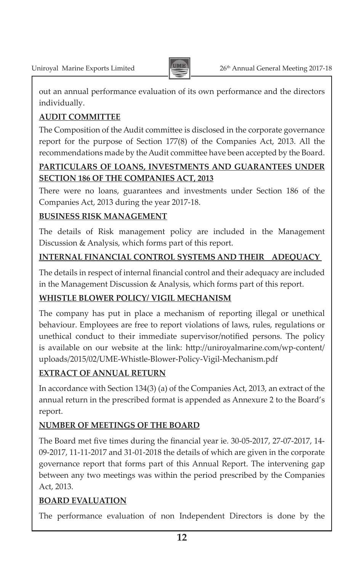

out an annual performance evaluation of its own performance and the directors individually.

## **AUDIT COMMITTEE**

The Composition of the Audit committee is disclosed in the corporate governance report for the purpose of Section 177(8) of the Companies Act, 2013. All the recommendations made by the Audit committee have been accepted by the Board.

## **PARTICULARS OF LOANS, INVESTMENTS AND GUARANTEES UNDER SECTION 186 OF THE COMPANIES ACT, 2013**

There were no loans, guarantees and investments under Section 186 of the Companies Act, 2013 during the year 2017-18.

## **BUSINESS RISK MANAGEMENT**

The details of Risk management policy are included in the Management Discussion & Analysis, which forms part of this report.

## **INTERNAL FINANCIAL CONTROL SYSTEMS AND THEIR ADEQUACY**

The details in respect of internal financial control and their adequacy are included in the Management Discussion & Analysis, which forms part of this report.

## **WHISTLE BLOWER POLICY/ VIGIL MECHANISM**

The company has put in place a mechanism of reporting illegal or unethical behaviour. Employees are free to report violations of laws, rules, regulations or unethical conduct to their immediate supervisor/notified persons. The policy is available on our website at the link: http://uniroyalmarine.com/wp-content/ uploads/2015/02/UME-Whistle-Blower-Policy-Vigil-Mechanism.pdf

## **EXTRACT OF ANNUAL RETURN**

In accordance with Section 134(3) (a) of the Companies Act, 2013, an extract of the annual return in the prescribed format is appended as Annexure 2 to the Board's report.

## **NUMBER OF MEETINGS OF THE BOARD**

The Board met five times during the financial year ie. 30-05-2017, 27-07-2017, 14- 09-2017, 11-11-2017 and 31-01-2018 the details of which are given in the corporate governance report that forms part of this Annual Report. The intervening gap between any two meetings was within the period prescribed by the Companies Act, 2013.

## **BOARD EVALUATION**

The performance evaluation of non Independent Directors is done by the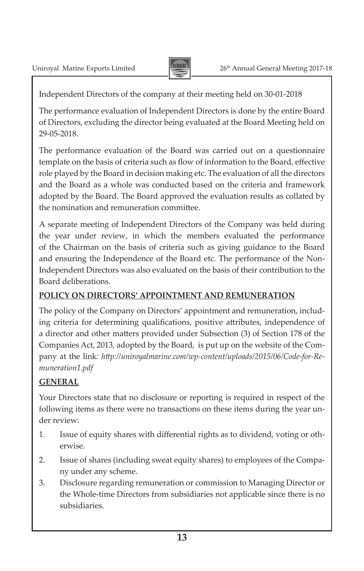

Independent Directors of the company at their meeting held on 30-01-2018

The performance evaluation of Independent Directors is done by the entire Board of Directors, excluding the director being evaluated at the Board Meeting held on 29-05-2018.

The performance evaluation of the Board was carried out on a questionnaire template on the basis of criteria such as flow of information to the Board, effective role played by the Board in decision making etc. The evaluation of all the directors and the Board as a whole was conducted based on the criteria and framework adopted by the Board. The Board approved the evaluation results as collated by the nomination and remuneration committee.

A separate meeting of Independent Directors of the Company was held during the year under review, in which the members evaluated the performance of the Chairman on the basis of criteria such as giving guidance to the Board and ensuring the Independence of the Board etc. The performance of the Non-Independent Directors was also evaluated on the basis of their contribution to the Board deliberations.

## **POLICY ON DIRECTORS' APPOINTMENT AND REMUNERATION**

The policy of the Company on Directors' appointment and remuneration, including criteria for determining qualifications, positive attributes, independence of a director and other matters provided under Subsection (3) of Section 178 of the Companies Act, 2013, adopted by the Board, is put up on the website of the Company at the link*: http://uniroyalmarine.com/wp-content/uploads/2015/06/Code-for-Remuneration1.pdf*

## **GENERAL**

Your Directors state that no disclosure or reporting is required in respect of the following items as there were no transactions on these items during the year under review:

- 1. Issue of equity shares with differential rights as to dividend, voting or otherwise.
- 2. Issue of shares (including sweat equity shares) to employees of the Company under any scheme.
- 3. Disclosure regarding remuneration or commission to Managing Director or the Whole-time Directors from subsidiaries not applicable since there is no subsidiaries.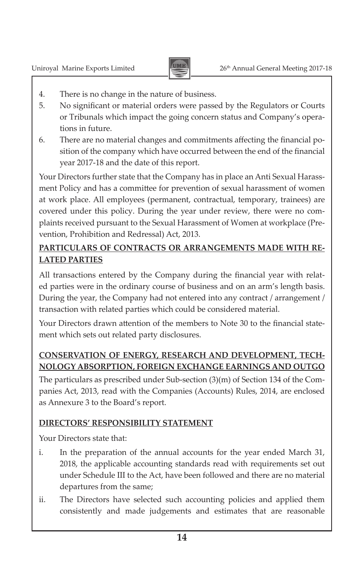

- 4. There is no change in the nature of business.
- 5. No significant or material orders were passed by the Regulators or Courts or Tribunals which impact the going concern status and Company's operations in future.
- 6. There are no material changes and commitments affecting the financial position of the company which have occurred between the end of the financial year 2017-18 and the date of this report.

Your Directors further state that the Company has in place an Anti Sexual Harassment Policy and has a committee for prevention of sexual harassment of women at work place. All employees (permanent, contractual, temporary, trainees) are covered under this policy. During the year under review, there were no complaints received pursuant to the Sexual Harassment of Women at workplace (Prevention, Prohibition and Redressal) Act, 2013.

## **PARTICULARS OF CONTRACTS OR ARRANGEMENTS MADE WITH RE-LATED PARTIES**

All transactions entered by the Company during the financial year with related parties were in the ordinary course of business and on an arm's length basis. During the year, the Company had not entered into any contract / arrangement / transaction with related parties which could be considered material.

Your Directors drawn attention of the members to Note 30 to the financial statement which sets out related party disclosures.

## **CONSERVATION OF ENERGY, RESEARCH AND DEVELOPMENT, TECH-NOLOGY ABSORPTION, FOREIGN EXCHANGE EARNINGS AND OUTGO**

The particulars as prescribed under Sub-section (3)(m) of Section 134 of the Companies Act, 2013, read with the Companies (Accounts) Rules, 2014, are enclosed as Annexure 3 to the Board's report.

## **DIRECTORS' RESPONSIBILITY STATEMENT**

Your Directors state that:

- i. In the preparation of the annual accounts for the year ended March 31, 2018, the applicable accounting standards read with requirements set out under Schedule III to the Act, have been followed and there are no material departures from the same;
- ii. The Directors have selected such accounting policies and applied them consistently and made judgements and estimates that are reasonable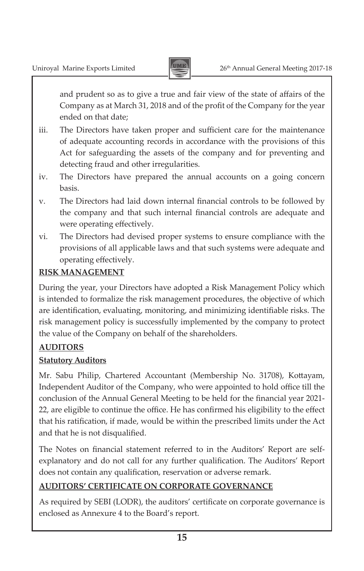

and prudent so as to give a true and fair view of the state of affairs of the Company as at March 31, 2018 and of the profit of the Company for the year ended on that date;

- iii. The Directors have taken proper and sufficient care for the maintenance of adequate accounting records in accordance with the provisions of this Act for safeguarding the assets of the company and for preventing and detecting fraud and other irregularities.
- iv. The Directors have prepared the annual accounts on a going concern basis.
- v. The Directors had laid down internal financial controls to be followed by the company and that such internal financial controls are adequate and were operating effectively.
- vi. The Directors had devised proper systems to ensure compliance with the provisions of all applicable laws and that such systems were adequate and operating effectively.

## **RISK MANAGEMENT**

During the year, your Directors have adopted a Risk Management Policy which is intended to formalize the risk management procedures, the objective of which are identification, evaluating, monitoring, and minimizing identifiable risks. The risk management policy is successfully implemented by the company to protect the value of the Company on behalf of the shareholders.

## **AUDITORS**

## **Statutory Auditors**

Mr. Sabu Philip, Chartered Accountant (Membership No. 31708), Kottayam, Independent Auditor of the Company, who were appointed to hold office till the conclusion of the Annual General Meeting to be held for the financial year 2021- 22, are eligible to continue the office. He has confirmed his eligibility to the effect that his ratification, if made, would be within the prescribed limits under the Act and that he is not disqualified.

The Notes on financial statement referred to in the Auditors' Report are selfexplanatory and do not call for any further qualification. The Auditors' Report does not contain any qualification, reservation or adverse remark.

## **AUDITORS' CERTIFICATE ON CORPORATE GOVERNANCE**

As required by SEBI (LODR), the auditors' certificate on corporate governance is enclosed as Annexure 4 to the Board's report.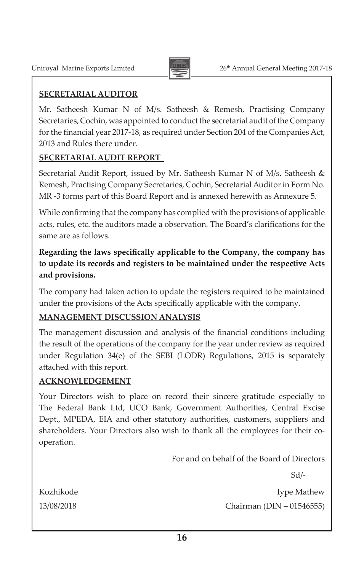

### **SECRETARIAL AUDITOR**

Mr. Satheesh Kumar N of M/s. Satheesh & Remesh, Practising Company Secretaries, Cochin, was appointed to conduct the secretarial audit of the Company for the financial year 2017-18, as required under Section 204 of the Companies Act, 2013 and Rules there under.

### **SECRETARIAL AUDIT REPORT**

Secretarial Audit Report, issued by Mr. Satheesh Kumar N of M/s. Satheesh & Remesh, Practising Company Secretaries, Cochin, Secretarial Auditor in Form No. MR -3 forms part of this Board Report and is annexed herewith as Annexure 5.

While confirming that the company has complied with the provisions of applicable acts, rules, etc. the auditors made a observation. The Board's clarifications for the same are as follows.

### **Regarding the laws specifically applicable to the Company, the company has to update its records and registers to be maintained under the respective Acts and provisions.**

The company had taken action to update the registers required to be maintained under the provisions of the Acts specifically applicable with the company.

## **MANAGEMENT DISCUSSION ANALYSIS**

The management discussion and analysis of the financial conditions including the result of the operations of the company for the year under review as required under Regulation 34(e) of the SEBI (LODR) Regulations, 2015 is separately attached with this report.

### **ACKNOWLEDGEMENT**

Your Directors wish to place on record their sincere gratitude especially to The Federal Bank Ltd, UCO Bank, Government Authorities, Central Excise Dept., MPEDA, EIA and other statutory authorities, customers, suppliers and shareholders. Your Directors also wish to thank all the employees for their cooperation.

For and on behalf of the Board of Directors

Sd/-

Kozhikode Iype Mathew 13/08/2018 Chairman (DIN – 01546555)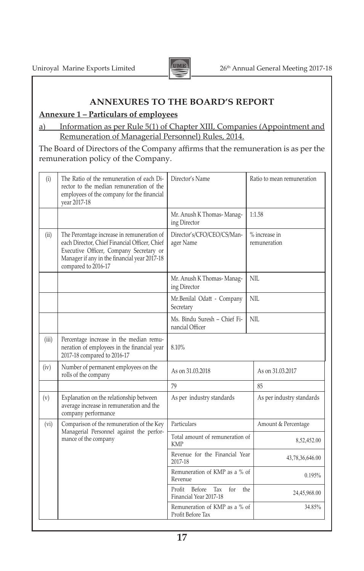

### **ANNEXURES TO THE BOARD'S REPORT**

### **Annexure 1 – Particulars of employees**

### a) Information as per Rule 5(1) of Chapter XIII, Companies (Appointment and Remuneration of Managerial Personnel) Rules, 2014.

The Board of Directors of the Company affirms that the remuneration is as per the remuneration policy of the Company.

| (i)   | The Ratio of the remuneration of each Di-<br>rector to the median remuneration of the<br>employees of the company for the financial<br>year 2017-18                                                           | Director's Name                                                          | Ratio to mean remuneration |  |  |
|-------|---------------------------------------------------------------------------------------------------------------------------------------------------------------------------------------------------------------|--------------------------------------------------------------------------|----------------------------|--|--|
|       |                                                                                                                                                                                                               | Mr. Anush K Thomas-Manag-<br>ing Director                                | 1:1.58                     |  |  |
| (ii)  | The Percentage increase in remuneration of<br>each Director, Chief Financial Officer, Chief<br>Executive Officer, Company Secretary or<br>Manager if any in the financial year 2017-18<br>compared to 2016-17 | % increase in<br>Director's/CFO/CEO/CS/Man-<br>ager Name<br>remuneration |                            |  |  |
|       |                                                                                                                                                                                                               | Mr. Anush K Thomas-Manag-<br>ing Director                                | NIL                        |  |  |
|       |                                                                                                                                                                                                               | Mr.Benilal Odatt - Company<br>Secretary                                  | NII.                       |  |  |
|       |                                                                                                                                                                                                               | Ms. Bindu Suresh – Chief Fi-<br>nancial Officer                          | NIL                        |  |  |
| (iii) | Percentage increase in the median remu-<br>neration of employees in the financial year<br>2017-18 compared to 2016-17                                                                                         | 8.10%                                                                    |                            |  |  |
| (iv)  | Number of permanent employees on the<br>rolls of the company                                                                                                                                                  | As on 31.03.2018                                                         | As on 31.03.2017           |  |  |
|       |                                                                                                                                                                                                               | 79                                                                       | 85                         |  |  |
| (v)   | Explanation on the relationship between<br>average increase in remuneration and the<br>company performance                                                                                                    | As per industry standards                                                | As per industry standards  |  |  |
| (vi)  | Comparison of the remuneration of the Key                                                                                                                                                                     | Particulars                                                              | Amount & Percentage        |  |  |
|       | Managerial Personnel against the perfor-<br>mance of the company                                                                                                                                              | Total amount of remuneration of<br><b>KMP</b>                            | 8,52,452.00                |  |  |
|       |                                                                                                                                                                                                               | Revenue for the Financial Year<br>2017-18                                | 43,78,36,646.00            |  |  |
|       |                                                                                                                                                                                                               | Remuneration of KMP as a % of<br>Revenue                                 | 0.195%                     |  |  |
|       |                                                                                                                                                                                                               | Before<br>Tax<br>Profit<br>for<br>Financial Year 2017-18                 | the<br>24,45,968.00        |  |  |
|       |                                                                                                                                                                                                               | Remuneration of KMP as a % of<br>Profit Before Tax                       | 34.85%                     |  |  |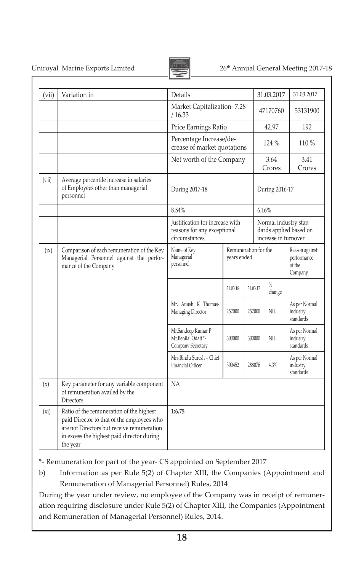Uniroyal Marine Exports Limited 26<sup>th</sup> Annual General Meeting 2017-18



| (vii)  | Variation in                                                                                                                                                                                   | Details                                                                         |                                     |          | 31.03.2017                                                              | 31.03.2017                                         |
|--------|------------------------------------------------------------------------------------------------------------------------------------------------------------------------------------------------|---------------------------------------------------------------------------------|-------------------------------------|----------|-------------------------------------------------------------------------|----------------------------------------------------|
|        |                                                                                                                                                                                                | Market Capitalization-7.28<br>/ 16.33                                           |                                     |          | 47170760                                                                | 53131900                                           |
|        |                                                                                                                                                                                                | Price Earnings Ratio                                                            |                                     |          | 42.97                                                                   | 192                                                |
|        |                                                                                                                                                                                                | Percentage Increase/de-<br>crease of market quotations                          |                                     |          | 124%                                                                    | $110\%$                                            |
|        |                                                                                                                                                                                                | Net worth of the Company                                                        |                                     |          | 3.64<br>Crores                                                          | 3.41<br>Crores                                     |
| (viii) | Average percentile increase in salaries<br>of Employees other than managerial<br>personnel                                                                                                     | During 2017-18                                                                  |                                     |          | During 2016-17                                                          |                                                    |
|        |                                                                                                                                                                                                | 8.54%                                                                           |                                     |          | 6.16%                                                                   |                                                    |
|        |                                                                                                                                                                                                | Justification for increase with<br>reasons for any exceptional<br>circumstances |                                     |          | Normal industry stan-<br>dards applied based on<br>increase in turnover |                                                    |
| (ix)   | Comparison of each remuneration of the Key<br>Managerial Personnel against the perfor-<br>mance of the Company                                                                                 | Name of Key<br>Managerial<br>personnel                                          | Remuneration for the<br>years ended |          |                                                                         | Reason against<br>performance<br>of the<br>Company |
|        |                                                                                                                                                                                                |                                                                                 | 31.03.18                            | 31.03.17 | $\%$<br>change                                                          |                                                    |
|        |                                                                                                                                                                                                | Mr. Anush K Thomas-<br><b>Managing Director</b>                                 | 252000                              | 252000   | NIL                                                                     | As per Normal<br>industry<br>standards             |
|        |                                                                                                                                                                                                | Mr.Sandeep Kumar P<br>Mr.Benilal Odatt*-<br>Company Secretary                   | 300000                              | 300000   | NIL                                                                     | As per Normal<br>industry<br>standards             |
|        |                                                                                                                                                                                                | Mrs.Bindu Suresh - Chief<br>Financial Officer                                   | 300452                              | 288076   | 4.3%                                                                    | As per Normal<br>industry<br>standards             |
| (x)    | Key parameter for any variable component<br>of remuneration availed by the<br><b>Directors</b>                                                                                                 | <b>NA</b>                                                                       |                                     |          |                                                                         |                                                    |
| (xi)   | Ratio of the remuneration of the highest<br>paid Director to that of the employees who<br>are not Directors but receive remuneration<br>in excess the highest paid director during<br>the year | 1:6.75                                                                          |                                     |          |                                                                         |                                                    |

\*- Remuneration for part of the year- CS appointed on September 2017

b) Information as per Rule 5(2) of Chapter XIII, the Companies (Appointment and Remuneration of Managerial Personnel) Rules, 2014

During the year under review, no employee of the Company was in receipt of remuneration requiring disclosure under Rule 5(2) of Chapter XIII, the Companies (Appointment and Remuneration of Managerial Personnel) Rules, 2014.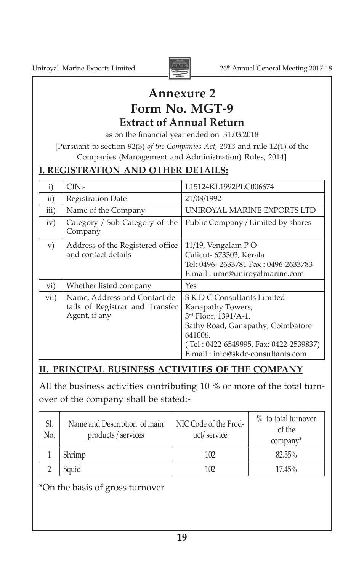

## **Annexure 2**

## **Form No. MGT-9**

**Extract of Annual Return**

as on the financial year ended on 31.03.2018

[Pursuant to section 92(3) *of the Companies Act, 2013* and rule 12(1) of the Companies (Management and Administration) Rules, 2014]

## **I. REGISTRATION AND OTHER DETAILS:**

| $\mathbf{i}$ | $CIN$ :-                                                                          | L15124KL1992PLC006674                                                                                                                                                                                   |
|--------------|-----------------------------------------------------------------------------------|---------------------------------------------------------------------------------------------------------------------------------------------------------------------------------------------------------|
| ii)          | Registration Date                                                                 | 21/08/1992                                                                                                                                                                                              |
| iii)         | Name of the Company                                                               | UNIROYAL MARINE EXPORTS LTD                                                                                                                                                                             |
| iv)          | Category / Sub-Category of the<br>Company                                         | Public Company / Limited by shares                                                                                                                                                                      |
| V)           | Address of the Registered office<br>and contact details                           | 11/19, Vengalam PO<br>Calicut- 673303, Kerala<br>Tel: 0496-2633781 Fax: 0496-2633783<br>E.mail: ume@uniroyalmarine.com                                                                                  |
| vi)          | Whether listed company                                                            | Yes                                                                                                                                                                                                     |
| vii)         | Name, Address and Contact de-<br>tails of Registrar and Transfer<br>Agent, if any | S K D C Consultants Limited<br>Kanapathy Towers,<br>3rd Floor, 1391/A-1,<br>Sathy Road, Ganapathy, Coimbatore<br>641006.<br>(Tel: 0422-6549995, Fax: 0422-2539837)<br>E.mail: info@skdc-consultants.com |

## **II. PRINCIPAL BUSINESS ACTIVITIES OF THE COMPANY**

All the business activities contributing 10 % or more of the total turnover of the company shall be stated:-

| Sl.<br>No. | Name and Description of main<br>products / services | NIC Code of the Prod-<br>uct/service | % to total turnover<br>of the<br>company* |
|------------|-----------------------------------------------------|--------------------------------------|-------------------------------------------|
|            | Shrimp                                              | 102                                  | 82.55%                                    |
|            | Sauid                                               | 102                                  | 17.45%                                    |

\*On the basis of gross turnover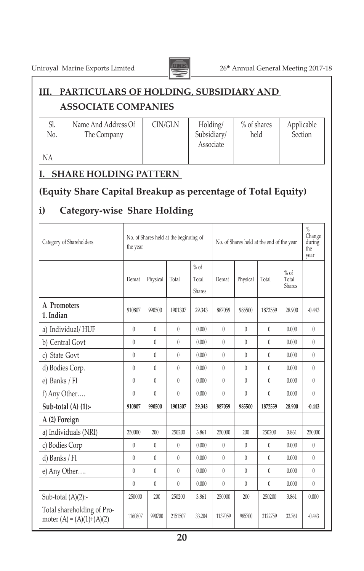

Uniroyal Marine Exports Limited 26<sup>th</sup> Annual General Meeting 2017-18

## **III. PARTICULARS OF HOLDING, SUBSIDIARY AND**

## **ASSOCIATE COMPANIES**

| Sl.<br>No. | Name And Address Of<br>The Company | CIN/GLN | Holding/<br>Subsidiary/<br>Associate | % of shares<br>held | Applicable<br>Section |
|------------|------------------------------------|---------|--------------------------------------|---------------------|-----------------------|
| NA         |                                    |         |                                      |                     |                       |

## **I. SHARE HOLDING PATTERN**

## **(Equity Share Capital Breakup as percentage of Total Equity)**

## **i) Category-wise Share Holding**

| Category of Shareholders                                  | the year     |          | No. of Shares held at the beginning of |                           |          |          | No. of Shares held at the end of the year |                                  | $\frac{0}{0}$<br>Change<br>during<br>the<br>year |
|-----------------------------------------------------------|--------------|----------|----------------------------------------|---------------------------|----------|----------|-------------------------------------------|----------------------------------|--------------------------------------------------|
|                                                           | Demat        | Physical | Total                                  | $%$ of<br>Total<br>Shares | Demat    | Physical | Total                                     | $%$ of<br>Total<br><b>Shares</b> |                                                  |
| A Promoters<br>1. Indian                                  | 910807       | 990500   | 1901307                                | 29.343                    | 887059   | 985500   | 1872559                                   | 28.900                           | $-0.443$                                         |
| a) Individual/HUF                                         | $\mathbf{0}$ | $\theta$ | $\mathbf{0}$                           | 0.000                     | $\theta$ | $\theta$ | $\theta$                                  | 0.000                            | $\theta$                                         |
| b) Central Govt                                           | $\theta$     | $\theta$ | 0                                      | 0.000                     | $\theta$ | $\theta$ | $\theta$                                  | 0.000                            | $\theta$                                         |
| c) State Govt                                             | $\theta$     | $\theta$ | 0                                      | 0.000                     | $\theta$ | $\theta$ | $\theta$                                  | 0.000                            | $\theta$                                         |
| d) Bodies Corp.                                           | $\theta$     | $\theta$ | 0                                      | 0.000                     | $\theta$ | $\theta$ | $\theta$                                  | 0.000                            | $\theta$                                         |
| e) Banks / FI                                             | $\mathbf{0}$ | $\theta$ | 0                                      | 0.000                     | $\theta$ | $\theta$ | $\theta$                                  | 0.000                            | $\theta$                                         |
| f) Any Other                                              | $\theta$     | $\theta$ | $\theta$                               | 0.000                     | $\theta$ | $\theta$ | $\theta$                                  | 0.000                            | $\theta$                                         |
| Sub-total $(A)$ $(1)$ :-                                  | 910807       | 990500   | 1901307                                | 29.343                    | 887059   | 985500   | 1872559                                   | 28.900                           | $-0.443$                                         |
| A (2) Foreign                                             |              |          |                                        |                           |          |          |                                           |                                  |                                                  |
| a) Individuals (NRI)                                      | 250000       | 200      | 250200                                 | 3.861                     | 250000   | 200      | 250200                                    | 3.861                            | 250000                                           |
| c) Bodies Corp                                            | $\theta$     | $\theta$ | 0                                      | 0.000                     | $\theta$ | $\theta$ | $\theta$                                  | 0.000                            | $\mathbf{0}$                                     |
| d) Banks / FI                                             | $\theta$     | $\theta$ | $\theta$                               | 0.000                     | $\theta$ | $\theta$ | $\theta$                                  | 0.000                            | $\theta$                                         |
| e) Any Other                                              | 0            | $\theta$ | 0                                      | 0.000                     | $\theta$ | $\theta$ | $\theta$                                  | 0.000                            | $\bf{0}$                                         |
|                                                           | $\theta$     | $\theta$ | $\mathbf{0}$                           | 0.000                     | $\theta$ | $\theta$ | $\theta$                                  | 0.000                            | $\overline{0}$                                   |
| Sub-total $(A)(2)$ :-                                     | 250000       | 200      | 250200                                 | 3.861                     | 250000   | 200      | 250200                                    | 3.861                            | 0.000                                            |
| Total shareholding of Pro-<br>moter $(A) = (A)(1)+(A)(2)$ | 1160807      | 990700   | 2151507                                | 33.204                    | 1137059  | 985700   | 2122759                                   | 32.761                           | $-0.443$                                         |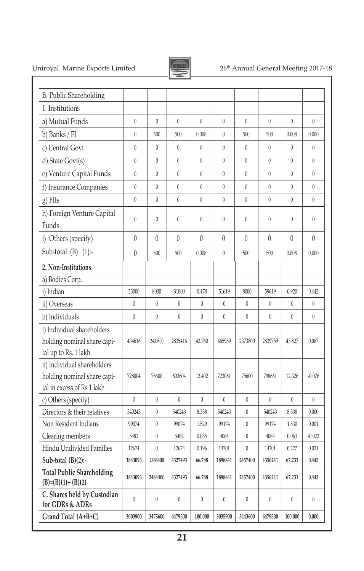

## Uniroyal Marine Exports Limited 26<sup>th</sup> Annual General Meeting 2017-18

| <b>B.</b> Public Shareholding                                                            |                  |                  |                |                  |                |                  |              |                  |                |
|------------------------------------------------------------------------------------------|------------------|------------------|----------------|------------------|----------------|------------------|--------------|------------------|----------------|
| 1. Institutions                                                                          |                  |                  |                |                  |                |                  |              |                  |                |
| a) Mutual Funds                                                                          | $\overline{0}$   | $\mathbf{0}$     | $\theta$       | $\mathbf{0}$     | $\theta$       | $\theta$         | $\theta$     | $\mathbf{0}$     | $\mathbf{0}$   |
| b) Banks / FI                                                                            | $\overline{0}$   | 500              | 500            | 0.008            | $\mathbf{0}$   | 500              | 500          | 0.008            | 0.000          |
| c) Central Govt                                                                          | $\boldsymbol{0}$ | $\boldsymbol{0}$ | $\bf{0}$       | $\boldsymbol{0}$ | $\overline{0}$ | $\mathbf{0}$     | $\theta$     | $\boldsymbol{0}$ | $\mathbf{0}$   |
| d) State Govt(s)                                                                         | $\overline{0}$   | $\mathbf{0}$     | $\mathbf{0}$   | $\mathbf{0}$     | $\overline{0}$ | $\overline{0}$   | $\theta$     | $\theta$         | $\theta$       |
| e) Venture Capital Funds                                                                 | $\overline{0}$   | $\theta$         | $\theta$       | $\theta$         | $\theta$       | $\theta$         | $\theta$     | $\theta$         | $\theta$       |
| f) Insurance Companies                                                                   | $\overline{0}$   | $\theta$         | $\mathbf{0}$   | $\mathbf{0}$     | $\mathbf{0}$   | $\overline{0}$   | $\theta$     | $\mathbf{0}$     | $\mathbf{0}$   |
| g) FIIs                                                                                  | $\overline{0}$   | $\overline{0}$   | $\mathbf{0}$   | $\mathbf{0}$     | $\overline{0}$ | $\overline{0}$   | $\theta$     | $\overline{0}$   | $\overline{0}$ |
| h) Foreign Venture Capital<br>Funds                                                      | $\overline{0}$   | $\theta$         | $\theta$       | $\mathbf{0}$     | $\mathbf{0}$   | $\theta$         | $\theta$     | $\mathbf{0}$     | $\mathbf{0}$   |
| i) Others (specify)                                                                      | $\theta$         | 0                | $\theta$       | 0                | $\overline{0}$ | $\theta$         | $\theta$     | $\theta$         | 0              |
| Sub-total $(B)$ $(1)$ :-                                                                 | $\theta$         | 500              | 500            | 0.008            | $\theta$       | 500              | 500          | 0.008            | 0.000          |
| 2. Non-Institutions                                                                      |                  |                  |                |                  |                |                  |              |                  |                |
| a) Bodies Corp.                                                                          |                  |                  |                |                  |                |                  |              |                  |                |
| i) Indian                                                                                | 23000            | 8000             | 31000          | 0.478            | 51619          | 8000             | 59619        | 0.920            | 0.442          |
| ii) Overseas                                                                             | $\bf{0}$         | $\mathbf{0}$     | $\theta$       | $\theta$         | $\theta$       | $\mathbf{0}$     | $\theta$     | $\theta$         | $\theta$       |
| b) Individuals                                                                           | $\mathbf{0}$     | $\overline{0}$   | $\overline{0}$ | $\theta$         | $\mathbf{0}$   | $\mathbf{0}$     | $\mathbf{0}$ | $\mathbf{0}$     | $\theta$       |
| i) Individual shareholders<br>holding nominal share capi-<br>tal up to Rs. 1 lakh        | 434616           | 2400800          | 2835416        | 43.760           | 465959         | 2373800          | 2839759      | 43.827           | 0.067          |
| ii) Individual shareholders<br>holding nominal share capi-<br>tal in excess of Rs 1 lakh | 728004           | 75600            | 803604         | 12.402           | 723081         | 75600            | 798681       | 12.326           | $-0.076$       |
| c) Others (specify)                                                                      | $\theta$         | $\theta$         | $\theta$       | $\theta$         | $\theta$       | $\theta$         | $\theta$     | $\theta$         | $\theta$       |
| Directors & their relatives                                                              | 540243           | $\mathbf{0}$     | 540243         | 8.338            | 540243         | $\mathbf{0}$     | 540243       | 8.338            | 0.000          |
| Non Resident Indians                                                                     | 99074            | $\mathbf{0}$     | 99074          | 1.529            | 99174          | $\mathbf{0}$     | 99174        | 1.530            | 0.001          |
| Clearing members                                                                         | 5482             | $\overline{0}$   | 5482           | 0.085            | 4064           | $\overline{0}$   | 4064         | 0.063            | $-0.022$       |
| Hindu Undivided Families                                                                 | 12674            | $\boldsymbol{0}$ | 12674          | 0.196            | 14701          | $\boldsymbol{0}$ | 14701        | 0.227            | 0.031          |
| Sub-total $(B)(2)$ :-                                                                    | 1843093          | 2484400          | 4327493        | 66.788           | 1898841        | 2457400          | 4356241      | 67.231           | 0.443          |
| <b>Total Public Shareholding</b><br>$(B)=(B)(1)+(B)(2)$                                  | 1843093          | 2484400          | 4327493        | 66.788           | 1898841        | 2457400          | 4356241      | 67.231           | 0.443          |
| C. Shares held by Custodian<br>for GDRs & ADRs                                           | $\overline{0}$   | $\mathbf{0}$     | $\theta$       | $\theta$         | $\mathbf{0}$   | $\theta$         | $\theta$     | $\theta$         | $\theta$       |
| Grand Total (A+B+C)                                                                      | 3003900          | 3475600          | 6479500        | 100.000          | 3035900        | 3443600          | 6479500      | 100.000          | 0.000          |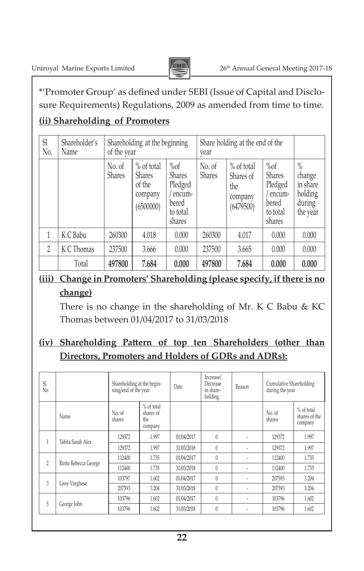

\*'Promoter Group' as defined under SEBI (Issue of Capital and Disclosure Requirements) Regulations, 2009 as amended from time to time.

## **(ii) Shareholding of Promoters**

| Sl<br>N <sub>0</sub>     | Shareholder's<br>Name | Shareholding at the beginning<br>of the year |                                                               |                                                                             | Share holding at the end of the<br>year |                                                         |                                                                             |                                                             |
|--------------------------|-----------------------|----------------------------------------------|---------------------------------------------------------------|-----------------------------------------------------------------------------|-----------------------------------------|---------------------------------------------------------|-----------------------------------------------------------------------------|-------------------------------------------------------------|
|                          |                       | No. of<br><b>Shares</b>                      | % of total<br><b>Shares</b><br>of the<br>company<br>(6500000) | $\%of$<br><b>Shares</b><br>Pledged<br>encum-<br>bered<br>to total<br>shares | No. of<br><b>Shares</b>                 | % of total<br>Shares of<br>the.<br>company<br>(6479500) | $\%of$<br><b>Shares</b><br>Pledged<br>encum-<br>bered<br>to total<br>shares | $\%$<br>change<br>in share<br>holding<br>during<br>the year |
|                          | K C Babu              | 260300                                       | 4.018                                                         | 0.000                                                                       | 260300                                  | 4.017                                                   | 0.000                                                                       | 0.000                                                       |
| $\overline{\phantom{a}}$ | K C Thomas            | 237500                                       | 3.666                                                         | 0.000                                                                       | 237500                                  | 3.665                                                   | 0.000                                                                       | 0.000                                                       |
|                          | Total                 | 497800                                       | 7.684                                                         | 0.000                                                                       | 497800                                  | 7.684                                                   | 0.000                                                                       | 0.000                                                       |

## **(iii) Change in Promoters' Shareholding (please specify, if there is no change)**

 There is no change in the shareholding of Mr. K C Babu & KC Thomas between 01/04/2017 to 31/03/2018

## **(iv) Shareholding Pattern of top ten Shareholders (other than Directors, Promoters and Holders of GDRs and ADRs):**

| Sl.<br>N <sub>0</sub> |                      | Shareholding at the begin-<br>ning/end of the year |                                           | Date       | Increase/<br>Decrease<br>in share-<br>holding | Reason | Cumulative Shareholding<br>during the year |                                          |
|-----------------------|----------------------|----------------------------------------------------|-------------------------------------------|------------|-----------------------------------------------|--------|--------------------------------------------|------------------------------------------|
|                       | Name                 | No. of<br>shares                                   | % of total<br>shares of<br>the<br>company |            |                                               |        | No. of<br>shares                           | $%$ of total<br>shares of the<br>company |
| 1                     | Tabita Sarah Alex    | 129372                                             | 1.997                                     | 01/04/2017 | $\theta$                                      |        | 129372                                     | 1.997                                    |
|                       |                      | 129372                                             | 1.997                                     | 31/03/2018 | $\theta$                                      | ٠      | 129372                                     | 1.997                                    |
| $\overline{2}$        | Rintu Rebecca George | 112400                                             | 1.735                                     | 01/04/2017 | $\left( \right)$                              |        | 112400                                     | 1.735                                    |
|                       |                      | 112400                                             | 1.735                                     | 31/03/2018 | $\theta$                                      | ٠      | 112400                                     | 1.735                                    |
| 3                     | Lissy Varghese       | 103797                                             | 1.602                                     | 01/04/2017 | $\left( \right)$                              |        | 207593                                     | 3.204                                    |
|                       |                      | 207593                                             | 3.204                                     | 31/03/2018 | $\theta$                                      | ٠      | 207593                                     | 3.204                                    |
|                       | George John          | 103796                                             | 1.602                                     | 01/04/2017 | $\left( \right)$                              |        | 103796                                     | 1.602                                    |
| 5                     |                      | 103796                                             | 1.602                                     | 31/03/2018 | $\left( \right)$                              | ٠      | 103796                                     | 1.602                                    |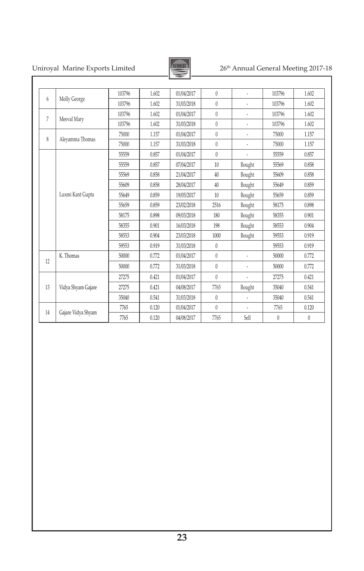## Uniroyal Marine Exports Limited 26<sup>th</sup> Annual General Meeting 2017-18



| 103796   | 1.602    |
|----------|----------|
| 103796   | 1.602    |
| 103796   | 1.602    |
| 103796   | 1.602    |
| 75000    | 1.157    |
| 75000    | 1.157    |
| 55559    | 0.857    |
| 55569    | 0.858    |
| 55609    | 0.858    |
| 55649    | 0.859    |
| 55659    | 0.859    |
| 58175    | 0.898    |
| 58355    | 0.901    |
| 58553    | 0.904    |
| 59553    | 0.919    |
| 59553    | 0.919    |
| 50000    | 0.772    |
| 50000    | 0.772    |
| 27275    | 0.421    |
| 35040    | 0.541    |
| 35040    | 0.541    |
| 7765     | 0.120    |
| $\theta$ | $\theta$ |
|          |          |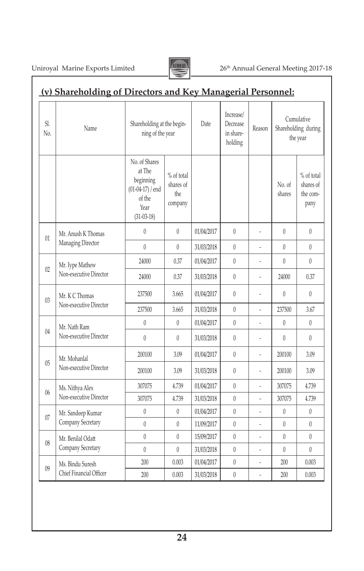Uniroyal Marine Exports Limited 26<sup>th</sup> Annual General Meeting 2017-18

<sup>09</sup> Ms. Bindu Suresh Chief Financial Officer



### **(v) Shareholding of Directors and Key Managerial Personnel:** Sl. SI.<br>
No. Name Shareholding at the begin-<br>
ning of the year Date Increase/ Decrease in shareholding Reason Cumulative Shareholding during the year No. of Shares at The beginning (01-04-17) / end of the Year (31-03-18) % of total shares of the company No. of shares % of total shares of the company  $\begin{array}{c|c} \hline 01 \end{array}$  Mr. Anush K Thomas Managing Director  $0 \qquad 0 \qquad 01/04/2017 \qquad 0 \qquad - \qquad 0 \qquad 0$ 0 0 31/03/2018 0 - 0 0 0  $02 \int Mr.$  Iype Mathew Non-executive Director 24000 | 0.37 | 01/04/2017 | 0 | - | 0 | 0 24000 0.37 31/03/2018 0 - 24000 0.37 03 | Mr. K C Thomas<br>Non-executive Director  $237500$   $3.665$   $01/04/2017$  0  $-$  0 237500 3.665 31/03/2018 0 - 237500 3.67 <sup>04</sup> Mr. Nath Ram Non-executive Director  $0 \qquad 0 \qquad 0 \qquad 01/04/2017 \qquad 0 \qquad - \qquad 0 \qquad 0$  $0 \t 0 \t 31/03/2018 \t 0 \t - \t 0 \t 0$ <sup>05</sup> Mr. Mohanlal Non-executive Director 200100 3.09 01/04/2017 0 - 200100 3.09 200100 3.09 31/03/2018 0 - 200100 3.09  $06 \quad$  Ms. Nithya Alex Non-executive Director 307075 4.739 01/04/2017 0 - 307075 4.739 307075 4.739 31/03/2018 0 - 307075 4.739 07 | Mr. Sandeep Kumar Company Secretary  $0 \qquad 0 \qquad 01/04/2017 \qquad 0 \qquad - \qquad 0 \qquad 0$  $0 \qquad 0 \qquad 11/09/2017 \qquad 0 \qquad - \qquad 0 \qquad 0$ 08 | Mr. Benilal Odatt Company Secretary  $0 \qquad 0 \qquad 15/09/2017 \qquad 0 \qquad - \qquad 0 \qquad 0$  $0 \t 0 \t 31/03/2018 \t 0 \t - 0$

200 0.003 01/04/2017 0 - 200 0.003 200 0.003 31/03/2018 0 - 200 0.003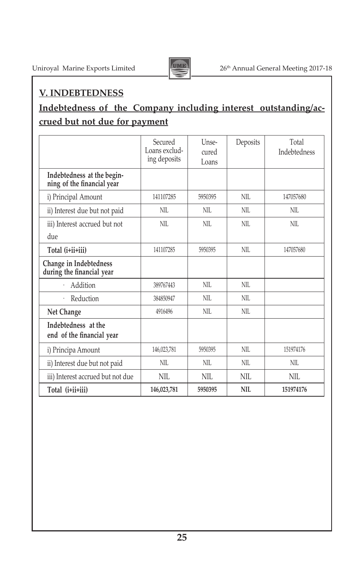

## **V. INDEBTEDNESS**

## **Indebtedness of the Company including interest outstanding/accrued but not due for payment**

|                                                          | Secured<br>Loans exclud-<br>ing deposits | Unse-<br>cured<br>Loans | Deposits | Total<br><b>Indebtedness</b> |
|----------------------------------------------------------|------------------------------------------|-------------------------|----------|------------------------------|
| Indebtedness at the begin-<br>ning of the financial year |                                          |                         |          |                              |
| i) Principal Amount                                      | 141107285                                | 5950395                 | NII.     | 147057680                    |
| ii) Interest due but not paid                            | NII.                                     | NII.                    | NII.     | NII.                         |
| iii) Interest accrued but not                            | NII.                                     | NII.                    | NII.     | NII.                         |
| due                                                      |                                          |                         |          |                              |
| Total (i+ii+iii)                                         | 141107285                                | 5950395                 | NII.     | 147057680                    |
| Change in Indebtedness<br>during the financial year      |                                          |                         |          |                              |
| Addition                                                 | 389767443                                | NII.                    | NII.     |                              |
| Reduction                                                | 384850947                                | NII.                    | NII.     |                              |
| Net Change                                               | 4916496                                  | NII.                    | NII.     |                              |
| Indebtedness at the<br>end of the financial year         |                                          |                         |          |                              |
| i) Principa Amount                                       | 146,023,781                              | 5950395                 | NII.     | 151974176                    |
| ii) Interest due but not paid                            | NII.                                     | NII.                    | NII.     | NII.                         |
| iii) Interest accrued but not due                        | NIL.                                     | NIL.                    | NIL.     | NIL.                         |
| Total (i+ii+iii)                                         | 146,023,781                              | 5950395                 | NII.     | 151974176                    |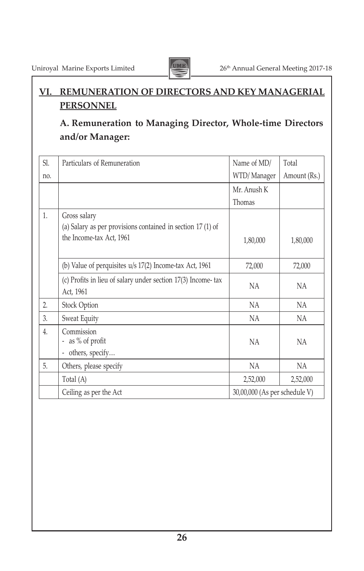

## **VI. REMUNERATION OF DIRECTORS AND KEY MANAGERIAL PERSONNEL**

## **A. Remuneration to Managing Director, Whole-time Directors and/or Manager:**

| Sl. | Particulars of Remuneration                                                                             | Name of MD/                   | Total        |
|-----|---------------------------------------------------------------------------------------------------------|-------------------------------|--------------|
| no. |                                                                                                         | WTD/Manager                   | Amount (Rs.) |
|     |                                                                                                         | Mr. Anush K                   |              |
|     |                                                                                                         | Thomas                        |              |
| 1.  | Gross salary<br>(a) Salary as per provisions contained in section 17 (1) of<br>the Income-tax Act, 1961 | 1,80,000                      | 1,80,000     |
|     | (b) Value of perquisites $u/s$ 17(2) Income-tax Act, 1961                                               | 72,000                        | 72,000       |
|     | (c) Profits in lieu of salary under section 17(3) Income-tax<br>Act, 1961                               | <b>NA</b>                     | NA           |
| 2.  | Stock Option                                                                                            | NA                            | <b>NA</b>    |
| 3.  | Sweat Equity                                                                                            | NA                            | NA           |
| 4.  | Commission<br>- as % of profit<br>others, specify<br>-                                                  | <b>NA</b>                     | NA           |
| 5.  | Others, please specify                                                                                  | <b>NA</b>                     | NA           |
|     | Total (A)                                                                                               | 2,52,000                      | 2,52,000     |
|     | Ceiling as per the Act                                                                                  | 30,00,000 (As per schedule V) |              |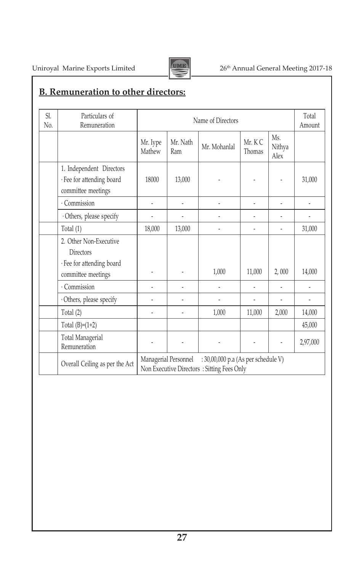

## Uniroyal Marine Exports Limited 2017-18

## **B. Remuneration to other directors:**

| SI.<br>N <sub>0</sub> | Particulars of<br>Remuneration          | Name of Directors                                                                                         |                 |              |                  |                       | Total<br>Amount |
|-----------------------|-----------------------------------------|-----------------------------------------------------------------------------------------------------------|-----------------|--------------|------------------|-----------------------|-----------------|
|                       |                                         | Mr. Iype<br>Mathew                                                                                        | Mr. Nath<br>Ram | Mr. Mohanlal | Mr. KC<br>Thomas | Ms.<br>Nithya<br>Alex |                 |
|                       | 1. Independent Directors                |                                                                                                           |                 |              |                  |                       |                 |
|                       | · Fee for attending board               | 18000                                                                                                     | 13,000          |              |                  |                       | 31,000          |
|                       | committee meetings                      |                                                                                                           |                 |              |                  |                       |                 |
|                       | · Commission                            | ÷.                                                                                                        | -               |              | ٠                | L                     | $\overline{a}$  |
|                       | · Others, please specify                |                                                                                                           |                 |              |                  |                       |                 |
|                       | Total (1)                               | 18,000                                                                                                    | 13,000          | -            |                  | ÷,                    | 31,000          |
|                       | 2. Other Non-Executive                  |                                                                                                           |                 |              |                  |                       |                 |
|                       | <b>Directors</b>                        |                                                                                                           |                 |              |                  |                       |                 |
|                       | · Fee for attending board               |                                                                                                           |                 |              |                  |                       |                 |
|                       | committee meetings                      |                                                                                                           | ÷,              | 1,000        | 11,000           | 2,000                 | 14,000          |
|                       | · Commission                            |                                                                                                           |                 |              |                  |                       |                 |
|                       | · Others, please specify                |                                                                                                           | ä,              |              |                  | ÷,                    | $\overline{a}$  |
|                       | Total (2)                               |                                                                                                           |                 | 1,000        | 11,000           | 2,000                 | 14,000          |
|                       | Total $(B)=(1+2)$                       |                                                                                                           |                 |              |                  |                       | 45,000          |
|                       | <b>Total Managerial</b><br>Remuneration |                                                                                                           | ÷,              |              |                  | $\overline{a}$        | 2,97,000        |
|                       | Overall Ceiling as per the Act          | Managerial Personnel<br>: 30,00,000 p.a (As per schedule V)<br>Non Executive Directors: Sitting Fees Only |                 |              |                  |                       |                 |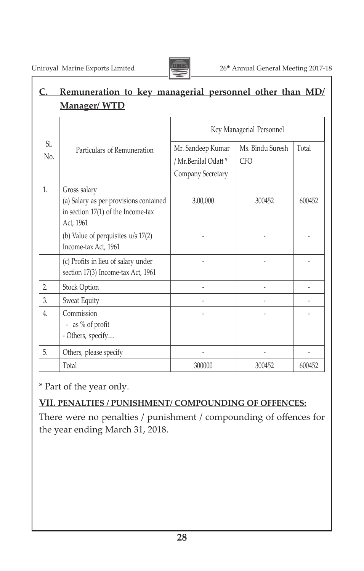

## **C. Remuneration to key managerial personnel other than MD/ Manager/ WTD**

|            |                                                                                                             | Key Managerial Personnel                                       |                                |        |  |
|------------|-------------------------------------------------------------------------------------------------------------|----------------------------------------------------------------|--------------------------------|--------|--|
| SI.<br>No. | Particulars of Remuneration                                                                                 | Mr. Sandeep Kumar<br>/ Mr.Benilal Odatt *<br>Company Secretary | Ms. Bindu Suresh<br><b>CFO</b> | Total  |  |
| 1.         | Gross salary<br>(a) Salary as per provisions contained<br>in section $17(1)$ of the Income-tax<br>Act, 1961 | 3,00,000                                                       | 300452                         | 600452 |  |
|            | (b) Value of perquisites $u/s$ 17(2)<br>Income-tax Act, 1961                                                |                                                                |                                |        |  |
|            | (c) Profits in lieu of salary under<br>section 17(3) Income-tax Act, 1961                                   |                                                                |                                |        |  |
| 2.         | Stock Option                                                                                                |                                                                |                                |        |  |
| 3.         | Sweat Equity                                                                                                |                                                                |                                |        |  |
| 4.         | Commission<br>- as % of profit<br>- Others, specify                                                         |                                                                |                                |        |  |
| 5.         | Others, please specify                                                                                      |                                                                |                                |        |  |
|            | Total                                                                                                       | 300000                                                         | 300452                         | 600452 |  |

\* Part of the year only.

## **VII. PENALTIES / PUNISHMENT/ COMPOUNDING OF OFFENCES:**

There were no penalties / punishment / compounding of offences for the year ending March 31, 2018.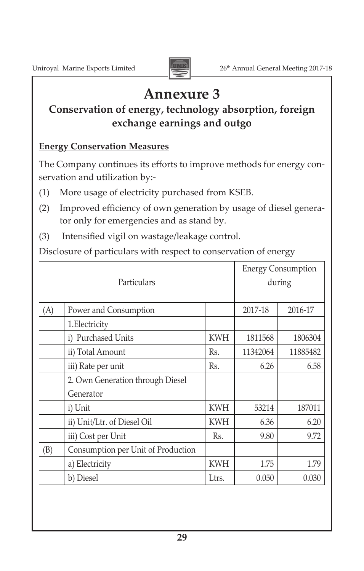

## **Annexure 3**

## **Conservation of energy, technology absorption, foreign exchange earnings and outgo**

## **Energy Conservation Measures**

The Company continues its efforts to improve methods for energy conservation and utilization by:-

- (1) More usage of electricity purchased from KSEB.
- (2) Improved efficiency of own generation by usage of diesel generator only for emergencies and as stand by.
- (3) Intensified vigil on wastage/leakage control.

Disclosure of particulars with respect to conservation of energy

| Particulars |                                    |            | <b>Energy Consumption</b><br>during |          |
|-------------|------------------------------------|------------|-------------------------------------|----------|
| (A)         | Power and Consumption              |            | 2017-18                             | 2016-17  |
|             | 1. Electricity                     |            |                                     |          |
|             | i) Purchased Units                 | <b>KWH</b> | 1811568                             | 1806304  |
|             | ii) Total Amount                   | Rs.        | 11342064                            | 11885482 |
|             | iii) Rate per unit                 | Rs.        | 6.26                                | 6.58     |
|             | 2. Own Generation through Diesel   |            |                                     |          |
|             | Generator                          |            |                                     |          |
|             | i) Unit                            | <b>KWH</b> | 53214                               | 187011   |
|             | ii) Unit/Ltr. of Diesel Oil        | <b>KWH</b> | 6.36                                | 6.20     |
|             | iii) Cost per Unit                 | Rs.        | 9.80                                | 9.72     |
| (B)         | Consumption per Unit of Production |            |                                     |          |
|             | a) Electricity                     | <b>KWH</b> | 1.75                                | 1.79     |
|             | b) Diesel                          | Ltrs.      | 0.050                               | 0.030    |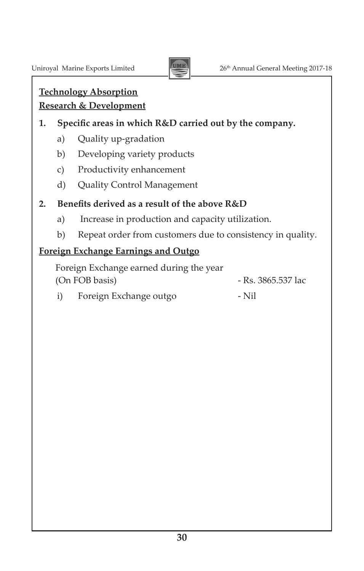

## **Technology Absorption Research & Development**

## **1. Specific areas in which R&D carried out by the company.**

- a) Ouality up-gradation
- b) Developing variety products
- c) Productivity enhancement
- d) Quality Control Management

## **2. Benefits derived as a result of the above R&D**

- a) Increase in production and capacity utilization.
- b) Repeat order from customers due to consistency in quality.

## **Foreign Exchange Earnings and Outgo**

Foreign Exchange earned during the year (On FOB basis) - Rs. 3865.537 lac

i) Foreign Exchange outgo - Nil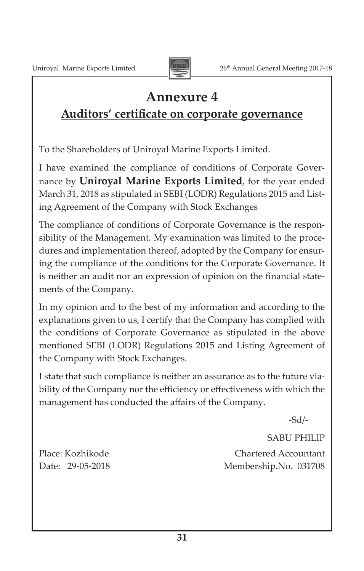

## **Annexure 4**

## **Auditors' certificate on corporate governance**

To the Shareholders of Uniroyal Marine Exports Limited. 

I have examined the compliance of conditions of Corporate Governance by **Uniroyal Marine Exports Limited**, for the year ended March 31, 2018 as stipulated in SEBI (LODR) Regulations 2015 and Listing Agreement of the Company with Stock Exchanges

The compliance of conditions of Corporate Governance is the responsibility of the Management. My examination was limited to the procedures and implementation thereof, adopted by the Company for ensuring the compliance of the conditions for the Corporate Governance. It is neither an audit nor an expression of opinion on the financial statements of the Company.

In my opinion and to the best of my information and according to the explanations given to us, I certify that the Company has complied with the conditions of Corporate Governance as stipulated in the above mentioned SEBI (LODR) Regulations 2015 and Listing Agreement of the Company with Stock Exchanges.

I state that such compliance is neither an assurance as to the future viability of the Company nor the efficiency or effectiveness with which the management has conducted the affairs of the Company.

-Sd/-

SABU PHILIP

Place: Kozhikode **Chartered Accountant** Date: 29-05-2018 Membership.No. 031708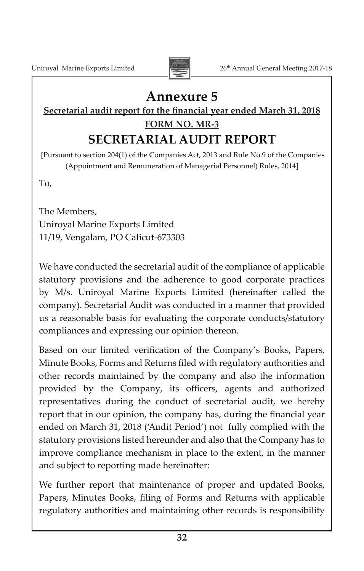

## **Annexure 5**

## **Secretarial audit report for the financial year ended March 31, 2018 FORM NO. MR-3 SECRETARIAL AUDIT REPORT**

[Pursuant to section 204(1) of the Companies Act, 2013 and Rule No.9 of the Companies (Appointment and Remuneration of Managerial Personnel) Rules, 2014]

To,

The Members, Uniroyal Marine Exports Limited 11/19, Vengalam, PO Calicut-673303

We have conducted the secretarial audit of the compliance of applicable statutory provisions and the adherence to good corporate practices by M/s. Uniroyal Marine Exports Limited (hereinafter called the company). Secretarial Audit was conducted in a manner that provided us a reasonable basis for evaluating the corporate conducts/statutory compliances and expressing our opinion thereon.

Based on our limited verification of the Company's Books, Papers, Minute Books, Forms and Returns filed with regulatory authorities and other records maintained by the company and also the information provided by the Company, its officers, agents and authorized representatives during the conduct of secretarial audit, we hereby report that in our opinion, the company has, during the financial year ended on March 31, 2018 ('Audit Period') not fully complied with the statutory provisions listed hereunder and also that the Company has to improve compliance mechanism in place to the extent, in the manner and subject to reporting made hereinafter:

We further report that maintenance of proper and updated Books, Papers, Minutes Books, filing of Forms and Returns with applicable regulatory authorities and maintaining other records is responsibility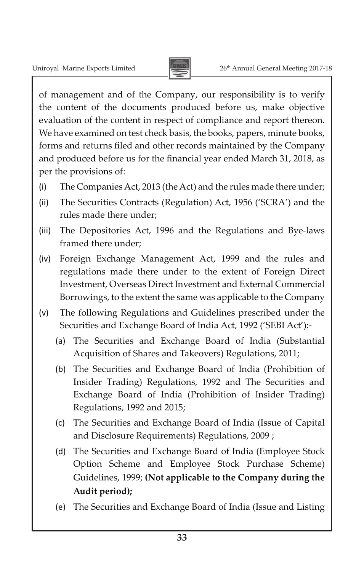

of management and of the Company, our responsibility is to verify the content of the documents produced before us, make objective evaluation of the content in respect of compliance and report thereon. We have examined on test check basis, the books, papers, minute books, forms and returns filed and other records maintained by the Company and produced before us for the financial year ended March 31, 2018, as per the provisions of:

- (i) The Companies Act, 2013 (the Act) and the rules made there under;
- (ii) The Securities Contracts (Regulation) Act, 1956 ('SCRA') and the rules made there under;
- (iii) The Depositories Act, 1996 and the Regulations and Bye-laws framed there under;
- (iv) Foreign Exchange Management Act, 1999 and the rules and regulations made there under to the extent of Foreign Direct Investment, Overseas Direct Investment and External Commercial Borrowings, to the extent the same was applicable to the Company
- (v) The following Regulations and Guidelines prescribed under the Securities and Exchange Board of India Act, 1992 ('SEBI Act'):-
	- (a) The Securities and Exchange Board of India (Substantial Acquisition of Shares and Takeovers) Regulations, 2011;
	- (b) The Securities and Exchange Board of India (Prohibition of Insider Trading) Regulations, 1992 and The Securities and Exchange Board of India (Prohibition of Insider Trading) Regulations, 1992 and 2015;
	- (c) The Securities and Exchange Board of India (Issue of Capital and Disclosure Requirements) Regulations, 2009 ;
	- (d) The Securities and Exchange Board of India (Employee Stock Option Scheme and Employee Stock Purchase Scheme) Guidelines, 1999; **(Not applicable to the Company during the Audit period);**
	- (e) The Securities and Exchange Board of India (Issue and Listing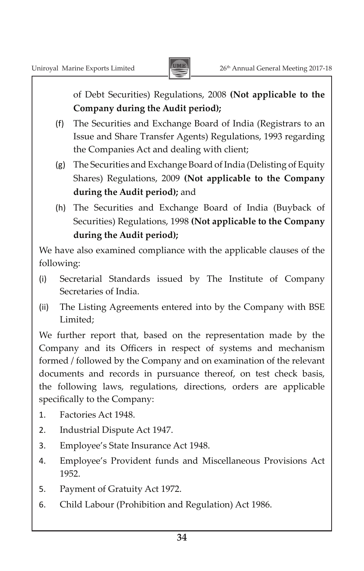

of Debt Securities) Regulations, 2008 **(Not applicable to the Company during the Audit period);**

- (f) The Securities and Exchange Board of India (Registrars to an Issue and Share Transfer Agents) Regulations, 1993 regarding the Companies Act and dealing with client;
- (g) The Securities and Exchange Board of India (Delisting of Equity Shares) Regulations, 2009 **(Not applicable to the Company during the Audit period);** and
- (h) The Securities and Exchange Board of India (Buyback of Securities) Regulations, 1998 **(Not applicable to the Company during the Audit period);**

We have also examined compliance with the applicable clauses of the following:

- (i) Secretarial Standards issued by The Institute of Company Secretaries of India.
- (ii) The Listing Agreements entered into by the Company with BSE Limited;

We further report that, based on the representation made by the Company and its Officers in respect of systems and mechanism formed / followed by the Company and on examination of the relevant documents and records in pursuance thereof, on test check basis, the following laws, regulations, directions, orders are applicable specifically to the Company:

- 1. Factories Act 1948.
- 2. Industrial Dispute Act 1947.
- 3. Employee's State Insurance Act 1948.
- 4. Employee's Provident funds and Miscellaneous Provisions Act 1952.
- 5. Payment of Gratuity Act 1972.
- 6. Child Labour (Prohibition and Regulation) Act 1986.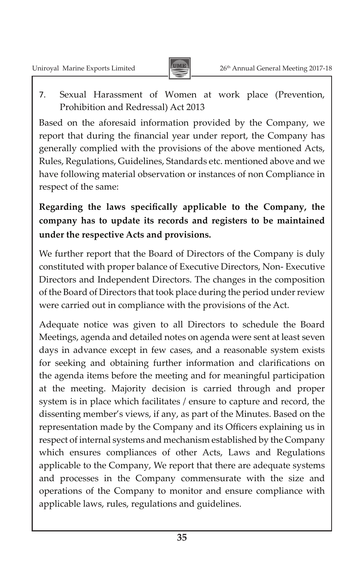

7. Sexual Harassment of Women at work place (Prevention, Prohibition and Redressal) Act 2013

Based on the aforesaid information provided by the Company, we report that during the financial year under report, the Company has generally complied with the provisions of the above mentioned Acts, Rules, Regulations, Guidelines, Standards etc. mentioned above and we have following material observation or instances of non Compliance in respect of the same:

**Regarding the laws specifically applicable to the Company, the company has to update its records and registers to be maintained under the respective Acts and provisions.**

We further report that the Board of Directors of the Company is duly constituted with proper balance of Executive Directors, Non- Executive Directors and Independent Directors. The changes in the composition of the Board of Directors that took place during the period under review were carried out in compliance with the provisions of the Act.

Adequate notice was given to all Directors to schedule the Board Meetings, agenda and detailed notes on agenda were sent at least seven days in advance except in few cases, and a reasonable system exists for seeking and obtaining further information and clarifications on the agenda items before the meeting and for meaningful participation at the meeting. Majority decision is carried through and proper system is in place which facilitates / ensure to capture and record, the dissenting member's views, if any, as part of the Minutes. Based on the representation made by the Company and its Officers explaining us in respect of internal systems and mechanism established by the Company which ensures compliances of other Acts, Laws and Regulations applicable to the Company, We report that there are adequate systems and processes in the Company commensurate with the size and operations of the Company to monitor and ensure compliance with applicable laws, rules, regulations and guidelines.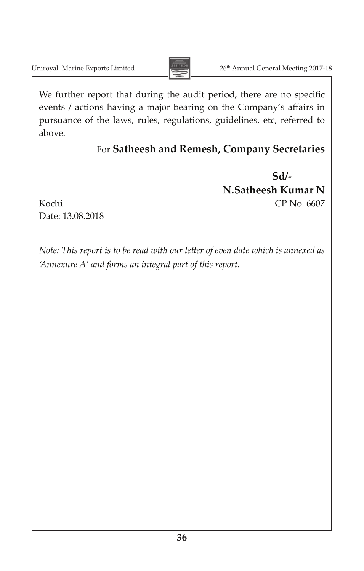

We further report that during the audit period, there are no specific events / actions having a major bearing on the Company's affairs in pursuance of the laws, rules, regulations, guidelines, etc, referred to above.

## For **Satheesh and Remesh, Company Secretaries**

**Sd/- N.Satheesh Kumar N** Kochi CP No. 6607

Date: 13.08.2018

*Note: This report is to be read with our letter of even date which is annexed as 'Annexure A' and forms an integral part of this report.*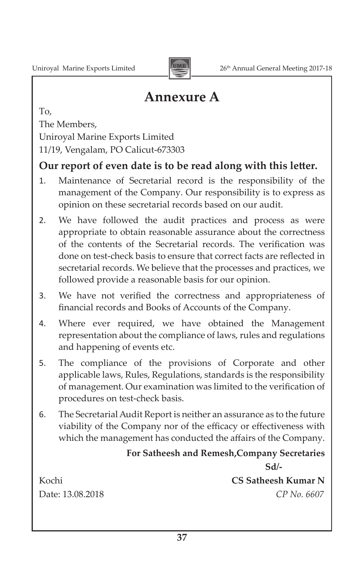

## **Annexure A**

To, The Members, Uniroyal Marine Exports Limited 11/19, Vengalam, PO Calicut-673303

## **Our report of even date is to be read along with this letter.**

- 1. Maintenance of Secretarial record is the responsibility of the management of the Company. Our responsibility is to express as opinion on these secretarial records based on our audit.
- 2. We have followed the audit practices and process as were appropriate to obtain reasonable assurance about the correctness of the contents of the Secretarial records. The verification was done on test-check basis to ensure that correct facts are reflected in secretarial records. We believe that the processes and practices, we followed provide a reasonable basis for our opinion.
- 3. We have not verified the correctness and appropriateness of financial records and Books of Accounts of the Company.
- 4. Where ever required, we have obtained the Management representation about the compliance of laws, rules and regulations and happening of events etc.
- 5. The compliance of the provisions of Corporate and other applicable laws, Rules, Regulations, standards is the responsibility of management. Our examination was limited to the verification of procedures on test-check basis.
- 6. The SecretarialAudit Report is neither an assurance as to the future viability of the Company nor of the efficacy or effectiveness with which the management has conducted the affairs of the Company.

## **For Satheesh and Remesh,Company Secretaries**

**CS** Satheesh Kumar N Date: 13.08.2018 *CP No. 6607*

**Sd/-**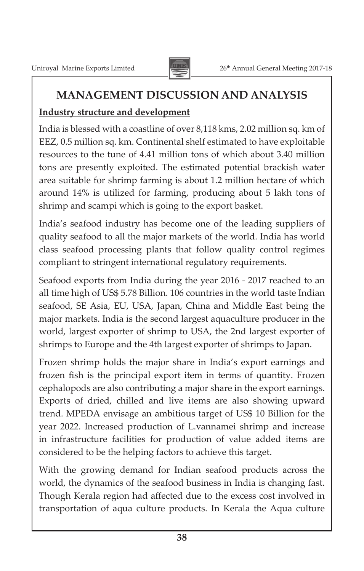

## **MANAGEMENT DISCUSSION AND ANALYSIS**

## **Industry structure and development**

India is blessed with a coastline of over 8,118 kms, 2.02 million sq. km of EEZ, 0.5 million sq. km. Continental shelf estimated to have exploitable resources to the tune of 4.41 million tons of which about 3.40 million tons are presently exploited. The estimated potential brackish water area suitable for shrimp farming is about 1.2 million hectare of which around 14% is utilized for farming, producing about 5 lakh tons of shrimp and scampi which is going to the export basket.

India's seafood industry has become one of the leading suppliers of quality seafood to all the major markets of the world. India has world class seafood processing plants that follow quality control regimes compliant to stringent international regulatory requirements.

Seafood exports from India during the year 2016 - 2017 reached to an all time high of US\$ 5.78 Billion. 106 countries in the world taste Indian seafood, SE Asia, EU, USA, Japan, China and Middle East being the major markets. India is the second largest aquaculture producer in the world, largest exporter of shrimp to USA, the 2nd largest exporter of shrimps to Europe and the 4th largest exporter of shrimps to Japan.

Frozen shrimp holds the major share in India's export earnings and frozen fish is the principal export item in terms of quantity. Frozen cephalopods are also contributing a major share in the export earnings. Exports of dried, chilled and live items are also showing upward trend. MPEDA envisage an ambitious target of US\$ 10 Billion for the year 2022. Increased production of L.vannamei shrimp and increase in infrastructure facilities for production of value added items are considered to be the helping factors to achieve this target.

With the growing demand for Indian seafood products across the world, the dynamics of the seafood business in India is changing fast. Though Kerala region had affected due to the excess cost involved in transportation of aqua culture products. In Kerala the Aqua culture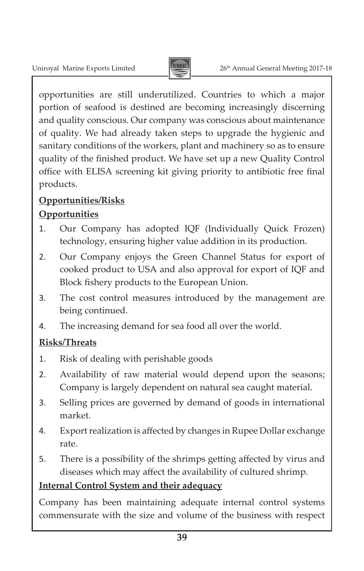

opportunities are still underutilized. Countries to which a major portion of seafood is destined are becoming increasingly discerning and quality conscious. Our company was conscious about maintenance of quality. We had already taken steps to upgrade the hygienic and sanitary conditions of the workers, plant and machinery so as to ensure quality of the finished product. We have set up a new Quality Control office with ELISA screening kit giving priority to antibiotic free final products.

## **Opportunities/Risks Opportunities**

- 1. Our Company has adopted IQF (Individually Quick Frozen) technology, ensuring higher value addition in its production.
- 2. Our Company enjoys the Green Channel Status for export of cooked product to USA and also approval for export of IQF and Block fishery products to the European Union.
- 3. The cost control measures introduced by the management are being continued.
- 4. The increasing demand for sea food all over the world.

## **Risks/Threats**

- 1. Risk of dealing with perishable goods
- 2. Availability of raw material would depend upon the seasons; Company is largely dependent on natural sea caught material.
- 3. Selling prices are governed by demand of goods in international market.
- 4. Export realization is affected by changes in Rupee Dollar exchange rate.
- 5. There is a possibility of the shrimps getting affected by virus and diseases which may affect the availability of cultured shrimp.

## **Internal Control System and their adequacy**

Company has been maintaining adequate internal control systems commensurate with the size and volume of the business with respect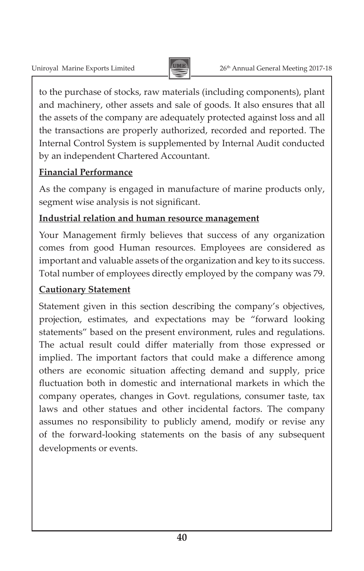

to the purchase of stocks, raw materials (including components), plant and machinery, other assets and sale of goods. It also ensures that all the assets of the company are adequately protected against loss and all the transactions are properly authorized, recorded and reported. The Internal Control System is supplemented by Internal Audit conducted by an independent Chartered Accountant.

## **Financial Performance**

As the company is engaged in manufacture of marine products only, segment wise analysis is not significant.

## **Industrial relation and human resource management**

Your Management firmly believes that success of any organization comes from good Human resources. Employees are considered as important and valuable assets of the organization and key to its success. Total number of employees directly employed by the company was 79.

## **Cautionary Statement**

Statement given in this section describing the company's objectives, projection, estimates, and expectations may be "forward looking statements" based on the present environment, rules and regulations. The actual result could differ materially from those expressed or implied. The important factors that could make a difference among others are economic situation affecting demand and supply, price fluctuation both in domestic and international markets in which the company operates, changes in Govt. regulations, consumer taste, tax laws and other statues and other incidental factors. The company assumes no responsibility to publicly amend, modify or revise any of the forward-looking statements on the basis of any subsequent developments or events.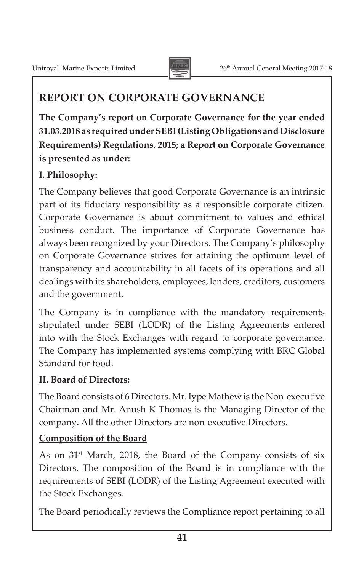

## **REPORT ON CORPORATE GOVERNANCE**

**The Company's report on Corporate Governance for the year ended 31.03.2018 as requiredunderSEBI(Listing Obligations and Disclosure Requirements) Regulations, 2015; a Report on Corporate Governance is presented as under:**

## **I. Philosophy:**

The Company believes that good Corporate Governance is an intrinsic part of its fiduciary responsibility as a responsible corporate citizen. Corporate Governance is about commitment to values and ethical business conduct. The importance of Corporate Governance has always been recognized by your Directors. The Company's philosophy on Corporate Governance strives for attaining the optimum level of transparency and accountability in all facets of its operations and all dealings with its shareholders, employees, lenders, creditors, customers and the government.

The Company is in compliance with the mandatory requirements stipulated under SEBI (LODR) of the Listing Agreements entered into with the Stock Exchanges with regard to corporate governance. The Company has implemented systems complying with BRC Global Standard for food.

## **II. Board of Directors:**

The Board consists of 6 Directors. Mr. Iype Mathew is the Non-executive Chairman and Mr. Anush K Thomas is the Managing Director of the company. All the other Directors are non-executive Directors.

## **Composition of the Board**

As on  $31<sup>st</sup>$  March, 2018, the Board of the Company consists of six Directors. The composition of the Board is in compliance with the requirements of SEBI (LODR) of the Listing Agreement executed with the Stock Exchanges.

The Board periodically reviews the Compliance report pertaining to all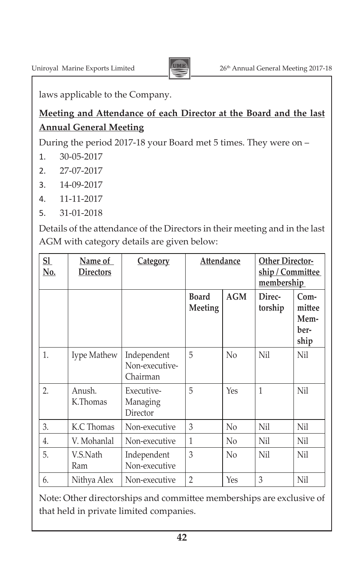

laws applicable to the Company.

## **Meeting and Attendance of each Director at the Board and the last Annual General Meeting**

During the period 2017-18 your Board met 5 times. They were on –

- 1. 30-05-2017
- 2. 27-07-2017
- 3. 14-09-2017
- 4. 11-11-2017
- 5. 31-01-2018

Details of the attendance of the Directors in their meeting and in the last AGM with category details are given below:

| S1<br>No. | <u>Name of</u><br><b>Directors</b> | <b>Category</b>                           | <b>Attendance</b>       |                |                   |                                          | <b>Other Director-</b><br>ship / Committee<br>membership |  |
|-----------|------------------------------------|-------------------------------------------|-------------------------|----------------|-------------------|------------------------------------------|----------------------------------------------------------|--|
|           |                                    |                                           | <b>Board</b><br>Meeting | <b>AGM</b>     | Direc-<br>torship | $Com-$<br>mittee<br>Mem-<br>ber-<br>ship |                                                          |  |
| 1.        | Iype Mathew                        | Independent<br>Non-executive-<br>Chairman | 5                       | $\rm No$       | <b>Nil</b>        | Nil                                      |                                                          |  |
| 2.        | Anush.<br>K.Thomas                 | Executive-<br>Managing<br>Director        | 5                       | Yes            | $\mathbf{1}$      | Nil                                      |                                                          |  |
| 3.        | K.C Thomas                         | Non-executive                             | 3                       | N <sub>0</sub> | Nil               | Nil                                      |                                                          |  |
| 4.        | V. Mohanlal                        | Non-executive                             | 1                       | N <sub>0</sub> | Nil               | Nil                                      |                                                          |  |
| 5.        | V.S.Nath<br>Ram                    | Independent<br>Non-executive              | 3                       | $\rm No$       | <b>Nil</b>        | Nil                                      |                                                          |  |
| 6.        | Nithya Alex                        | Non-executive                             | $\overline{2}$          | Yes            | 3                 | Nil                                      |                                                          |  |

Note: Other directorships and committee memberships are exclusive of that held in private limited companies.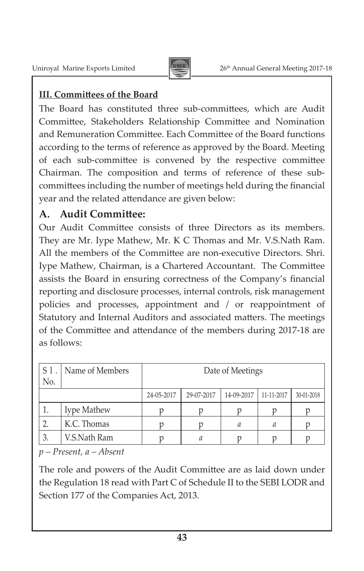

## **III. Committees of the Board**

The Board has constituted three sub-committees, which are Audit Committee, Stakeholders Relationship Committee and Nomination and Remuneration Committee. Each Committee of the Board functions according to the terms of reference as approved by the Board. Meeting of each sub-committee is convened by the respective committee Chairman. The composition and terms of reference of these subcommittees including the number of meetings held during the financial year and the related attendance are given below:

## **A. Audit Committee:**

Our Audit Committee consists of three Directors as its members. They are Mr. Iype Mathew, Mr. K C Thomas and Mr. V.S.Nath Ram. All the members of the Committee are non-executive Directors. Shri. Iype Mathew, Chairman, is a Chartered Accountant. The Committee assists the Board in ensuring correctness of the Company's financial reporting and disclosure processes, internal controls, risk management policies and processes, appointment and / or reappointment of Statutory and Internal Auditors and associated matters. The meetings of the Committee and attendance of the members during 2017-18 are as follows:

| $^{\prime}$ S $1$ .<br>No. | Name of Members | Date of Meetings |            |            |            |            |
|----------------------------|-----------------|------------------|------------|------------|------------|------------|
|                            |                 | 24-05-2017       | 29-07-2017 | 14-09-2017 | 11-11-2017 | 30-01-2018 |
| ı.                         | Iype Mathew     |                  |            |            |            |            |
| 2.                         | K.C. Thomas     |                  |            | а          | а          |            |
| 3.                         | V.S.Nath Ram    |                  | а          |            |            |            |

*p – Present, a – Absent*

The role and powers of the Audit Committee are as laid down under the Regulation 18 read with Part C of Schedule II to the SEBI LODR and Section 177 of the Companies Act, 2013.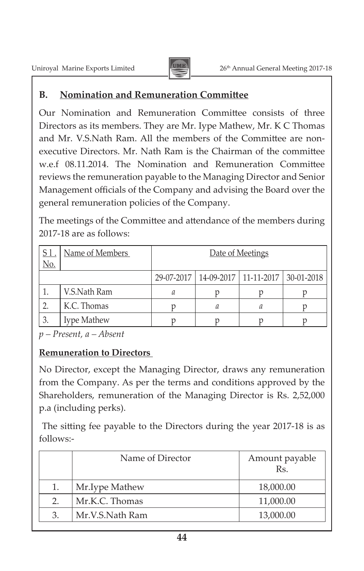

## **B. Nomination and Remuneration Committee**

Our Nomination and Remuneration Committee consists of three Directors as its members. They are Mr. Iype Mathew, Mr. K C Thomas and Mr. V.S.Nath Ram. All the members of the Committee are nonexecutive Directors. Mr. Nath Ram is the Chairman of the committee w.e.f 08.11.2014. The Nomination and Remuneration Committee reviews the remuneration payable to the Managing Director and Senior Management officials of the Company and advising the Board over the general remuneration policies of the Company.

The meetings of the Committee and attendance of the members during 2017-18 are as follows:

| ' <u>S l</u><br>No. | Name of Members | Date of Meetings |   |                                                   |  |
|---------------------|-----------------|------------------|---|---------------------------------------------------|--|
|                     |                 |                  |   | 29-07-2017   14-09-2017   11-11-2017   30-01-2018 |  |
|                     | V.S.Nath Ram    | а                |   |                                                   |  |
|                     | K.C. Thomas     |                  | а |                                                   |  |
| 3.                  | Iype Mathew     |                  |   |                                                   |  |

*p – Present, a – Absent*

## **Remuneration to Directors**

No Director, except the Managing Director, draws any remuneration from the Company. As per the terms and conditions approved by the Shareholders, remuneration of the Managing Director is Rs. 2,52,000 p.a (including perks).

The sitting fee payable to the Directors during the year 2017-18 is as follows:-

|    | Name of Director | Amount payable<br>Rs. |
|----|------------------|-----------------------|
| 1. | Mr. Iype Mathew  | 18,000.00             |
| 2. | Mr.K.C. Thomas   | 11,000.00             |
| 3. | Mr.V.S.Nath Ram  | 13,000.00             |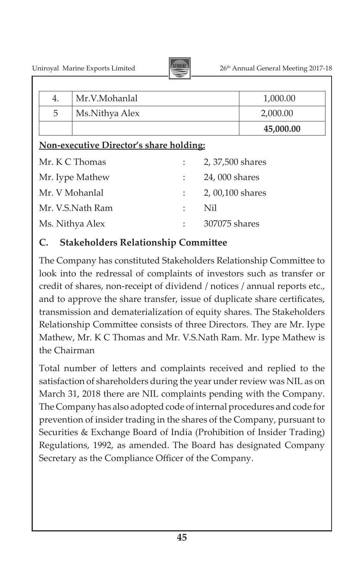

| 4. | Mr.V.Mohanlal                           |   |                  | 1,000.00  |
|----|-----------------------------------------|---|------------------|-----------|
| 5  | Ms.Nithya Alex                          |   |                  | 2,000.00  |
|    |                                         |   |                  | 45,000.00 |
|    | Non-executive Director's share holding: |   |                  |           |
|    | Mr. K C Thomas                          |   | 2, 37,500 shares |           |
|    | Mr. Iype Mathew                         |   | 24,000 shares    |           |
|    | Mr. V Mohanlal                          | ÷ | 2,00,100 shares  |           |
|    | Mr. V.S.Nath Ram                        |   | Nil              |           |
|    | Ms. Nithya Alex                         |   | 307075 shares    |           |
|    |                                         |   |                  |           |

## **C. Stakeholders Relationship Committee**

The Company has constituted Stakeholders Relationship Committee to look into the redressal of complaints of investors such as transfer or credit of shares, non-receipt of dividend / notices / annual reports etc., and to approve the share transfer, issue of duplicate share certificates, transmission and dematerialization of equity shares. The Stakeholders Relationship Committee consists of three Directors. They are Mr. Iype Mathew, Mr. K C Thomas and Mr. V.S.Nath Ram. Mr. Iype Mathew is the Chairman

Total number of letters and complaints received and replied to the satisfaction of shareholders during the year under review was NIL as on March 31, 2018 there are NIL complaints pending with the Company. The Company has also adopted code of internal procedures and code for prevention of insider trading in the shares of the Company, pursuant to Securities & Exchange Board of India (Prohibition of Insider Trading) Regulations, 1992, as amended. The Board has designated Company Secretary as the Compliance Officer of the Company.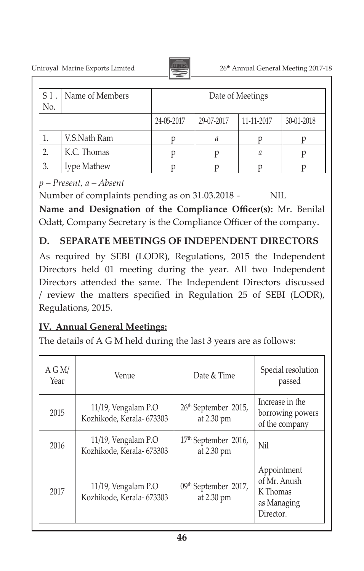Uniroyal Marine Exports Limited 2017-18



| $S1$ .<br>No. | Name of Members | Date of Meetings |            |            |            |
|---------------|-----------------|------------------|------------|------------|------------|
|               |                 | 24-05-2017       | 29-07-2017 | 11-11-2017 | 30-01-2018 |
| 1.            | V.S.Nath Ram    |                  | а          |            |            |
|               | K.C. Thomas     |                  |            | а          |            |
| 3.            | Iype Mathew     |                  |            |            |            |

*p – Present, a – Absent*

Number of complaints pending as on 31.03.2018 - NIL

**Name and Designation of the Compliance Officer(s):** Mr. Benilal Odatt, Company Secretary is the Compliance Officer of the company.

## **D. SEPARATE MEETINGS OF INDEPENDENT DIRECTORS**

As required by SEBI (LODR), Regulations, 2015 the Independent Directors held 01 meeting during the year. All two Independent Directors attended the same. The Independent Directors discussed / review the matters specified in Regulation 25 of SEBI (LODR), Regulations, 2015.

## **IV. Annual General Meetings:**

The details of A G M held during the last 3 years are as follows:

| A G M/<br>Year | Venue                                            | Date & Time                                    | Special resolution<br>passed                                        |
|----------------|--------------------------------------------------|------------------------------------------------|---------------------------------------------------------------------|
| 2015           | 11/19, Vengalam P.O<br>Kozhikode, Kerala- 673303 | 26 <sup>th</sup> September 2015,<br>at 2.30 pm | Increase in the<br>borrowing powers<br>of the company               |
| 2016           | 11/19, Vengalam P.O<br>Kozhikode, Kerala- 673303 | 17 <sup>th</sup> September 2016,<br>at 2.30 pm | Nil                                                                 |
| 2017           | 11/19, Vengalam P.O<br>Kozhikode, Kerala- 673303 | 09 <sup>th</sup> September 2017,<br>at 2.30 pm | Appointment<br>of Mr. Anush<br>K Thomas<br>as Managing<br>Director. |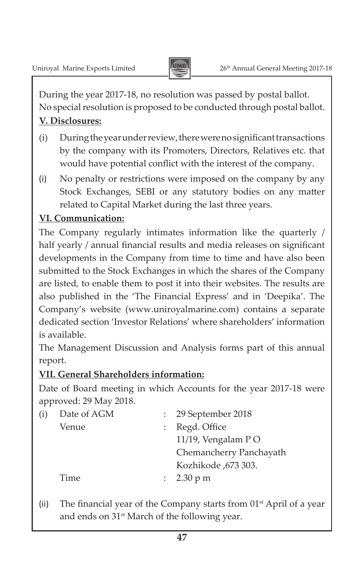During the year 2017-18, no resolution was passed by postal ballot. No special resolution is proposed to be conducted through postal ballot.

### **V. Disclosures:**

- (i) During the year under review, there were no significant transactions by the company with its Promoters, Directors, Relatives etc. that would have potential conflict with the interest of the company.
- (i) No penalty or restrictions were imposed on the company by any Stock Exchanges, SEBI or any statutory bodies on any matter related to Capital Market during the last three years.

## **VI. Communication:**

The Company regularly intimates information like the quarterly / half yearly / annual financial results and media releases on significant developments in the Company from time to time and have also been submitted to the Stock Exchanges in which the shares of the Company are listed, to enable them to post it into their websites. The results are also published in the 'The Financial Express' and in 'Deepika'. The Company's website (www.uniroyalmarine.com) contains a separate dedicated section 'Investor Relations' where shareholders' information is available.

The Management Discussion and Analysis forms part of this annual report.

## **VII. General Shareholders information:**

Date of Board meeting in which Accounts for the year 2017-18 were approved: 29 May 2018.

| (i) | Date of AGM | : 29 September 2018     |
|-----|-------------|-------------------------|
|     | Venue       | : Regd. Office          |
|     |             | 11/19, Vengalam PO      |
|     |             | Chemancherry Panchayath |
|     |             | Kozhikode ,673 303.     |
|     | Time        | : $2.30 \text{ p m}$    |
|     |             |                         |

(ii) The financial year of the Company starts from  $01<sup>st</sup>$  April of a year and ends on 31<sup>st</sup> March of the following year.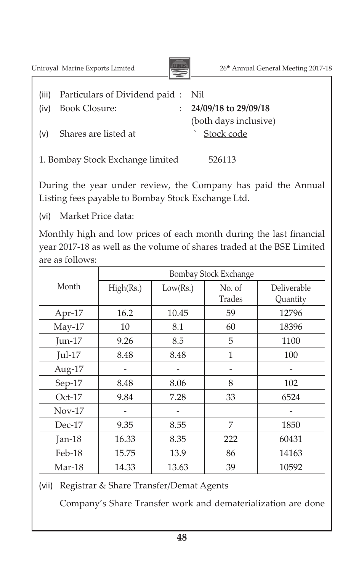Uniroyal Marine Exports Limited 26<sup>th</sup> Annual General Meeting 2017-18



 (both days inclusive)

- (iii) Particulars of Dividend paid : Nil
- (iv) Book Closure: : **24/09/18 to 29/09/18**
- (v) Shares are listed at <br>
Stock code

1. Bombay Stock Exchange limited 526113

During the year under review, the Company has paid the Annual Listing fees payable to Bombay Stock Exchange Ltd.

(vi) Market Price data:

Monthly high and low prices of each month during the last financial year 2017-18 as well as the volume of shares traded at the BSE Limited are as follows:

|           |           |          | Bombay Stock Exchange |                         |
|-----------|-----------|----------|-----------------------|-------------------------|
| Month     | High(Rs.) | Low(Rs.) | No. of<br>Trades      | Deliverable<br>Quantity |
|           |           |          |                       |                         |
| Apr-17    | 16.2      | 10.45    | 59                    | 12796                   |
| $May-17$  | 10        | 8.1      | 60                    | 18396                   |
| Jun- $17$ | 9.26      | 8.5      | 5                     | 1100                    |
| $Jul-17$  | 8.48      | 8.48     | 1                     | 100                     |
| Aug-17    |           |          |                       |                         |
| Sep-17    | 8.48      | 8.06     | 8                     | 102                     |
| $Oct-17$  | 9.84      | 7.28     | 33                    | 6524                    |
| $Nov-17$  |           |          |                       |                         |
| $Dec-17$  | 9.35      | 8.55     | 7                     | 1850                    |
| Jan- $18$ | 16.33     | 8.35     | 222                   | 60431                   |
| Feb-18    | 15.75     | 13.9     | 86                    | 14163                   |
| Mar-18    | 14.33     | 13.63    | 39                    | 10592                   |

(vii) Registrar & Share Transfer/Demat Agents

 Company's Share Transfer work and dematerialization are done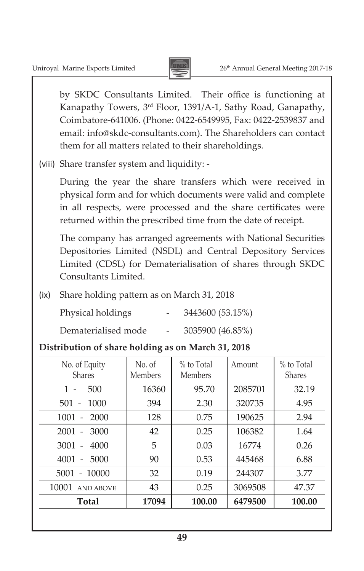

by SKDC Consultants Limited. Their office is functioning at Kanapathy Towers, 3rd Floor, 1391/A-1, Sathy Road, Ganapathy, Coimbatore-641006. (Phone: 0422-6549995, Fax: 0422-2539837 and email: info@skdc-consultants.com). The Shareholders can contact them for all matters related to their shareholdings.

(viii) Share transfer system and liquidity: -

 During the year the share transfers which were received in physical form and for which documents were valid and complete in all respects, were processed and the share certificates were returned within the prescribed time from the date of receipt.

 The company has arranged agreements with National Securities Depositories Limited (NSDL) and Central Depository Services Limited (CDSL) for Dematerialisation of shares through SKDC Consultants Limited.

(ix) Share holding pattern as on March 31, 2018

| Physical holdings   |                          | 3443600 (53.15%) |
|---------------------|--------------------------|------------------|
| Dematerialised mode | $\overline{\phantom{0}}$ | 3035900 (46.85%) |

## **Distribution of share holding as on March 31, 2018**

| No. of Equity<br><b>Shares</b>           | No. of<br>Members | $%$ to Total<br><b>Members</b> | Amount  | % to Total<br><b>Shares</b> |
|------------------------------------------|-------------------|--------------------------------|---------|-----------------------------|
| 500<br>$1 -$                             | 16360             | 95.70                          | 2085701 | 32.19                       |
| $501 -$<br>1000                          | 394               | 2.30                           | 320735  | 4.95                        |
| 1001<br>2000<br>$\overline{\phantom{a}}$ | 128               | 0.75                           | 190625  | 2.94                        |
| $2001 -$<br>3000                         | 42                | 0.25                           | 106382  | 1.64                        |
| 3001<br>4000<br>$\overline{a}$           | 5                 | 0.03                           | 16774   | 0.26                        |
| 4001<br>5000<br>$\overline{\phantom{a}}$ | 90                | 0.53                           | 445468  | 6.88                        |
| $5001 - 10000$                           | 32                | 0.19                           | 244307  | 3.77                        |
| 10001<br><b>AND ABOVE</b>                | 43                | 0.25                           | 3069508 | 47.37                       |
| Total                                    | 17094             | 100.00                         | 6479500 | 100.00                      |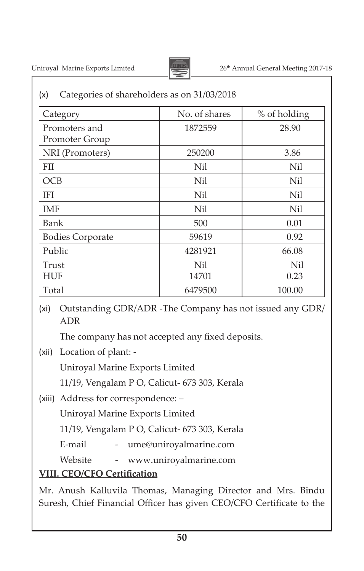

| (x) | Categories of shareholders as on 31/03/2018 |  |
|-----|---------------------------------------------|--|
|-----|---------------------------------------------|--|

| Category                        | No. of shares | % of holding |
|---------------------------------|---------------|--------------|
| Promoters and<br>Promoter Group | 1872559       | 28.90        |
| NRI (Promoters)                 | 250200        | 3.86         |
| <b>FII</b>                      | Nil           | Nil          |
| <b>OCB</b>                      | Nil           | Nil          |
| <b>IFI</b>                      | Nil           | Nil          |
| <b>IMF</b>                      | Nil           | Nil          |
| Bank                            | 500           | 0.01         |
| <b>Bodies Corporate</b>         | 59619         | 0.92         |
| Public                          | 4281921       | 66.08        |
| Trust                           | Nil           | Nil          |
| <b>HUF</b>                      | 14701         | 0.23         |
| Total                           | 6479500       | 100.00       |

(xi) Outstanding GDR/ADR -The Company has not issued any GDR/ ADR

 The company has not accepted any fixed deposits.

(xii) Location of plant: -

 Uniroyal Marine Exports Limited

 11/19, Vengalam P O, Calicut- 673 303, Kerala

(xiii) Address for correspondence: –

 Uniroyal Marine Exports Limited

 11/19, Vengalam P O, Calicut- 673 303, Kerala

E-mail - ume@uniroyalmarine.com

Website - www.uniroyalmarine.com

## **VIII. CEO/CFO Certification**

Mr. Anush Kalluvila Thomas, Managing Director and Mrs. Bindu Suresh, Chief Financial Officer has given CEO/CFO Certificate to the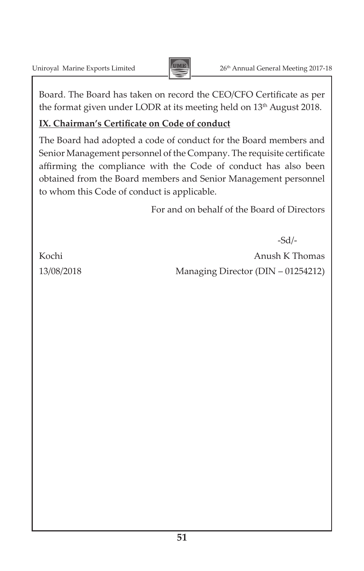

Board. The Board has taken on record the CEO/CFO Certificate as per the format given under LODR at its meeting held on 13<sup>th</sup> August 2018.

### **IX. Chairman's Certificate on Code of conduct**

The Board had adopted a code of conduct for the Board members and Senior Management personnel of the Company. The requisite certificate affirming the compliance with the Code of conduct has also been obtained from the Board members and Senior Management personnel to whom this Code of conduct is applicable.

For and on behalf of the Board of Directors

-Sd/- Kochi anush K Thomas 13/08/2018 Managing Director (DIN – 01254212)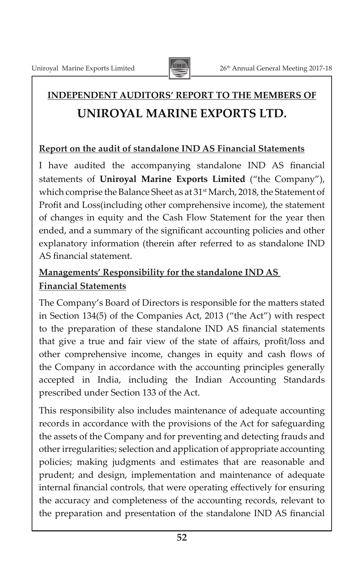

## **INDEPENDENT AUDITORS' REPORT TO THE MEMBERS OF UNIROYAL MARINE EXPORTS LTD.**

### **Report on the audit of standalone IND AS Financial Statements**

I have audited the accompanying standalone IND AS financial statements of **Uniroyal Marine Exports Limited** ("the Company"), which comprise the Balance Sheet as at 31<sup>st</sup> March, 2018, the Statement of Profit and Loss(including other comprehensive income), the statement of changes in equity and the Cash Flow Statement for the year then ended, and a summary of the significant accounting policies and other explanatory information (therein after referred to as standalone IND AS financial statement.

## **Managements' Responsibility for the standalone IND AS Financial Statements**

The Company's Board of Directors is responsible for the matters stated in Section 134(5) of the Companies Act, 2013 ("the Act") with respect to the preparation of these standalone IND AS financial statements that give a true and fair view of the state of affairs, profit/loss and other comprehensive income, changes in equity and cash flows of the Company in accordance with the accounting principles generally accepted in India, including the Indian Accounting Standards prescribed under Section 133 of the Act.

This responsibility also includes maintenance of adequate accounting records in accordance with the provisions of the Act for safeguarding the assets of the Company and for preventing and detecting frauds and other irregularities; selection and application of appropriate accounting policies; making judgments and estimates that are reasonable and prudent; and design, implementation and maintenance of adequate internal financial controls, that were operating effectively for ensuring the accuracy and completeness of the accounting records, relevant to the preparation and presentation of the standalone IND AS financial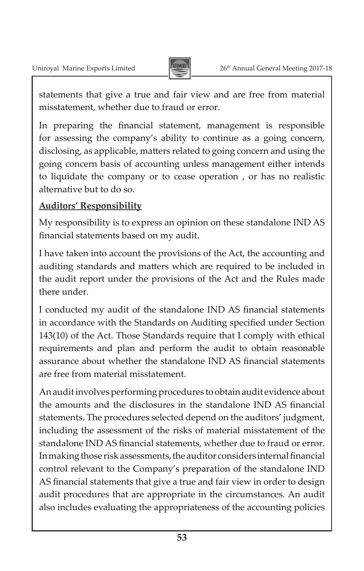

statements that give a true and fair view and are free from material misstatement, whether due to fraud or error.

In preparing the financial statement, management is responsible for assessing the company's ability to continue as a going concern, disclosing, as applicable, matters related to going concern and using the going concern basis of accounting unless management either intends to liquidate the company or to cease operation , or has no realistic alternative but to do so.

## **Auditors' Responsibility**

My responsibility is to express an opinion on these standalone IND AS financial statements based on my audit.

I have taken into account the provisions of the Act, the accounting and auditing standards and matters which are required to be included in the audit report under the provisions of the Act and the Rules made there under.

I conducted my audit of the standalone IND AS financial statements in accordance with the Standards on Auditing specified under Section 143(10) of the Act. Those Standards require that I comply with ethical requirements and plan and perform the audit to obtain reasonable assurance about whether the standalone IND AS financial statements are free from material misstatement.

An audit involves performing procedures to obtain audit evidence about the amounts and the disclosures in the standalone IND AS financial statements. The procedures selected depend on the auditors' judgment, including the assessment of the risks of material misstatement of the standalone IND AS financial statements, whether due to fraud or error. In making those risk assessments, the auditor considers internal financial control relevant to the Company's preparation of the standalone IND AS financial statements that give a true and fair view in order to design audit procedures that are appropriate in the circumstances. An audit also includes evaluating the appropriateness of the accounting policies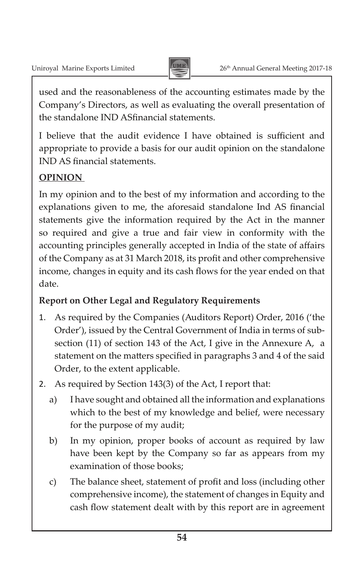

used and the reasonableness of the accounting estimates made by the Company's Directors, as well as evaluating the overall presentation of the standalone IND ASfinancial statements.

I believe that the audit evidence I have obtained is sufficient and appropriate to provide a basis for our audit opinion on the standalone IND AS financial statements.

## **OPINION**

In my opinion and to the best of my information and according to the explanations given to me, the aforesaid standalone Ind AS financial statements give the information required by the Act in the manner so required and give a true and fair view in conformity with the accounting principles generally accepted in India of the state of affairs of the Company as at 31 March 2018, its profit and other comprehensive income, changes in equity and its cash flows for the year ended on that date.

## **Report on Other Legal and Regulatory Requirements**

- 1. As required by the Companies (Auditors Report) Order, 2016 ('the Order'), issued by the Central Government of India in terms of subsection (11) of section 143 of the Act, I give in the Annexure A, a statement on the matters specified in paragraphs 3 and 4 of the said Order, to the extent applicable.
- 2. As required by Section 143(3) of the Act, I report that:
	- a) I have sought and obtained all the information and explanations which to the best of my knowledge and belief, were necessary for the purpose of my audit;
	- b) In my opinion, proper books of account as required by law have been kept by the Company so far as appears from my examination of those books;
	- c) The balance sheet, statement of profit and loss (including other comprehensive income), the statement of changes in Equity and cash flow statement dealt with by this report are in agreement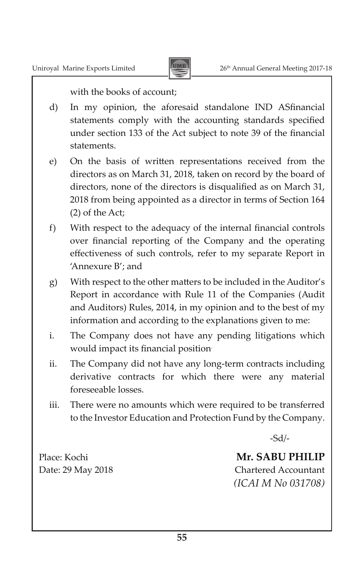

with the books of account;

- d) In my opinion, the aforesaid standalone IND ASfinancial statements comply with the accounting standards specified under section 133 of the Act subject to note 39 of the financial statements.
- e) On the basis of written representations received from the directors as on March 31, 2018, taken on record by the board of directors, none of the directors is disqualified as on March 31, 2018 from being appointed as a director in terms of Section 164 (2) of the Act;
- f) With respect to the adequacy of the internal financial controls over financial reporting of the Company and the operating effectiveness of such controls, refer to my separate Report in 'Annexure B'; and
- g) With respect to the other matters to be included in the Auditor's Report in accordance with Rule 11 of the Companies (Audit and Auditors) Rules, 2014, in my opinion and to the best of my information and according to the explanations given to me:
- i. The Company does not have any pending litigations which would impact its financial position.
- ii. The Company did not have any long-term contracts including derivative contracts for which there were any material foreseeable losses.
- iii. There were no amounts which were required to be transferred to the Investor Education and Protection Fund by the Company.

 -Sd/-

Place: Kochi **Mr. SABU PHILIP** Date: 29 May 2018 Chartered Accountant *(ICAI M No 031708)*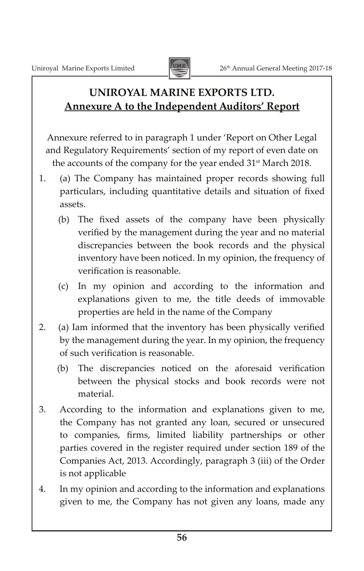

## **UNIROYAL MARINE EXPORTS LTD. Annexure A to the Independent Auditors' Report**

Annexure referred to in paragraph 1 under 'Report on Other Legal and Regulatory Requirements' section of my report of even date on the accounts of the company for the year ended 31<sup>st</sup> March 2018.

- 1. (a) The Company has maintained proper records showing full particulars, including quantitative details and situation of fixed assets.
	- (b) The fixed assets of the company have been physically verified by the management during the year and no material discrepancies between the book records and the physical inventory have been noticed. In my opinion, the frequency of verification is reasonable.
	- (c) In my opinion and according to the information and explanations given to me, the title deeds of immovable properties are held in the name of the Company
- 2. (a) Iam informed that the inventory has been physically verified by the management during the year. In my opinion, the frequency of such verification is reasonable.
	- (b) The discrepancies noticed on the aforesaid verification between the physical stocks and book records were not material.
- 3. According to the information and explanations given to me, the Company has not granted any loan, secured or unsecured to companies, firms, limited liability partnerships or other parties covered in the register required under section 189 of the Companies Act, 2013. Accordingly, paragraph 3 (iii) of the Order is not applicable
- 4. In my opinion and according to the information and explanations given to me, the Company has not given any loans, made any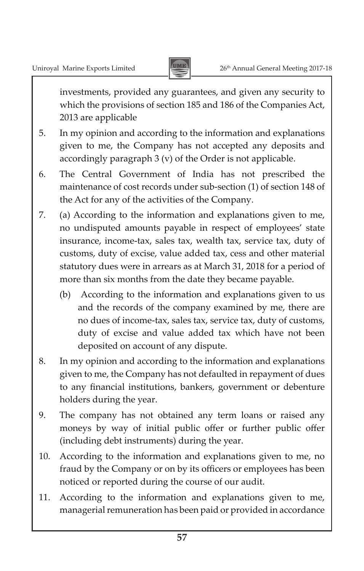

investments, provided any guarantees, and given any security to which the provisions of section 185 and 186 of the Companies Act, 2013 are applicable

- 5. In my opinion and according to the information and explanations given to me, the Company has not accepted any deposits and accordingly paragraph 3 (v) of the Order is not applicable.
- 6. The Central Government of India has not prescribed the maintenance of cost records under sub-section (1) of section 148 of the Act for any of the activities of the Company.
- 7. (a) According to the information and explanations given to me, no undisputed amounts payable in respect of employees' state insurance, income-tax, sales tax, wealth tax, service tax, duty of customs, duty of excise, value added tax, cess and other material statutory dues were in arrears as at March 31, 2018 for a period of more than six months from the date they became payable.
	- (b) According to the information and explanations given to us and the records of the company examined by me, there are no dues of income-tax, sales tax, service tax, duty of customs, duty of excise and value added tax which have not been deposited on account of any dispute.
- 8. In my opinion and according to the information and explanations given to me, the Company has not defaulted in repayment of dues to any financial institutions, bankers, government or debenture holders during the year.
- 9. The company has not obtained any term loans or raised any moneys by way of initial public offer or further public offer (including debt instruments) during the year.
- 10. According to the information and explanations given to me, no fraud by the Company or on by its officers or employees has been noticed or reported during the course of our audit.
- 11. According to the information and explanations given to me, managerial remuneration has been paid or provided in accordance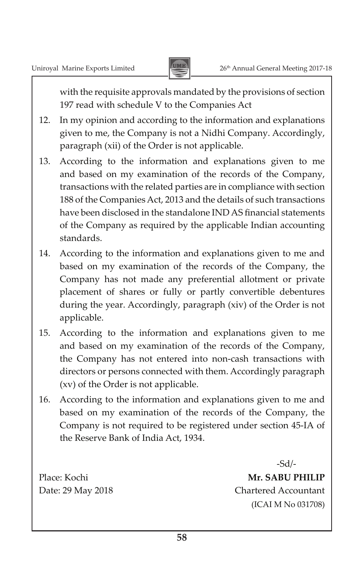

with the requisite approvals mandated by the provisions of section 197 read with schedule V to the Companies Act

- 12. In my opinion and according to the information and explanations given to me, the Company is not a Nidhi Company. Accordingly, paragraph (xii) of the Order is not applicable.
- 13. According to the information and explanations given to me and based on my examination of the records of the Company, transactions with the related parties are in compliance with section 188 of the Companies Act, 2013 and the details of such transactions have been disclosed in the standalone IND AS financial statements of the Company as required by the applicable Indian accounting standards.
- 14. According to the information and explanations given to me and based on my examination of the records of the Company, the Company has not made any preferential allotment or private placement of shares or fully or partly convertible debentures during the year. Accordingly, paragraph (xiv) of the Order is not applicable.
- 15. According to the information and explanations given to me and based on my examination of the records of the Company, the Company has not entered into non-cash transactions with directors or persons connected with them. Accordingly paragraph (xv) of the Order is not applicable.
- 16. According to the information and explanations given to me and based on my examination of the records of the Company, the Company is not required to be registered under section 45-IA of the Reserve Bank of India Act, 1934.

 -Sd/- Place: Kochi **Mr. SABU PHILIP** Date: 29 May 2018 Chartered Accountant (ICAI M No 031708)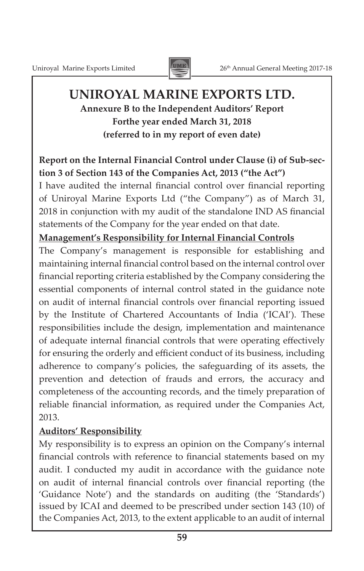

## **UNIROYAL MARINE EXPORTS LTD. Annexure B to the Independent Auditors' Report Forthe year ended March 31, 2018**

**(referred to in my report of even date)**

## **Report on the Internal Financial Control under Clause (i) of Sub-section 3 of Section 143 of the Companies Act, 2013 ("the Act")**

I have audited the internal financial control over financial reporting of Uniroyal Marine Exports Ltd ("the Company") as of March 31, 2018 in conjunction with my audit of the standalone IND AS financial statements of the Company for the year ended on that date.

### **Management's Responsibility for Internal Financial Controls**

The Company's management is responsible for establishing and maintaining internal financial control based on the internal control over financial reporting criteria established by the Company considering the essential components of internal control stated in the guidance note on audit of internal financial controls over financial reporting issued by the Institute of Chartered Accountants of India ('ICAI'). These responsibilities include the design, implementation and maintenance of adequate internal financial controls that were operating effectively for ensuring the orderly and efficient conduct of its business, including adherence to company's policies, the safeguarding of its assets, the prevention and detection of frauds and errors, the accuracy and completeness of the accounting records, and the timely preparation of reliable financial information, as required under the Companies Act, 2013.

## **Auditors' Responsibility**

My responsibility is to express an opinion on the Company's internal financial controls with reference to financial statements based on my audit. I conducted my audit in accordance with the guidance note on audit of internal financial controls over financial reporting (the 'Guidance Note') and the standards on auditing (the 'Standards') issued by ICAI and deemed to be prescribed under section 143 (10) of the Companies Act, 2013, to the extent applicable to an audit of internal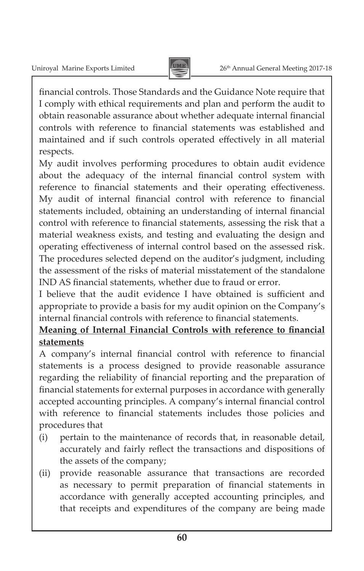

financial controls. Those Standards and the Guidance Note require that I comply with ethical requirements and plan and perform the audit to obtain reasonable assurance about whether adequate internal financial controls with reference to financial statements was established and maintained and if such controls operated effectively in all material respects.

My audit involves performing procedures to obtain audit evidence about the adequacy of the internal financial control system with reference to financial statements and their operating effectiveness. My audit of internal financial control with reference to financial statements included, obtaining an understanding of internal financial control with reference to financial statements, assessing the risk that a material weakness exists, and testing and evaluating the design and operating effectiveness of internal control based on the assessed risk. The procedures selected depend on the auditor's judgment, including the assessment of the risks of material misstatement of the standalone IND AS financial statements, whether due to fraud or error.

I believe that the audit evidence I have obtained is sufficient and appropriate to provide a basis for my audit opinion on the Company's internal financial controls with reference to financial statements.

## **Meaning of Internal Financial Controls with reference to financial statements**

A company's internal financial control with reference to financial statements is a process designed to provide reasonable assurance regarding the reliability of financial reporting and the preparation of financial statements for external purposes in accordance with generally accepted accounting principles. A company's internal financial control with reference to financial statements includes those policies and procedures that

- (i) pertain to the maintenance of records that, in reasonable detail, accurately and fairly reflect the transactions and dispositions of the assets of the company;
- (ii) provide reasonable assurance that transactions are recorded as necessary to permit preparation of financial statements in accordance with generally accepted accounting principles, and that receipts and expenditures of the company are being made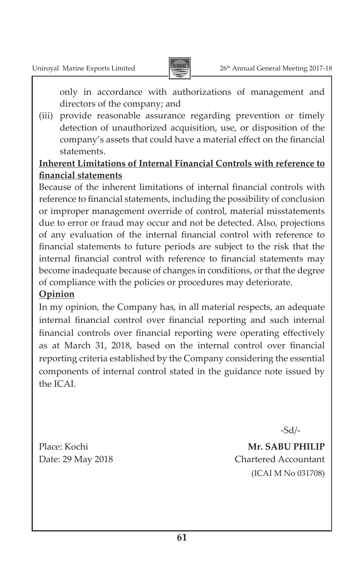

only in accordance with authorizations of management and directors of the company; and

(iii) provide reasonable assurance regarding prevention or timely detection of unauthorized acquisition, use, or disposition of the company's assets that could have a material effect on the financial statements.

## **Inherent Limitations of Internal Financial Controls with reference to financial statements**

Because of the inherent limitations of internal financial controls with reference to financial statements, including the possibility of conclusion or improper management override of control, material misstatements due to error or fraud may occur and not be detected. Also, projections of any evaluation of the internal financial control with reference to financial statements to future periods are subject to the risk that the internal financial control with reference to financial statements may become inadequate because of changes in conditions, or that the degree of compliance with the policies or procedures may deteriorate.

## **Opinion**

In my opinion, the Company has, in all material respects, an adequate internal financial control over financial reporting and such internal financial controls over financial reporting were operating effectively as at March 31, 2018, based on the internal control over financial reporting criteria established by the Company considering the essential components of internal control stated in the guidance note issued by the ICAI.

-Sd/-

Place: Kochi **Mr. SABU PHILIP** Date: 29 May 2018 Chartered Accountant (ICAI M No 031708)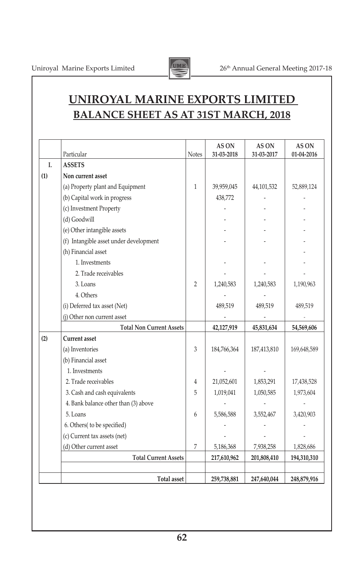

## **UNIROYAL MARINE EXPORTS LIMITED BALANCE SHEET AS AT 31ST MARCH, 2018**

|     | Particular                             | <b>Notes</b>   | AS ON<br>31-03-2018 | AS ON<br>31-03-2017 | AS ON<br>01-04-2016 |
|-----|----------------------------------------|----------------|---------------------|---------------------|---------------------|
| I.  | <b>ASSETS</b>                          |                |                     |                     |                     |
| (1) | Non current asset                      |                |                     |                     |                     |
|     | (a) Property plant and Equipment       | 1              | 39,959,045          | 44,101,532          | 52,889,124          |
|     | (b) Capital work in progress           |                | 438,772             |                     |                     |
|     | (c) Investment Property                |                |                     |                     |                     |
|     | (d) Goodwill                           |                |                     |                     |                     |
|     | (e) Other intangible assets            |                |                     |                     |                     |
|     | (f) Intangible asset under development |                |                     |                     |                     |
|     | (h) Financial asset                    |                |                     |                     |                     |
|     | 1. Investments                         |                |                     |                     |                     |
|     | 2. Trade receivables                   |                |                     |                     |                     |
|     | 3. Loans                               | $\overline{2}$ | 1,240,583           | 1,240,583           | 1,190,963           |
|     | 4. Others                              |                |                     |                     |                     |
|     | (i) Deferred tax asset (Net)           |                | 489,519             | 489,519             | 489,519             |
|     | (i) Other non current asset            |                |                     |                     |                     |
|     | <b>Total Non Current Assets</b>        |                | 42,127,919          | 45,831,634          | 54,569,606          |
| (2) | <b>Current</b> asset                   |                |                     |                     |                     |
|     | (a) Inventories                        | 3              | 184,766,364         | 187,413,810         | 169,648,589         |
|     | (b) Financial asset                    |                |                     |                     |                     |
|     | 1. Investments                         |                |                     |                     |                     |
|     | 2. Trade receivables                   | 4              | 21,052,601          | 1,853,291           | 17,438,528          |
|     | 3. Cash and cash equivalents           | 5              | 1,019,041           | 1,050,585           | 1,973,604           |
|     | 4. Bank balance other than (3) above   |                |                     |                     |                     |
|     | 5. Loans                               | 6              | 5,586,588           | 3,552,467           | 3,420,903           |
|     | 6. Others( to be specified)            |                |                     |                     |                     |
|     | (c) Current tax assets (net)           |                |                     |                     |                     |
|     | (d) Other current asset                | 7              | 5,186,368           | 7,938,258           | 1,828,686           |
|     | <b>Total Current Assets</b>            |                | 217,610,962         | 201,808,410         | 194,310,310         |
|     |                                        |                |                     |                     |                     |
|     | <b>Total asset</b>                     |                | 259,738,881         | 247,640,044         | 248,879,916         |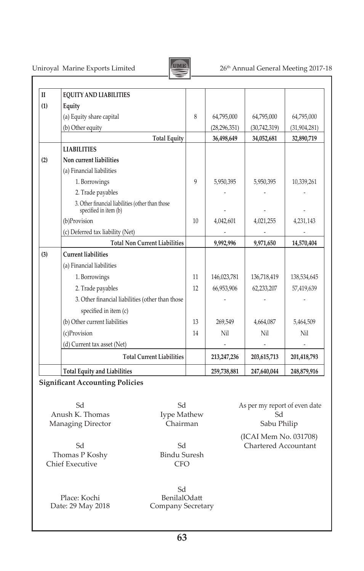

## Uniroyal Marine Exports Limited 26<sup>th</sup> Annual General Meeting 2017-18

| $\mathbf{I}$ | <b>EQUITY AND LIABILITIES</b>                                             |              |                |              |                |
|--------------|---------------------------------------------------------------------------|--------------|----------------|--------------|----------------|
| (1)          | Equity                                                                    |              |                |              |                |
|              | (a) Equity share capital                                                  | 8            | 64,795,000     | 64,795,000   | 64,795,000     |
|              | (b) Other equity                                                          |              | (28, 296, 351) | (30,742,319) | (31, 904, 281) |
|              | <b>Total Equity</b>                                                       |              | 36,498,649     | 34,052,681   | 32,890,719     |
|              | <b>LIABILITIES</b>                                                        |              |                |              |                |
| (2)          | Non current liabilities                                                   |              |                |              |                |
|              | (a) Financial liabilities                                                 |              |                |              |                |
|              | 1. Borrowings                                                             | $\mathsf{Q}$ | 5,950,395      | 5,950,395    | 10,339,261     |
|              | 2. Trade payables                                                         |              |                |              |                |
|              | 3. Other financial liabilities (other than those<br>specified in item (b) |              |                |              |                |
|              | (b)Provision                                                              | 10           | 4,042,601      | 4,021,255    | 4,231,143      |
|              | (c) Deferred tax liability (Net)                                          |              |                |              |                |
|              | <b>Total Non Current Liabilities</b>                                      |              | 9,992,996      | 9,971,650    | 14,570,404     |
| (3)          | <b>Current liabilities</b>                                                |              |                |              |                |
|              | (a) Financial liabilities                                                 |              |                |              |                |
|              | 1. Borrowings                                                             | 11           | 146,023,781    | 136,718,419  | 138,534,645    |
|              | 2. Trade payables                                                         | 12           | 66,953,906     | 62,233,207   | 57,419,639     |
|              | 3. Other financial liabilities (other than those                          |              |                |              |                |
|              | specified in item (c)                                                     |              |                |              |                |
|              | (b) Other current liabilities                                             | 13           | 269,549        | 4,664,087    | 5,464,509      |
|              | (c)Provision                                                              | 14           | Nil            | Nil          | Nil            |
|              | (d) Current tax asset (Net)                                               |              |                |              |                |
|              | <b>Total Current Liabilities</b>                                          |              | 213,247,236    | 203,615,713  | 201,418,793    |
|              | <b>Total Equity and Liabilities</b>                                       |              | 259,738,881    | 247,640,044  | 248,879,916    |

### **Significant Accounting Policies**

Anush K. Thomas Mathew Sd Started Structure Chairman Sabu Philip Sabu Philip Sabu Philip Sabu Philip Sabu Philip Sabu Philip Sabu Philip Sabu Philip Sabu Philip Sabu Philip Sabu Philip Sabu Philip Sabu Philip Sabu Philip S Managing Director

Thomas P Koshy Chief Executive CFO 

Place: Kochi BenilalOdatt<br>
Date: 29 May 2018 Company Secret

<u>Sdeed and the Sdeed and Sdeed and Sdeed and Sdeed and Sdeed and Sdeed and Sdeed and Sdeed and Sdeed and Sdeed </u> Company Secretary

Sd Sd As per my report of even date

(ICAI Mem No. 031708)<br>Sd Chartered Accountant Sd Sd Chartered Accountant<br>
Is P Koshy Bindu Suresh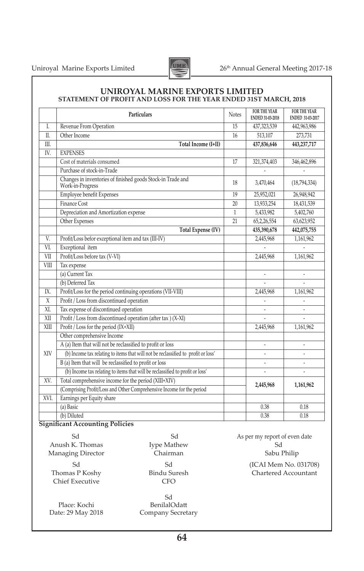Uniroyal Marine Exports Limited 26<sup>th</sup> Annual General Meeting 2017-18



#### **UNIROYAL MARINE EXPORTS LIMITED STATEMENT OF PROFIT AND LOSS FOR THE YEAR ENDED 31ST MARCH, 2018**

|                | <b>Particulars</b>                                                                | <b>Notes</b> | FOR THE YEAR<br>ENDED 31-03-2018 | FOR THE YEAR<br>ENDED 31-03-2017 |
|----------------|-----------------------------------------------------------------------------------|--------------|----------------------------------|----------------------------------|
| $\mathbf{I}$ . | Revenue From Operation                                                            | 15           | 437,323,539                      | 442,963,986                      |
| $\Pi$ .        | Other Income                                                                      | 16           | 513,107                          | 273,731                          |
| III.           | Total Income (I+II)                                                               |              | 437,836,646                      | 443,237,717                      |
| IV.            | <b>EXPENSES</b>                                                                   |              |                                  |                                  |
|                | Cost of materials consumed                                                        | 17           | 321,374,403                      | 346,462,896                      |
|                | Purchase of stock-in-Trade                                                        |              |                                  |                                  |
|                | Changes in inventories of finished goods Stock-in Trade and<br>Work-in-Progress   | 18           | 3,470,464                        | (18,794,334)                     |
|                | Employee benefit Expenses                                                         | 19           | 25,952,021                       | 26,948,942                       |
|                | Finance Cost                                                                      | 20           | 13,933,254                       | 18,431,539                       |
|                | Depreciation and Amortization expense                                             | 1            | 5,433,982                        | 5,402,760                        |
|                | Other Expenses                                                                    | 21           | 65,2,26,554                      | 63,623,952                       |
|                | <b>Total Expense (IV)</b>                                                         |              | 435,390,678                      | 442,075,755                      |
| V.             | Profit/Loss befor exceptional item and tax (III-IV)                               |              | 2,445,968                        | 1,161,962                        |
| VI.            | Exceptional item                                                                  |              |                                  |                                  |
| VII            | Profit/Loss before tax (V-VI)                                                     |              | 2,445,968                        | 1,161,962                        |
| <b>VIII</b>    | Tax expense                                                                       |              |                                  |                                  |
|                | (a) Current Tax                                                                   |              |                                  |                                  |
|                | (b) Deferred Tax                                                                  |              |                                  |                                  |
| IX.            | Profit/Loss for the period continuing operations (VII-VIII)                       |              | 2,445,968                        | 1,161,962                        |
| $\overline{X}$ | Profit / Loss from discontinued operation                                         |              |                                  |                                  |
| XI.            | Tax expense of discontinued operation                                             |              |                                  |                                  |
| XII            | Profit / Loss from discontinued operation (after tax ) (X-XI)                     |              |                                  |                                  |
| XIII           | Profit / Loss for the period (IX+XII)                                             |              | 2,445,968                        | 1,161,962                        |
|                | Other comprehensive Income                                                        |              |                                  |                                  |
|                | A (a) Item that will not be reclassified to profit or loss                        |              |                                  |                                  |
| XIV            | (b) Income tax relating to items that will not be reclassified to profit or loss' |              |                                  |                                  |
|                | B (a) Item that will be reclassified to profit or loss                            |              |                                  |                                  |
|                | (b) Income tax relating to items that will be reclassified to profit or loss'     |              |                                  |                                  |
| XV.            | Total comprehensive income for the period (XIII+XIV)                              |              | 2,445,968                        | 1,161,962                        |
|                | (Comprising Profit/Loss and Other Comprehensive Income for the period             |              |                                  |                                  |
| XVI.           | Earnings per Equity share                                                         |              |                                  |                                  |
|                | (a) Basic                                                                         |              | 0.38                             | 0.18                             |
|                | (b) Diluted                                                                       |              | 0.38                             | 0.18                             |

#### **Significant Accounting Policies**

Managing Director Chief Executive CFO 

Place: Kochi BenilalOdatt<br>
Date: 29 May 2018 Company Secret

 Sd Company Secretary

Sd Sd As per my report of even date Anush K. Thomas Mype Mathew Sd Sd Sabu Philip Sabu Philip Sabu Philip Sabu Philip Sabu Philip Sabu Philip Sabu Philip Sabu Philip Sabu Philip Sabu Philip Sabu Philip Sabu Philip Sabu Philip Sabu Philip Sabu Philip Sabu Phi Sd Sd (ICAI Mem No. 031708) Chartered Accountant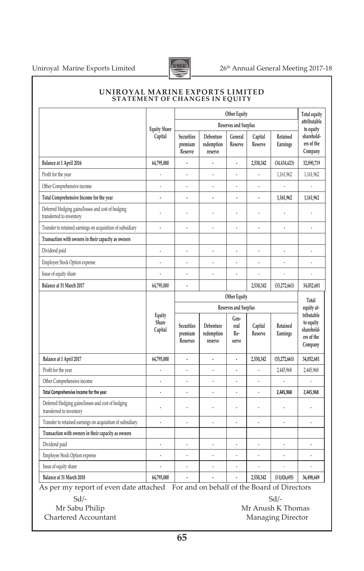

|                                                                               |                            | Other Equity                      |                                    |                              |                      |                      | Total equity                                                   |
|-------------------------------------------------------------------------------|----------------------------|-----------------------------------|------------------------------------|------------------------------|----------------------|----------------------|----------------------------------------------------------------|
|                                                                               | <b>Equity Share</b>        |                                   |                                    | Reserves and Surplus         |                      |                      | attributable<br>to equity                                      |
|                                                                               | Capital                    | Securities<br>premium<br>Reserve  | Debenture<br>redemption<br>reserve | General<br>Reserve           | Capital<br>Reserve   | Retained<br>Earnings | sharehold-<br>ers of the<br>Company                            |
| Balance at 1 April 2016                                                       | 64,795,000                 |                                   |                                    |                              | 2,530,342            | (34, 434, 623)       | 32,890,719                                                     |
| Profit for the year                                                           |                            | í,                                | ä,                                 | $\ddot{\phantom{0}}$         |                      | 1,161,962            | 1,161,962                                                      |
| Other Comprehensive income                                                    |                            |                                   | í,                                 |                              | í,                   |                      |                                                                |
| Total Comprehensive Income for the year                                       | $\overline{a}$             | l,                                | l,                                 | $\overline{a}$               | $\overline{a}$       | 1,161,962            | 1,161,962                                                      |
| Deferred Hedging gains/losses and cost of hedging<br>transferred to inventory |                            |                                   |                                    |                              | ł,                   |                      |                                                                |
| Transfer to retained earnings on acquisition of subsidiary                    | ÷,                         |                                   | l,                                 |                              | L                    | $\overline{a}$       |                                                                |
| Transaction with owners in their capacity as owners                           |                            |                                   |                                    |                              |                      |                      |                                                                |
| Dividend paid                                                                 |                            |                                   |                                    |                              |                      |                      |                                                                |
| Employee Stock Option expense                                                 | ٠                          |                                   |                                    | $\cdot$                      |                      | ٠                    | $\cdot$                                                        |
| Issue of equity share                                                         |                            |                                   |                                    | l.                           | l,                   |                      |                                                                |
| Balance at 31 March 2017                                                      | 64,795,000                 |                                   |                                    |                              | 2,530,342            | (33,272,661)         | 34,052,681                                                     |
|                                                                               |                            | Other Equity                      |                                    |                              |                      | Total                |                                                                |
|                                                                               |                            | Reserves and Surplus              |                                    |                              | equity at-           |                      |                                                                |
|                                                                               | Equity<br>Share<br>Capital | Securities<br>premium<br>Reserves | Debenture<br>redemption<br>reserve | Gen-<br>eral<br>Re-<br>serve | Capital<br>Reserve   | Retained<br>Earnings | tributable<br>to equity<br>sharehold-<br>ers of the<br>Company |
| Balance at 1 April 2017                                                       | 64,795,000                 |                                   | $\overline{a}$                     | l,                           | 2,530,342            | (33,272,661)         | 34,052,681                                                     |
| Profit for the year                                                           |                            |                                   |                                    | ï                            |                      | 2,445,968            | 2,445,968                                                      |
| Other Comprehensive income                                                    |                            |                                   |                                    | l,                           |                      |                      |                                                                |
| Total Comprehensive Income for the year                                       |                            |                                   |                                    |                              |                      | 2,445,968            | 2,445,968                                                      |
| Deferred Hedging gains/losses and cost of hedging<br>transferred to inventory |                            |                                   |                                    | $\overline{a}$               |                      |                      |                                                                |
| Transfer to retained earnings on acquisition of subsidiary                    |                            |                                   |                                    |                              |                      |                      |                                                                |
| Transaction with owners in their capacity as owners                           |                            |                                   |                                    |                              |                      |                      |                                                                |
| Dividend paid                                                                 | $\cdot$                    |                                   |                                    | ÷                            |                      | ÷,                   | i,                                                             |
| Employee Stock Option expense                                                 | $\ddot{\phantom{0}}$       |                                   |                                    |                              | $\ddot{\phantom{0}}$ | l,                   |                                                                |
| Issue of equity share                                                         | $\ddot{\phantom{0}}$       |                                   |                                    | l,                           |                      | L                    |                                                                |
|                                                                               |                            |                                   |                                    |                              |                      |                      |                                                                |

#### **UNIROYAL MARINE EXPORTS LIMITED STATEMENT OF CHANGES IN EQUITY**

As per my report of even date attached For and on behalf of the Board of Directors

 $Sd$ - $Sd$ -

Chartered Accountant Managing Director

Mr Sabu Philip Mr Anush K Thomas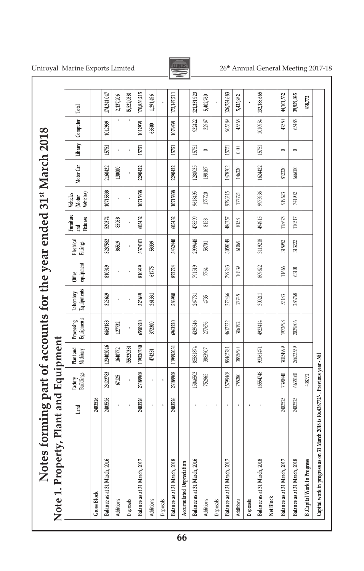| Note 1. Property, Plant and Equipment                                            |         |                      |                        |                          |                          |                            |                        |                              |                                 |           |                          |          |             |
|----------------------------------------------------------------------------------|---------|----------------------|------------------------|--------------------------|--------------------------|----------------------------|------------------------|------------------------------|---------------------------------|-----------|--------------------------|----------|-------------|
|                                                                                  | Land    | Factory<br>Buildings | Plant and<br>Machinery | Equipments<br>Processing | Equipments<br>Laboratory | equipment<br><b>Office</b> | Electrical<br>Fittings | Furniture<br>and<br>Fixtures | (Motor<br>Vehicles)<br>Vehicles | Motor Car | Library                  | Computer | Total       |
| <b>Gross Block</b>                                                               | 2403526 |                      |                        |                          |                          |                            |                        |                              |                                 |           |                          |          |             |
| Balance as at 31 March, 2016                                                     | 2403526 | 23122783             | 123402046              | 6463188                  | 325649                   | 810949                     | 3287582                | 520374                       | 10715838                        | 2160422   | 15751                    | 1012939  | 174,241,047 |
| Additions                                                                        |         | 67125                | 1640772                | 127732                   |                          |                            | 86519                  | 85058                        |                                 | 130000    |                          |          | 2,137,206   |
| Disposals                                                                        | ï       |                      | (5522038)              |                          |                          |                            |                        |                              | ï                               | ï         | i,                       |          | (5,522,038) |
| Balance as at 31 March, 2017                                                     | 2403526 | 23189908             | 119520780              | 6590920                  | 325649                   | 810949                     | 3374101                | 605432                       | 10715838                        | 2290422   | 15751                    | 1012939  | 170,856,215 |
| Additions                                                                        |         |                      | 474251                 | 372300                   | 261331                   | 61775                      | 58339                  |                              |                                 |           |                          | 63500    | 1,291,496   |
| Disposals                                                                        |         |                      |                        |                          |                          |                            |                        |                              |                                 |           |                          |          |             |
| Balance as at 31 March, 2018                                                     | 2403526 | 23189908             | 119995031              | 6963220                  | 586980                   | 872724                     | 3432440                | 605432                       | 10715838                        | 2290422   | 15751                    | 1076439  | 172,147,711 |
| Accumulated Depreciation                                                         |         |                      |                        |                          |                          |                            |                        |                              |                                 |           |                          |          |             |
| Balance as at 31 March, 2016                                                     |         | 15046503             | 85581874               | 4339546                  | 267731                   | 791519                     | 299448                 | 478599                       | 9618495                         | 1280035   | 15751                    | 932422   | 121,351,923 |
| Additions                                                                        |         | 752965               | 3883907                | 277676                   | 4735                     | 7764                       | 58701                  | 8158                         | 177720                          | 198167    | $\overline{\phantom{0}}$ | 32967    | 5,402,760   |
| Disposals                                                                        | ï       |                      |                        |                          |                          |                            |                        |                              |                                 |           |                          |          |             |
| Balance as at 31 March, 2017                                                     |         | 15799468             | 89465781               | 4617222                  | 272466                   | 799283                     | 3058149                | 486757                       | 9796215                         | 1478202   | 15751                    | 965389   | 126,754,683 |
| Additions                                                                        |         | 755280               | 3895690                | 306192                   | 27745                    | 10339                      | 61069                  | 8158                         | 17721                           | 146220    | $0.00\,$                 | 45565    | 5,433,982   |
| Disposals                                                                        | ï       |                      |                        |                          |                          |                            |                        |                              |                                 |           |                          |          |             |
| Balance as at 31 March, 2018                                                     |         | 16554748             | 9361471                | 4923414                  | 300211                   | 809622                     | 3119218                | 194915                       | 9973936                         | 1624422   | 15751                    | 1010954  | 132,188,665 |
| Net Block                                                                        |         |                      |                        |                          |                          |                            |                        |                              |                                 |           |                          |          |             |
| Balance as at 31 March, 2017                                                     | 2403525 | 7390440              | 30054999               | 1973698                  | 53183                    | 11666                      | 315952                 | 118675                       | 919623                          | 812220    | $\overline{\phantom{0}}$ | 47550    | 44,101,532  |
| Balance as at 31 March, 2018                                                     | 2403525 | 6635160              | 26633559               | 2039806                  | 286768                   | 63101                      | 313222                 | 110517                       | 741902                          | 666000    | $\overline{\phantom{0}}$ | 65485    | 39,959,045  |
| <b>B.Capital Work In Progress</b>                                                |         | 438772               |                        |                          |                          |                            |                        |                              |                                 |           |                          |          | 138,772     |
| Capital work in progress as on 31 March 2018 is Rs.438772/-. Previous year - Nil |         |                      |                        |                          |                          |                            |                        |                              |                                 |           |                          |          |             |
|                                                                                  |         |                      |                        |                          |                          |                            |                        |                              |                                 |           |                          |          |             |

## Uniroyal Marine Exports Limited 26<sup>th</sup> Annual General Meeting 2017-18

r

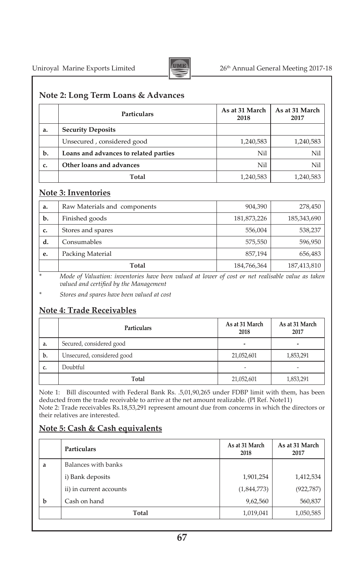

#### **Note 2: Long Term Loans & Advances**

|    | Particulars                           | As at 31 March<br>2018 | As at 31 March<br>2017 |
|----|---------------------------------------|------------------------|------------------------|
| a. | <b>Security Deposits</b>              |                        |                        |
|    | Unsecured, considered good            | 1,240,583              | 1,240,583              |
| b. | Loans and advances to related parties | Nil                    | Nil                    |
| c. | Other loans and advances              | Nil                    | Nil                    |
|    | Total                                 | 1,240,583              | 1,240,583              |

#### **Note 3: Inventories**

| a. | Raw Materials and components | 904,390     | 278,450     |
|----|------------------------------|-------------|-------------|
| b. | Finished goods               | 181,873,226 | 185,343,690 |
| c. | Stores and spares            | 556,004     | 538,237     |
| d. | Consumables                  | 575,550     | 596,950     |
| e. | Packing Material             | 857,194     | 656,483     |
|    | Total                        | 184,766,364 | 187,413,810 |

*\* Mode of Valuation: inventories have been valued at lower of cost or net realisable value as taken valued and certified by the Management*

*\* Stores and spares have been valued at cost*

### **Note 4: Trade Receivables**

|    | Particulars                | As at 31 March<br>2018 | As at 31 March<br>2017   |
|----|----------------------------|------------------------|--------------------------|
| a. | Secured, considered good   | ۰                      | $\overline{a}$           |
| b. | Unsecured, considered good | 21,052,601             | 1,853,291                |
| c. | Doubtful                   | -                      | $\overline{\phantom{a}}$ |
|    | Total                      | 21,052,601             | 1,853,291                |

Note 1: Bill discounted with Federal Bank Rs. .5,01,90,265 under FDBP limit with them, has been deducted from the trade receivable to arrive at the net amount realizable. (Pl Ref. Note11) Note 2: Trade receivables Rs.18,53,291 represent amount due from concerns in which the directors or their relatives are interested.

### **Note 5: Cash & Cash equivalents**

|   | Particulars             | As at 31 March<br>2018 | As at 31 March<br>2017 |
|---|-------------------------|------------------------|------------------------|
| a | Balances with banks     |                        |                        |
|   | i) Bank deposits        | 1,901,254              | 1,412,534              |
|   | ii) in current accounts | (1,844,773)            | (922, 787)             |
| b | Cash on hand            | 9,62,560               | 560,837                |
|   | Total                   | 1,019,041              | 1,050,585              |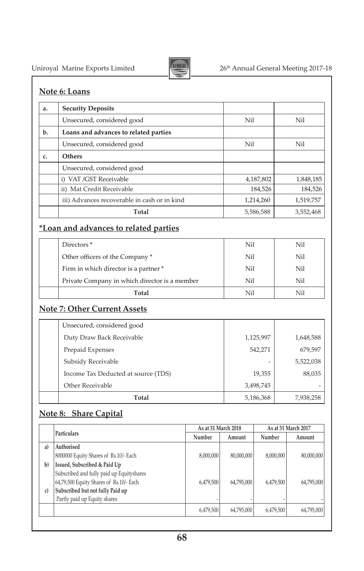

# Uniroyal Marine Exports Limited 26<sup>th</sup> Annual General Meeting 2017-18

### **Note 6: Loans**

| a. | <b>Security Deposits</b>                     |           |           |
|----|----------------------------------------------|-----------|-----------|
|    | Unsecured, considered good                   | Nil       | Nil       |
| b. | Loans and advances to related parties        |           |           |
|    | Unsecured, considered good                   | Nil       | Nil       |
| c. | Others                                       |           |           |
|    | Unsecured, considered good                   |           |           |
|    | i) VAT /GST Receivable                       | 4,187,802 | 1,848,185 |
|    | ii) Mat Credit Receivable                    | 184,526   | 184,526   |
|    | iii) Advances recoverable in cash or in kind | 1,214,260 | 1,519,757 |
|    | Total                                        | 5,586,588 | 3,552,468 |

### **\*Loan and advances to related parties**

| Directors <sup>*</sup>                        | Nil | Nil |
|-----------------------------------------------|-----|-----|
| Other officers of the Company*                | Nil | Nil |
| Firm in which director is a partner *         | Nil | Nil |
| Private Company in which director is a member | Nil | Nil |
| Total                                         | Nil | Nil |

### **Note 7: Other Current Assets**

| Other Receivable                    | 3,498,745 |           |
|-------------------------------------|-----------|-----------|
| Income Tax Deducted at source (TDS) | 19,355    | 88,035    |
| Subsidy Receivable                  |           | 5,522,038 |
| Prepaid Expenses                    | 542,271   | 679,597   |
| Duty Draw Back Receivable           | 1,125,997 | 1,648,588 |
| Unsecured, considered good          |           |           |

### **Note 8: Share Capital**

|     |                                           | As at 31 March 2018 |            | As at 31 March 2017 |            |
|-----|-------------------------------------------|---------------------|------------|---------------------|------------|
|     | <b>Particulars</b>                        | Number              | Amount     | Number              | Amount     |
| a)  | Authorised                                |                     |            |                     |            |
|     | 8000000 Equity Shares of Rs.10/- Each     | 8,000,000           | 80,000,000 | 8,000,000           | 80,000,000 |
| $b$ | Issued, Subscribed & Paid Up              |                     |            |                     |            |
|     | Subscribed and fully paid up Equityshares |                     |            |                     |            |
|     | 64,79,500 Equity Shares of Rs.10/- Each   | 6,479,500           | 64,795,000 | 6,479,500           | 64,795,000 |
| c)  | Subscribed but not fully Paid up          |                     |            |                     |            |
|     | Partly paid up Equity shares              |                     |            |                     |            |
|     |                                           | 6,479,500           | 64,795,000 | 6,479,500           | 64,795,000 |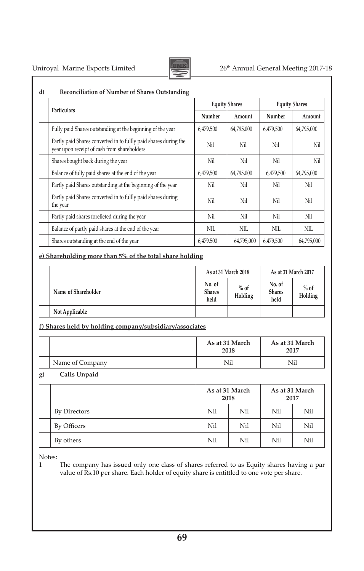

## Uniroyal Marine Exports Limited 26<sup>th</sup> Annual General Meeting 2017-18

|                                                                                                                 |           | <b>Equity Shares</b> | <b>Equity Shares</b> |            |  |
|-----------------------------------------------------------------------------------------------------------------|-----------|----------------------|----------------------|------------|--|
| Particulars                                                                                                     | Number    | Amount               | Number               | Amount     |  |
| Fully paid Shares outstanding at the beginning of the year                                                      | 6,479,500 | 64,795,000           | 6,479,500            | 64,795,000 |  |
| Partly paid Shares converted in to fullly paid shares during the<br>year upon receipt of cash from shareholders | Nil       | Nil                  | Nil                  | Nil        |  |
| Shares bought back during the year                                                                              | Nil       | Nil                  | Nil                  | Nil        |  |
| Balance of fully paid shares at the end of the year                                                             | 6,479,500 | 64,795,000           | 6,479,500            | 64,795,000 |  |
| Partly paid Shares outstanding at the beginning of the year                                                     | Nil       | Nil                  | Nil                  | Nil        |  |
| Partly paid Shares converted in to fullly paid shares during<br>the year                                        | Nil       | Nil                  | Nil                  | Nil        |  |
| Partly paid shares forefieted during the year                                                                   | Nil       | Nil                  | Nil                  | Nil        |  |
| Balance of partly paid shares at the end of the year                                                            | NIL       | NIL                  | NIL                  | <b>NIL</b> |  |
| Shares outstanding at the end of the year                                                                       | 6,479,500 | 64,795,000           | 6,479,500            | 64,795,000 |  |

#### **e) Shareholding more than 5% of the total share holding**

|                     | As at 31 March 2018             |                   | As at 31 March 2017             |                   |
|---------------------|---------------------------------|-------------------|---------------------------------|-------------------|
| Name of Shareholder | No. of<br><b>Shares</b><br>held | $%$ of<br>Holding | No. of<br><b>Shares</b><br>held | $%$ of<br>Holding |
| Not Applicable      |                                 |                   |                                 |                   |

#### **f) Shares held by holding company/subsidiary/associates**

|                 | As at 31 March<br>2018 | As at 31 March<br>2017 |
|-----------------|------------------------|------------------------|
| Name of Company | Nil                    | Nil                    |

#### **g) Calls Unpaid**

|              | As at 31 March<br>2018 |     | As at 31 March<br>2017 |     |
|--------------|------------------------|-----|------------------------|-----|
| By Directors | Nil                    | Nil | Nil                    | Nil |
| By Officers  | Nil                    | Nil | Nil                    | Nil |
| By others    | Nil                    | Nil | Nil                    | Nil |

Notes:<br>1

The company has issued only one class of shares referred to as Equity shares having a par value of Rs.10 per share. Each holder of equity share is entittled to one vote per share.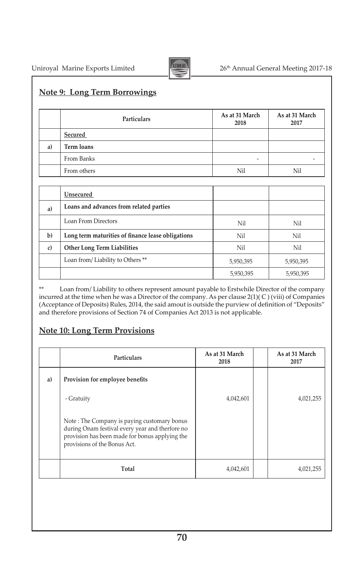

### **Note 9: Long Term Borrowings**

|    | Particulars       | As at 31 March<br>2018 | As at 31 March<br>2017 |
|----|-------------------|------------------------|------------------------|
|    | Secured           |                        |                        |
| a) | <b>Term loans</b> |                        |                        |
|    | From Banks        | -                      |                        |
|    | From others       | Nil                    | Nil                    |

|    | Unsecured                                         |           |           |
|----|---------------------------------------------------|-----------|-----------|
| a) | Loans and advances from related parties           |           |           |
|    | Loan From Directors                               | Nil       | Nil       |
| b) | Long term maturities of finance lease obligations | Nil       | Nil       |
| c) | Other Long Term Liabilities                       | Nil       | Nil       |
|    | Loan from/Liability to Others <sup>**</sup>       | 5,950,395 | 5,950,395 |
|    |                                                   | 5,950,395 | 5,950,395 |

\*\* Loan from/ Liability to others represent amount payable to Erstwhile Director of the company incurred at the time when he was a Director of the company. As per clause 2(1)( C ) (viii) of Companies (Acceptance of Deposits) Rules, 2014, the said amout is outside the purview of definition of "Deposits" and therefore provisions of Section 74 of Companies Act 2013 is not applicable.

### **Note 10: Long Term Provisions**

|    | <b>Particulars</b>                                                                                                                                                               | As at 31 March<br>2018 | As at 31 March<br>2017 |
|----|----------------------------------------------------------------------------------------------------------------------------------------------------------------------------------|------------------------|------------------------|
| a) | Provision for employee benefits                                                                                                                                                  |                        |                        |
|    | - Gratuity                                                                                                                                                                       | 4,042,601              | 4,021,255              |
|    | Note: The Company is paying customary bonus<br>during Onam festival every year and therfore no<br>provision has been made for bonus applying the<br>provisions of the Bonus Act. |                        |                        |
|    | Total                                                                                                                                                                            | 4,042,601              | 4,021,255              |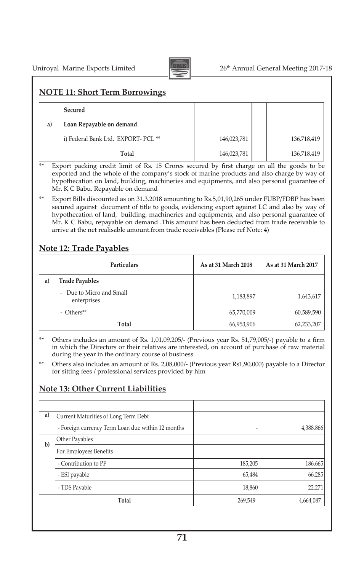

## **NOTE 11: Short Term Borrowings**

|    | Secured                                        |             |             |
|----|------------------------------------------------|-------------|-------------|
| a) | Loan Repayable on demand                       |             |             |
|    | i) Federal Bank Ltd. EXPORT- PCL <sup>**</sup> | 146,023,781 | 136,718,419 |
|    | Total                                          | 146,023,781 | 136,718,419 |

\*\* Export packing credit limit of Rs. 15 Crores secured by first charge on all the goods to be exported and the whole of the company's stock of marine products and also charge by way of hypothecation on land, building, machineries and equipments, and also personal guarantee of Mr. K C Babu. Repayable on demand

Export Bills discounted as on  $31.3.2018$  amounting to Rs.5,01,90,265 under FUBP/FDBP has been secured against document of title to goods, evidencing export against LC and also by way of hypothecation of land, building, machineries and equipments, and also personal guarantee of Mr. K C Babu, repayable on demand .This amount has been deducted from trade receivable to arrive at the net realisable amount.from trade receivables (Please ref Note: 4)

## **Note 12: Trade Payables**

|    | Particulars                                             | As at 31 March 2018 | As at 31 March 2017 |
|----|---------------------------------------------------------|---------------------|---------------------|
| a) | <b>Trade Payables</b>                                   |                     |                     |
|    | Due to Micro and Small<br>$\overline{a}$<br>enterprises | 1,183,897           | 1,643,617           |
|    | - Others**                                              | 65,770,009          | 60,589,590          |
|    | Total                                                   | 66,953,906          | 62,233,207          |

\*\* Others includes an amount of Rs. 1,01,09,205/- (Previous year Rs. 51,79,005/-) payable to a firm in which the Directors or their relatives are interested, on account of purchase of raw material during the year in the ordinary course of business

Others also includes an amount of Rs. 2,08,000/- (Previous year Rs1,90,000) payable to a Director for sitting fees / professional services provided by him

#### **Note 13: Other Current Liabilities**

| Current Maturities of Long Term Debt              |         |           |
|---------------------------------------------------|---------|-----------|
| - Foreign currency Term Loan due within 12 months |         | 4,388,866 |
| Other Payables                                    |         |           |
| For Employees Benefits                            |         |           |
| - Contribution to PF                              | 185,205 | 186,665   |
| - ESI payable                                     | 65,484  | 66,285    |
| - TDS Payable                                     | 18,860  | 22,271    |
| Total                                             | 269,549 | 4,664,087 |
|                                                   |         |           |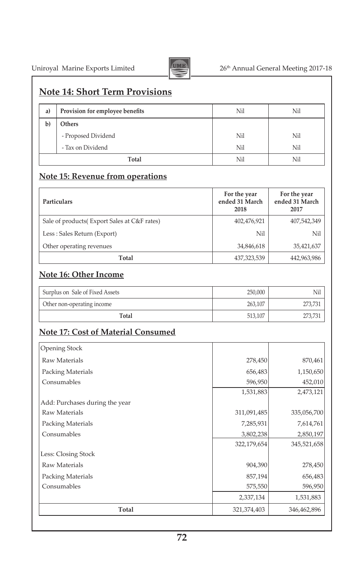

# Uniroyal Marine Exports Limited 26<sup>th</sup> Annual General Meeting 2017-18

# **Note 14: Short Term Provisions**

| a)           | Provision for employee benefits | Nil | Nil |
|--------------|---------------------------------|-----|-----|
| $\mathbf{b}$ | Others                          |     |     |
|              | - Proposed Dividend             | Nil | Nil |
|              | - Tax on Dividend               | Nil | Nil |
|              | Total                           | Nil | Nil |

# **Note 15: Revenue from operations**

| <b>Particulars</b>                           | For the year<br>ended 31 March<br>2018 | For the year<br>ended 31 March<br>2017 |
|----------------------------------------------|----------------------------------------|----------------------------------------|
| Sale of products (Export Sales at C&F rates) | 402,476,921                            | 407,542,349                            |
| Less : Sales Return (Export)                 | Nil                                    | Nil                                    |
| Other operating revenues                     | 34,846,618                             | 35,421,637                             |
| Total                                        | 437,323,539                            | 442,963,986                            |

## **Note 16: Other Income**

| Surplus on Sale of Fixed Assets | 250.000 | Nil     |
|---------------------------------|---------|---------|
| Other non-operating income      | 263.107 | 273.731 |
| Total                           | 513.107 |         |

# **Note 17: Cost of Material Consumed**

| Opening Stock                  |             |             |  |
|--------------------------------|-------------|-------------|--|
| Raw Materials                  | 278,450     | 870,461     |  |
| Packing Materials              | 656,483     | 1,150,650   |  |
| Consumables                    | 596,950     | 452,010     |  |
|                                | 1,531,883   | 2,473,121   |  |
| Add: Purchases during the year |             |             |  |
| Raw Materials                  | 311,091,485 | 335,056,700 |  |
| <b>Packing Materials</b>       | 7,285,931   | 7,614,761   |  |
| Consumables                    | 3,802,238   | 2,850,197   |  |
|                                | 322,179,654 | 345,521,658 |  |
| Less: Closing Stock            |             |             |  |
| Raw Materials                  | 904,390     | 278,450     |  |
| Packing Materials              | 857,194     | 656,483     |  |
| Consumables                    | 575,550     | 596,950     |  |
|                                | 2,337,134   | 1,531,883   |  |
| Total                          | 321,374,403 | 346,462,896 |  |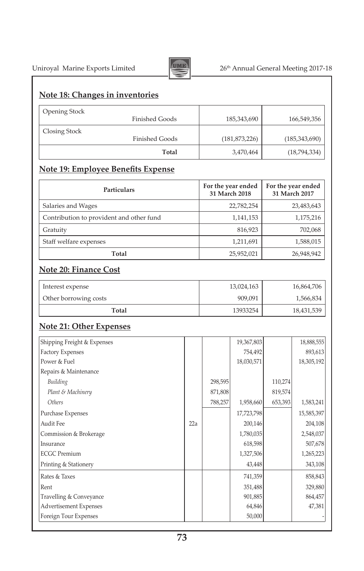

# Uniroyal Marine Exports Limited 26<sup>th</sup> Annual General Meeting 2017-18

### **Note 18: Changes in inventories**

| <b>Opening Stock</b> |                       |                 |                 |
|----------------------|-----------------------|-----------------|-----------------|
|                      | Finished Goods        | 185,343,690     | 166,549,356     |
| Closing Stock        |                       |                 |                 |
|                      | <b>Finished Goods</b> | (181, 873, 226) | (185, 343, 690) |
|                      | Total                 | 3,470,464       | (18,794,334)    |

# **Note 19: Employee Benefits Expense**

| Particulars                              | For the year ended<br>31 March 2018 | For the year ended<br>31 March 2017 |
|------------------------------------------|-------------------------------------|-------------------------------------|
| Salaries and Wages                       | 22,782,254                          | 23,483,643                          |
| Contribution to provident and other fund | 1,141,153                           | 1,175,216                           |
| Gratuity                                 | 816,923                             | 702,068                             |
| Staff welfare expenses                   | 1,211,691                           | 1,588,015                           |
| Total                                    | 25,952,021                          | 26,948,942                          |

## **Note 20: Finance Cost**

| Interest expense      | 13,024,163 | 16,864,706 |
|-----------------------|------------|------------|
| Other borrowing costs | 909.091    | 1,566,834  |
| Total                 | 13933254   | 18,431,539 |

## **Note 21: Other Expenses**

| Shipping Freight & Expenses |     |         | 19,367,803 |         | 18,888,555 |
|-----------------------------|-----|---------|------------|---------|------------|
| <b>Factory Expenses</b>     |     |         | 754,492    |         | 893,613    |
| Power & Fuel                |     |         | 18,030,571 |         | 18,305,192 |
| Repairs & Maintenance       |     |         |            |         |            |
| Building                    |     | 298,595 |            | 110,274 |            |
| Plant & Machinery           |     | 871,808 |            | 819,574 |            |
| Others                      |     | 788,257 | 1,958,660  | 653,393 | 1,583,241  |
| Purchase Expenses           |     |         | 17,723,798 |         | 15,585,397 |
| Audit Fee                   | 22a |         | 200,146    |         | 204,108    |
| Commission & Brokerage      |     |         | 1,780,035  |         | 2,548,037  |
| Insurance                   |     |         | 618,598    |         | 507,678    |
| <b>ECGC</b> Premium         |     |         | 1,327,506  |         | 1,265,223  |
| Printing & Stationery       |     |         | 43,448     |         | 343,108    |
| Rates & Taxes               |     |         | 741,359    |         | 858,843    |
| Rent                        |     |         | 351,488    |         | 329,880    |
| Travelling & Conveyance     |     |         | 901,885    |         | 864,457    |
| Advertisement Expenses      |     |         | 64,846     |         | 47,381     |
| Foreign Tour Expenses       |     |         | 50,000     |         |            |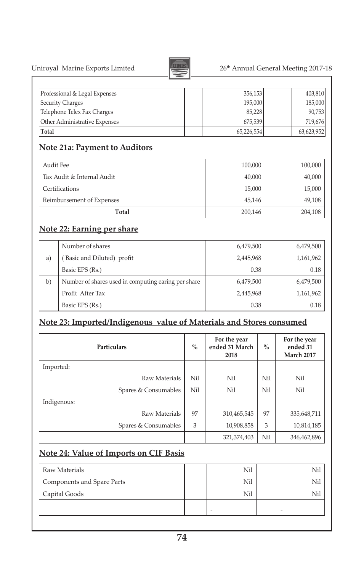United 26<sup>th</sup> Annual General Meeting 2017-18

| Uniroyal Marine Exports Limited |  |  |
|---------------------------------|--|--|
|                                 |  |  |



## Professional & Legal Expenses 256,153 403,810 Security Charges 195,000 185,000 185,000 185,000 185,000 185,000 185,228 90,753 Telephone Telex Fax Charges Other Administrative Expenses 675,539 719,676 **Total** 65,226,554 63,623,952

# **Note 21a: Payment to Auditors**

| Audit Fee                  | 100,000 | 100,000 |
|----------------------------|---------|---------|
| Tax Audit & Internal Audit | 40,000  | 40,000  |
| Certifications             | 15,000  | 15,000  |
| Reimbursement of Expenses  | 45,146  | 49,108  |
| Total                      | 200,146 | 204,108 |

# **Note 22: Earning per share**

|    | Number of shares                                    | 6,479,500 | 6,479,500 |
|----|-----------------------------------------------------|-----------|-----------|
| a) | Basic and Diluted) profit                           | 2,445,968 | 1,161,962 |
|    | Basic EPS (Rs.)                                     | 0.38      | 0.18      |
| b) | Number of shares used in computing earing per share | 6,479,500 | 6,479,500 |
|    | Profit After Tax                                    | 2,445,968 | 1,161,962 |
|    | Basic EPS (Rs.)                                     | 0.38      | 0.18      |

## **Note 23: Imported/Indigenous value of Materials and Stores consumed**

|             | Particulars          | $\%$ | For the year<br>ended 31 March<br>2018 | $\%$ | For the year<br>ended 31<br><b>March 2017</b> |
|-------------|----------------------|------|----------------------------------------|------|-----------------------------------------------|
| Imported:   |                      |      |                                        |      |                                               |
|             | Raw Materials        | Nil  | Nil                                    | Nil  | Nil                                           |
|             | Spares & Consumables | Nil  | Nil                                    | Nil  | Nil                                           |
| Indigenous: |                      |      |                                        |      |                                               |
|             | Raw Materials        | 97   | 310,465,545                            | 97   | 335,648,711                                   |
|             | Spares & Consumables | 3    | 10,908,858                             | 3    | 10,814,185                                    |
|             |                      |      | 321,374,403                            | Nil  | 346,462,896                                   |

## **Note 24: Value of Imports on CIF Basis**

| Raw Materials              | Nil | Nil |
|----------------------------|-----|-----|
| Components and Spare Parts | Nil | Nil |
| Capital Goods              | Nil | Nil |
|                            | -   |     |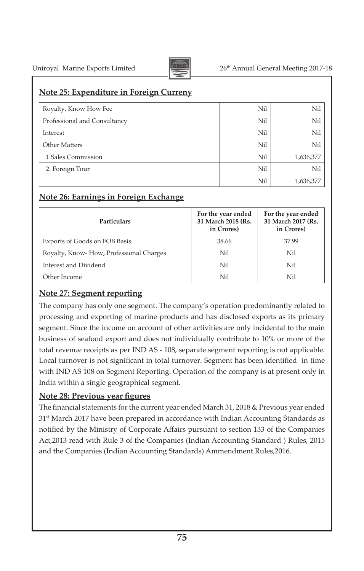

# Uniroyal Marine Exports Limited Annual General Meeting 2017-18

#### **Note 25: Expenditure in Foreign Curreny**

| Royalty, Know How Fee        | Nil | Nil       |
|------------------------------|-----|-----------|
| Professional and Consultancy | Nil | Nil       |
| Interest                     | Nil | Nil       |
| Other Matters                | Nil | Nil       |
| 1.Sales Commission           | Nil | 1,636,377 |
| 2. Foreign Tour              | Nil | Nil       |
|                              | Nil | 1,636,377 |

### **Note 26: Earnings in Foreign Exchange**

| <b>Particulars</b>                      | For the year ended<br>31 March 2018 (Rs.<br>in Crores) | For the year ended<br>31 March 2017 (Rs.<br>in Crores) |
|-----------------------------------------|--------------------------------------------------------|--------------------------------------------------------|
| Exports of Goods on FOB Basis           | 38.66                                                  | 37.99                                                  |
| Royalty, Know-How, Professional Charges | Nil                                                    | Nil                                                    |
| Interest and Dividend                   | Nil                                                    | Nil                                                    |
| Other Income                            | Nil                                                    | Nil                                                    |

## **Note 27: Segment reporting**

The company has only one segment. The company's operation predominantly related to processing and exporting of marine products and has disclosed exports as its primary segment. Since the income on account of other activities are only incidental to the main business of seafood export and does not individually contribute to 10% or more of the total revenue receipts as per IND AS - 108, separate segment reporting is not applicable. Local turnover is not significant in total turnover. Segment has been identified in time with IND AS 108 on Segment Reporting. Operation of the company is at present only in India within a single geographical segment.

#### **Note 28: Previous year figures**

The financial statements for the current year ended March 31, 2018 & Previous year ended 31<sup>st</sup> March 2017 have been prepared in accordance with Indian Accounting Standards as notified by the Ministry of Corporate Affairs pursuant to section 133 of the Companies Act,2013 read with Rule 3 of the Companies (Indian Accounting Standard ) Rules, 2015 and the Companies (Indian Accounting Standards) Ammendment Rules,2016.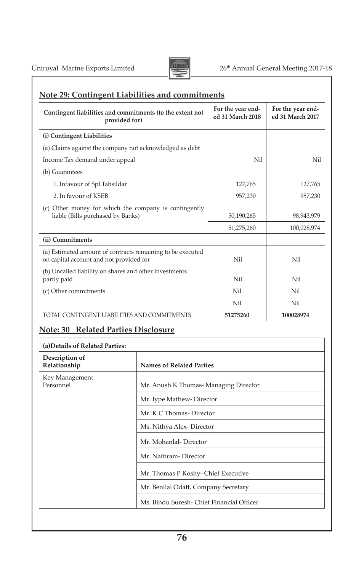

## **Note 29: Contingent Liabilities and commitments**

| Contingent liabilities and commitments (to the extent not<br>provided for)                            | For the year end-<br>ed 31 March 2018 | For the year end-<br>ed 31 March 2017 |
|-------------------------------------------------------------------------------------------------------|---------------------------------------|---------------------------------------|
| (i) Contingent Liabilities                                                                            |                                       |                                       |
| (a) Claims against the company not acknowledged as debt                                               |                                       |                                       |
| Income Tax demand under appeal                                                                        | Ni1                                   | Nil                                   |
| (b) Guarantees                                                                                        |                                       |                                       |
| 1. Infavour of Spl.Tahsildar                                                                          | 127.765                               | 127,765                               |
| 2. In favour of KSEB                                                                                  | 957,230                               | 957,230                               |
| (c) Other money for which the company is contingently<br>liable (Bills purchased by Banks)            | 50,190,265                            | 98,943,979                            |
|                                                                                                       | 51,275,260                            | 100,028,974                           |
| (ii) Commitments                                                                                      |                                       |                                       |
| (a) Estimated amount of contracts remaining to be executed<br>on capital account and not provided for | Nil                                   | Nil                                   |
| (b) Uncalled liability on shares and other investments<br>partly paid                                 | Nil                                   | Nil                                   |
| (c) Other commitments                                                                                 | Nil                                   | Nil                                   |
|                                                                                                       | Nil                                   | Nil                                   |
| TOTAL CONTINGENT LIABILITIES AND COMMITMENTS                                                          | 51275260                              | 100028974                             |

# **Note: 30 Related Parties Disclosure**

| <b>Names of Related Parties</b>           |
|-------------------------------------------|
| Mr. Anush K Thomas- Managing Director     |
| Mr. Iype Mathew-Director                  |
| Mr. K C Thomas-Director                   |
| Ms. Nithya Alex-Director                  |
| Mr. Mohanlal-Director                     |
| Mr. Nathram-Director                      |
| Mr. Thomas P Koshy- Chief Executive       |
| Mr. Benilal Odatt, Company Secretary      |
| Ms. Bindu Suresh- Chief Financial Officer |
|                                           |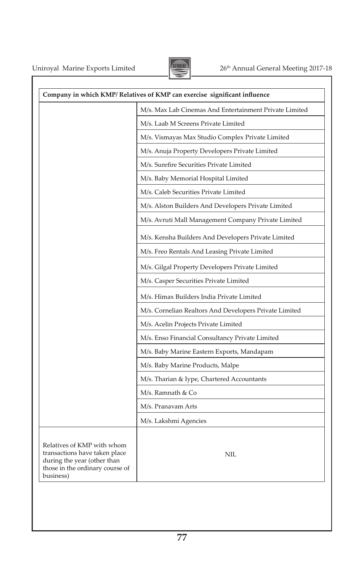

|                                                                                                                                            | Company in which KMP/ Relatives of KMP can exercise significant influence |
|--------------------------------------------------------------------------------------------------------------------------------------------|---------------------------------------------------------------------------|
|                                                                                                                                            | M/s. Max Lab Cinemas And Entertainment Private Limited                    |
|                                                                                                                                            | M/s. Laab M Screens Private Limited                                       |
|                                                                                                                                            | M/s. Vismayas Max Studio Complex Private Limited                          |
|                                                                                                                                            | M/s. Anuja Property Developers Private Limited                            |
|                                                                                                                                            | M/s. Surefire Securities Private Limited                                  |
|                                                                                                                                            | M/s. Baby Memorial Hospital Limited                                       |
|                                                                                                                                            | M/s. Caleb Securities Private Limited                                     |
|                                                                                                                                            | M/s. Alston Builders And Developers Private Limited                       |
|                                                                                                                                            | M/s. Avruti Mall Management Company Private Limited                       |
|                                                                                                                                            | M/s. Kensha Builders And Developers Private Limited                       |
|                                                                                                                                            | M/s. Freo Rentals And Leasing Private Limited                             |
|                                                                                                                                            | M/s. Gilgal Property Developers Private Limited                           |
|                                                                                                                                            | M/s. Casper Securities Private Limited                                    |
|                                                                                                                                            | M/s. Himax Builders India Private Limited                                 |
|                                                                                                                                            | M/s. Cornelian Realtors And Developers Private Limited                    |
|                                                                                                                                            | M/s. Acelin Projects Private Limited                                      |
|                                                                                                                                            | M/s. Enso Financial Consultancy Private Limited                           |
|                                                                                                                                            | M/s. Baby Marine Eastern Exports, Mandapam                                |
|                                                                                                                                            | M/s. Baby Marine Products, Malpe                                          |
|                                                                                                                                            | M/s. Tharian & Iype, Chartered Accountants                                |
|                                                                                                                                            | M/s. Ramnath & Co                                                         |
|                                                                                                                                            | M/s. Pranavam Arts                                                        |
|                                                                                                                                            | M/s. Lakshmi Agencies                                                     |
| Relatives of KMP with whom<br>transactions have taken place<br>during the year (other than<br>those in the ordinary course of<br>business) | <b>NIL</b>                                                                |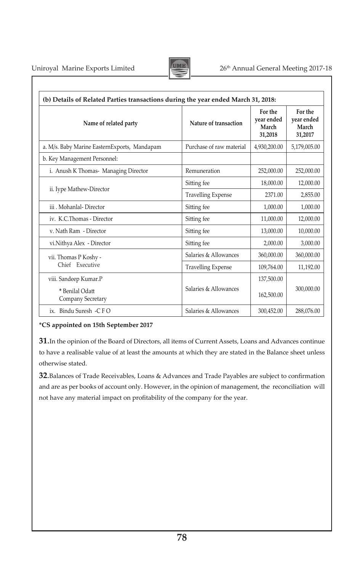

| (b) Details of Related Parties transactions during the year ended March 31, 2018: |                           |                                           |                                           |
|-----------------------------------------------------------------------------------|---------------------------|-------------------------------------------|-------------------------------------------|
| Name of related party                                                             | Nature of transaction     | For the<br>year ended<br>March<br>31,2018 | For the<br>year ended<br>March<br>31,2017 |
| a. M/s. Baby Marine EasternExports, Mandapam                                      | Purchase of raw material  | 4,930,200.00                              | 5,179,005.00                              |
| b. Key Management Personnel:                                                      |                           |                                           |                                           |
| i. Anush K Thomas- Managing Director                                              | Remuneration              | 252,000.00                                | 252,000.00                                |
|                                                                                   | Sitting fee               | 18,000.00                                 | 12,000.00                                 |
| ii. Iype Mathew-Director                                                          | <b>Travelling Expense</b> | 2371.00                                   | 2,855.00                                  |
| iii Mohanlal-Director                                                             | Sitting fee               | 1,000.00                                  | 1,000.00                                  |
| iv. K.C.Thomas - Director                                                         | Sitting fee               | 11,000.00                                 | 12,000.00                                 |
| v. Nath Ram - Director                                                            | Sitting fee               | 13,000.00                                 | 10,000.00                                 |
| vi.Nithya Alex - Director                                                         | Sitting fee               | 2,000.00                                  | 3,000.00                                  |
| vii. Thomas P Koshy -                                                             | Salaries & Allowances     | 360.000.00                                | 360,000.00                                |
| Chief Executive                                                                   | <b>Travelling Expense</b> | 109,764.00                                | 11,192.00                                 |
| viii. Sandeep Kumar.P                                                             |                           | 137,500.00                                |                                           |
| * Benilal Odatt<br>Company Secretary                                              | Salaries & Allowances     | 162,500.00                                | 300,000.00                                |
| ix. Bindu Suresh $-CFO$                                                           | Salaries & Allowances     | 300,452.00                                | 288,076.00                                |

#### **\*CS appointed on 15th September 2017**

**31**.In the opinion of the Board of Directors, all items of Current Assets, Loans and Advances continue to have a realisable value of at least the amounts at which they are stated in the Balance sheet unless otherwise stated.

**32**.Balances of Trade Receivables, Loans & Advances and Trade Payables are subject to confirmation and are as per books of account only. However, in the opinion of management, the reconciliation will not have any material impact on profitability of the company for the year.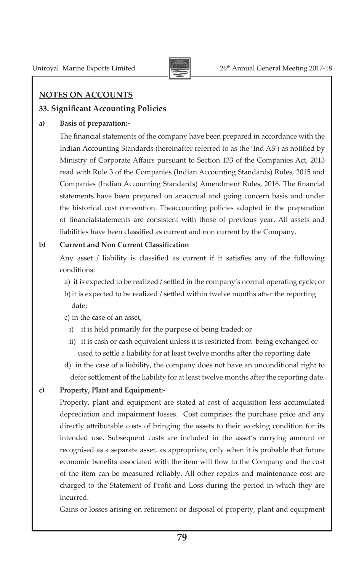

## **NOTES ON ACCOUNTS**

## **33. Significant Accounting Policies**

#### **a) Basis of preparation:-**

 The financial statements of the company have been prepared in accordance with the Indian Accounting Standards (hereinafter referred to as the 'Ind AS') as notified by Ministry of Corporate Affairs pursuant to Section 133 of the Companies Act, 2013 read with Rule 3 of the Companies (Indian Accounting Standards) Rules, 2015 and Companies (Indian Accounting Standards) Amendment Rules, 2016. The financial statements have been prepared on anaccrual and going concern basis and under the historical cost convention. Theaccounting policies adopted in the preparation of financialstatements are consistent with those of previous year. All assets and liabilities have been classified as current and non current by the Company.

### **b) Current and Non Current Classification**

 Any asset / liability is classified as current if it satisfies any of the following conditions:

- a) it is expected to be realized / settled in the company's normal operating cycle; or
- b) it is expected to be realized / settled within twelve months after the reporting date;
- c) in the case of an asset,
	- i) it is held primarily for the purpose of being traded; or
	- ii) it is cash or cash equivalent unless it is restricted from being exchanged or used to settle a liability for at least twelve months after the reporting date
- d) in the case of a liability, the company does not have an unconditional right to defer settlement of the liability for at least twelve months after the reporting date.

## **c) Property, Plant and Equipment:-**

 Property, plant and equipment are stated at cost of acquisition less accumulated depreciation and impairment losses. Cost comprises the purchase price and any directly attributable costs of bringing the assets to their working condition for its intended use. Subsequent costs are included in the asset's carrying amount or recognised as a separate asset, as appropriate, only when it is probable that future economic benefits associated with the item will flow to the Company and the cost of the item can be measured reliably. All other repairs and maintenance cost are charged to the Statement of Profit and Loss during the period in which they are incurred.

 Gains or losses arising on retirement or disposal of property, plant and equipment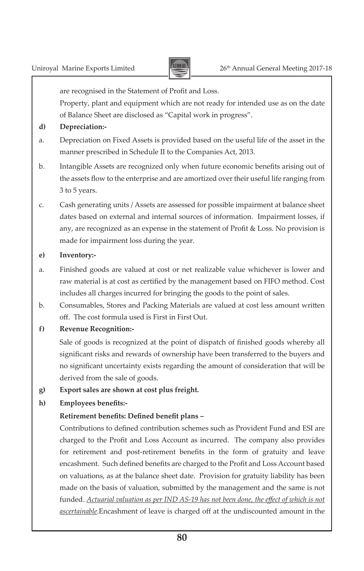

are recognised in the Statement of Profit and Loss.

 Property, plant and equipment which are not ready for intended use as on the date of Balance Sheet are disclosed as "Capital work in progress".

- **d) Depreciation:-**
- a. Depreciation on Fixed Assets is provided based on the useful life of the asset in the manner prescribed in Schedule II to the Companies Act, 2013.
- b. Intangible Assets are recognized only when future economic benefits arising out of the assets flow to the enterprise and are amortized over their useful life ranging from 3 to 5 years.
- c. Cash generating units / Assets are assessed for possible impairment at balance sheet dates based on external and internal sources of information. Impairment losses, if any, are recognized as an expense in the statement of Profit & Loss. No provision is made for impairment loss during the year.
- **e) Inventory:-**
- a. Finished goods are valued at cost or net realizable value whichever is lower and raw material is at cost as certified by the management based on FIFO method. Cost includes all charges incurred for bringing the goods to the point of sales.
- b. Consumables, Stores and Packing Materials are valued at cost less amount written off. The cost formula used is First in First Out.
- **f) Revenue Recognition:-**

 Sale of goods is recognized at the point of dispatch of finished goods whereby all significant risks and rewards of ownership have been transferred to the buyers and no significant uncertainty exists regarding the amount of consideration that will be derived from the sale of goods.

**g) Export sales are shown at cost plus freight.**

#### **h) Employees benefits:-**

#### **Retirement benefits: Defined benefit plans –**

 Contributions to defined contribution schemes such as Provident Fund and ESI are charged to the Profit and Loss Account as incurred. The company also provides for retirement and post-retirement benefits in the form of gratuity and leave encashment. Such defined benefits are charged to the Profit and Loss Account based on valuations, as at the balance sheet date. Provision for gratuity liability has been made on the basis of valuation, submitted by the management and the same is not funded. *Actuarial valuation as per IND AS-19 has not been done, the effect of which is not ascertainable*.Encashment of leave is charged off at the undiscounted amount in the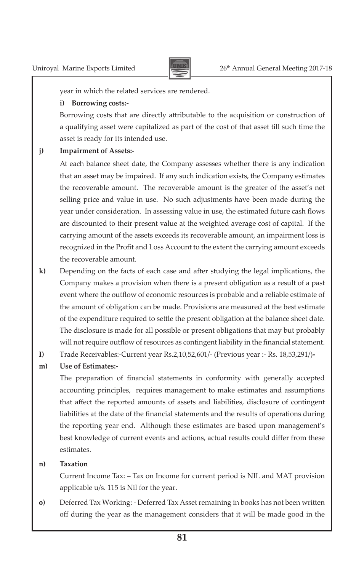

year in which the related services are rendered.

#### **i) Borrowing costs:-**

 Borrowing costs that are directly attributable to the acquisition or construction of a qualifying asset were capitalized as part of the cost of that asset till such time the asset is ready for its intended use.

#### **j) Impairment of Assets:-**

 At each balance sheet date, the Company assesses whether there is any indication that an asset may be impaired. If any such indication exists, the Company estimates the recoverable amount. The recoverable amount is the greater of the asset's net selling price and value in use. No such adjustments have been made during the year under consideration. In assessing value in use, the estimated future cash flows are discounted to their present value at the weighted average cost of capital. If the carrying amount of the assets exceeds its recoverable amount, an impairment loss is recognized in the Profit and Loss Account to the extent the carrying amount exceeds the recoverable amount.

- **k)** Depending on the facts of each case and after studying the legal implications, the Company makes a provision when there is a present obligation as a result of a past event where the outflow of economic resources is probable and a reliable estimate of the amount of obligation can be made. Provisions are measured at the best estimate of the expenditure required to settle the present obligation at the balance sheet date. The disclosure is made for all possible or present obligations that may but probably will not require outflow of resources as contingent liability in the financial statement.
- **I)** Trade Receivables:-Current year Rs.2,10,52,601/- (Previous year :- Rs. 18,53,291/)**-**

#### **m) Use of Estimates:-**

 The preparation of financial statements in conformity with generally accepted accounting principles, requires management to make estimates and assumptions that affect the reported amounts of assets and liabilities, disclosure of contingent liabilities at the date of the financial statements and the results of operations during the reporting year end. Although these estimates are based upon management's best knowledge of current events and actions, actual results could differ from these estimates.

#### **n) Taxation**

 Current Income Tax: – Tax on Income for current period is NIL and MAT provision applicable u/s. 115 is Nil for the year.

**o)** Deferred Tax Working: - Deferred Tax Asset remaining in books has not been written off during the year as the management considers that it will be made good in the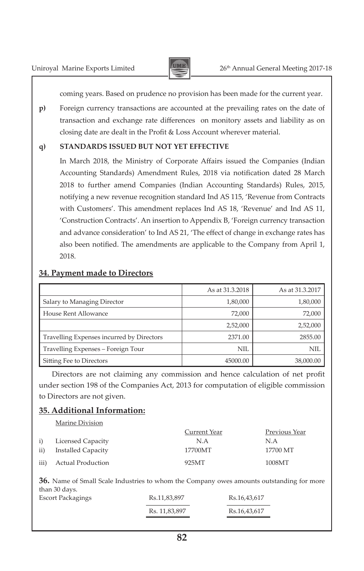

coming years. Based on prudence no provision has been made for the current year.

**p)** Foreign currency transactions are accounted at the prevailing rates on the date of transaction and exchange rate differences on monitory assets and liability as on closing date are dealt in the Profit & Loss Account wherever material.

#### **q) STANDARDS ISSUED BUT NOT YET EFFECTIVE**

 In March 2018, the Ministry of Corporate Affairs issued the Companies (Indian Accounting Standards) Amendment Rules, 2018 via notification dated 28 March 2018 to further amend Companies (Indian Accounting Standards) Rules, 2015, notifying a new revenue recognition standard Ind AS 115, 'Revenue from Contracts with Customers'. This amendment replaces Ind AS 18, 'Revenue' and Ind AS 11, 'Construction Contracts'. An insertion to Appendix B, 'Foreign currency transaction and advance consideration' to Ind AS 21, 'The effect of change in exchange rates has also been notified. The amendments are applicable to the Company from April 1, 2018.

#### **34. Payment made to Directors**

|                                           | As at 31.3.2018 | As at 31.3.2017 |
|-------------------------------------------|-----------------|-----------------|
| Salary to Managing Director               | 1,80,000        | 1,80,000        |
| House Rent Allowance                      | 72.000          | 72,000          |
|                                           | 2,52,000        | 2,52,000        |
| Travelling Expenses incurred by Directors | 2371.00         | 2855.00         |
| Travelling Expenses - Foreign Tour        | NIL.            | NIL             |
| Sitting Fee to Directors                  | 45000.00        | 38,000.00       |

Directors are not claiming any commission and hence calculation of net profit under section 198 of the Companies Act, 2013 for computation of eligible commission to Directors are not given.

## **35. Additional Information:**

Marine Division

|                 | Marine Division    |              |               |
|-----------------|--------------------|--------------|---------------|
|                 |                    | Current Year | Previous Year |
| i)              | Licensed Capacity  | N.A          | N.A           |
| $\overline{11}$ | Installed Capacity | 17700MT      | 17700 MT      |
| iii)            | Actual Production  | 925MT        | 1008MT        |

**36.** Name of Small Scale Industries to whom the Company owes amounts outstanding for more than 30 days. 

| Escort Packagings | Rs.11,83,897  | Rs.16,43,617 |
|-------------------|---------------|--------------|
|                   | Rs. 11,83,897 | Rs.16.43.617 |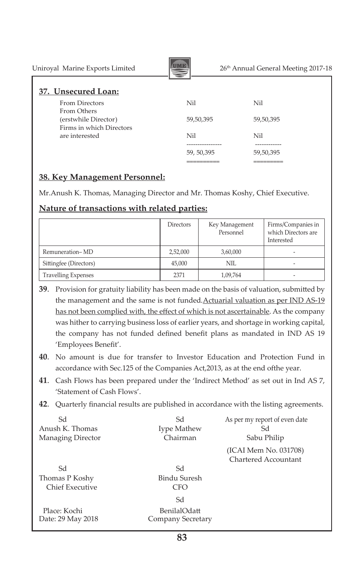| Uniroyal Marine Exports Limited                  |             | 26 <sup>th</sup> Annual General Meeting 2017-18 |  |  |  |
|--------------------------------------------------|-------------|-------------------------------------------------|--|--|--|
| 37. Unsecured Loan:                              |             |                                                 |  |  |  |
| <b>From Directors</b><br>From Others             | Nil         | Nil                                             |  |  |  |
| (erstwhile Director)<br>Firms in which Directors | 59,50,395   | 59,50,395                                       |  |  |  |
| are interested                                   | Nil         | Nil                                             |  |  |  |
|                                                  | 59, 50, 395 | 59,50,395                                       |  |  |  |

## **38. Key Management Personnel:**

Mr.Anush K. Thomas, Managing Director and Mr. Thomas Koshy, Chief Executive.

 ========== =========

#### **Nature of transactions with related parties:**

|                            | Directors | Key Management<br>Personnel | Firms/Companies in<br>which Directors are<br>Interested |
|----------------------------|-----------|-----------------------------|---------------------------------------------------------|
| Remuneration-MD            | 2,52,000  | 3,60,000                    | -                                                       |
| Sittingfee (Directors)     | 45.000    | NIL                         | -                                                       |
| <b>Travelling Expenses</b> | 2371      | 1,09,764                    |                                                         |

**39**. Provision for gratuity liability has been made on the basis of valuation, submitted by the management and the same is not funded*.*Actuarial valuation as per IND AS-19 has not been complied with, the effect of which is not ascertainable. As the company was hither to carrying business loss of earlier years, and shortage in working capital, the company has not funded defined benefit plans as mandated in IND AS 19 'Employees Benefit'.

- **40**. No amount is due for transfer to Investor Education and Protection Fund in accordance with Sec.125 of the Companies Act,2013, as at the end ofthe year.
- **41**. Cash Flows has been prepared under the 'Indirect Method' as set out in Ind AS 7, 'Statement of Cash Flows'.
- **42**. Quarterly financial results are published in accordance with the listing agreements.

| Sd<br>Anush K. Thomas<br>Managing Director | Sd<br>Iype Mathew<br>Chairman           | As per my report of even date<br>Sd<br>Sabu Philip |
|--------------------------------------------|-----------------------------------------|----------------------------------------------------|
| Sd                                         | Sd                                      | (ICAI Mem No. 031708)<br>Chartered Accountant      |
| Thomas P Koshy<br>Chief Executive          | Bindu Suresh<br><b>CFO</b>              |                                                    |
| Place: Kochi<br>Date: 29 May 2018          | Sd<br>BenilalOdatt<br>Company Secretary |                                                    |

**83**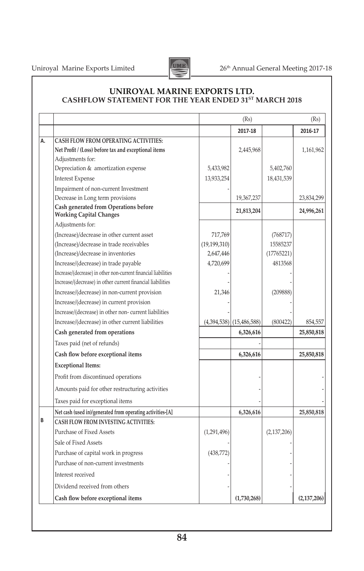

#### **UNIROYAL MARINE EXPORTS LTD. CASHFLOW STATEMENT FOR THE YEAR ENDED 31ST MARCH 2018**

|    |                                                                                |                | (Rs)                       |               | (Rs)          |
|----|--------------------------------------------------------------------------------|----------------|----------------------------|---------------|---------------|
|    |                                                                                |                | 2017-18                    |               | 2016-17       |
| А. | <b>CASH FLOW FROM OPERATING ACTIVITIES:</b>                                    |                |                            |               |               |
|    | Net Profit / (Loss) before tax and exceptional items                           |                | 2,445,968                  |               | 1,161,962     |
|    | Adjustments for:                                                               |                |                            |               |               |
|    | Depreciation & amortization expense                                            | 5,433,982      |                            | 5,402,760     |               |
|    | <b>Interest Expense</b>                                                        | 13,933,254     |                            | 18,431,539    |               |
|    | Impairment of non-current Investment                                           |                |                            |               |               |
|    | Decrease in Long term provisions                                               |                | 19,367,237                 |               | 23,834,299    |
|    | <b>Cash generated from Operations before</b><br><b>Working Capital Changes</b> |                | 21,813,204                 |               | 24,996,261    |
|    | Adjustments for:                                                               |                |                            |               |               |
|    | (Increase)/decrease in other current asset                                     | 717,769        |                            | (768717)      |               |
|    | (Increase)/decrease in trade receivables                                       | (19, 199, 310) |                            | 15585237      |               |
|    | (Increase)/decrease in inventories                                             | 2,647,446      |                            | (17765221)    |               |
|    | Increase/(decrease) in trade payable                                           | 4,720,699      |                            | 4813568       |               |
|    | Increase/(decrease) in other non-current financial liabilities                 |                |                            |               |               |
|    | Increase/(decrease) in other current financial liabilities                     |                |                            |               |               |
|    | Increase/(decrease) in non-current provision                                   | 21,346         |                            | (209888)      |               |
|    | Increase/(decrease) in current provision                                       |                |                            |               |               |
|    | Increase/(decrease) in other non-current liabilities                           |                |                            |               |               |
|    | Increase/(decrease) in other current liabilities                               |                | $(4,394,538)$ (15,486,588) | (800422)      | 854,557       |
|    | Cash generated from operations                                                 |                | 6,326,616                  |               | 25,850,818    |
|    | Taxes paid (net of refunds)                                                    |                |                            |               |               |
|    | Cash flow before exceptional items                                             |                | 6,326,616                  |               | 25,850,818    |
|    | <b>Exceptional Items:</b>                                                      |                |                            |               |               |
|    | Profit from discontinued operations                                            |                |                            |               |               |
|    | Amounts paid for other restructuring activities                                |                |                            |               |               |
|    | Taxes paid for exceptional items                                               |                |                            |               |               |
|    | Net cash (used in)/generated from operating activities-[A]                     |                | 6,326,616                  |               | 25,850,818    |
| В  | <b>CASH FLOW FROM INVESTING ACTIVITIES:</b>                                    |                |                            |               |               |
|    | Purchase of Fixed Assets                                                       | (1,291,496)    |                            | (2, 137, 206) |               |
|    | Sale of Fixed Assets                                                           |                |                            |               |               |
|    | Purchase of capital work in progress                                           | (438,772)      |                            |               |               |
|    | Purchase of non-current investments                                            |                |                            |               |               |
|    | Interest received                                                              |                |                            |               |               |
|    | Dividend received from others                                                  |                |                            |               |               |
|    | Cash flow before exceptional items                                             |                | (1,730,268)                |               | (2, 137, 206) |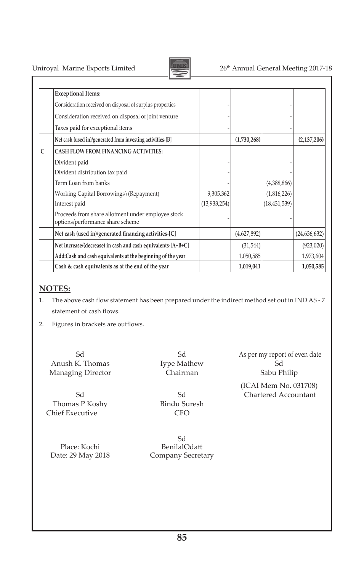

# Uniroyal Marine Exports Limited 26<sup>th</sup> Annual General Meeting 2017-18

|   | <b>Exceptional Items:</b>                                                              |                |             |                |                |
|---|----------------------------------------------------------------------------------------|----------------|-------------|----------------|----------------|
|   | Consideration received on disposal of surplus properties                               |                |             |                |                |
|   | Consideration received on disposal of joint venture                                    |                |             |                |                |
|   | Taxes paid for exceptional items                                                       |                |             |                |                |
|   | Net cash (used in)/generated from investing activities-[B]                             |                | (1,730,268) |                | (2, 137, 206)  |
| C | <b>CASH FLOW FROM FINANCING ACTIVITIES:</b>                                            |                |             |                |                |
|   | Divident paid                                                                          |                |             |                |                |
|   | Divident distribution tax paid                                                         |                |             |                |                |
|   | Term Loan from banks                                                                   |                |             | (4,388,866)    |                |
|   | Working Capital Borrowings\(Repayment)                                                 | 9,305,362      |             | (1,816,226)    |                |
|   | Interest paid                                                                          | (13, 933, 254) |             | (18, 431, 539) |                |
|   | Proceeds from share allotment under employee stock<br>options/performance share scheme |                |             |                |                |
|   | Net cash (used in)/generated financing activities-[C]                                  |                | (4,627,892) |                | (24, 636, 632) |
|   | Net increase/(decrease) in cash and cash equivalents-[A+B+C]                           |                | (31, 544)   |                | (923, 020)     |
|   | Add:Cash and cash equivalents at the beginning of the year                             |                | 1,050,585   |                | 1,973,604      |
|   | Cash & cash equivalents as at the end of the year                                      |                | 1,019,041   |                | 1,050,585      |

#### **NOTES:**

- 1. The above cash flow statement has been prepared under the indirect method set out in IND AS 7 statement of cash flows.
- 2. Figures in brackets are outflows.

Anush K. Thomas Mathew Sd<br>
Managing Director Chairman Sabu Philip Managing Director **Chairman** 

Thomas P Koshy Chief Executive CFO 

Place: Kochi BenilalOdatt<br>
Date: 29 May 2018 Company Secret

Sd State State State State State State State State State State State State State State State State State State State State State State State State State State State State State State State State State State State State Sta Company Secretary

Sd Sd As per my report of even date

Sd (ICAI Mem No. 031708)<br>Sd Chartered Accountant Sd Chartered Accountant<br>Bindu Suresh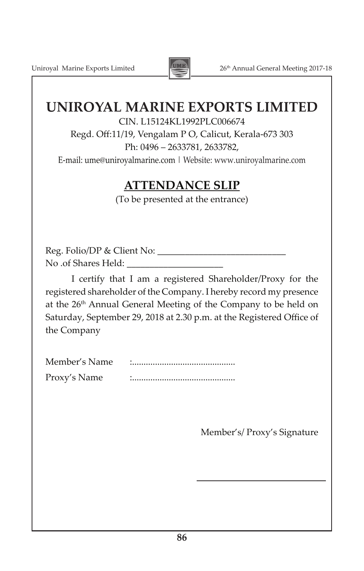Uniroyal Marine Exports Limited 2017-18



# **UNIROYAL MARINE EXPORTS LIMITED**

CIN. L15124KL1992PLC006674

Regd. Off:11/19, Vengalam P O, Calicut, Kerala-673 303 Ph: 0496 – 2633781, 2633782,

E-mail: ume@uniroyalmarine.com | Website: www.uniroyalmarine.com

# **ATTENDANCE SLIP**

(To be presented at the entrance)

Reg. Folio/DP & Client No: \_\_\_\_\_\_\_\_\_\_\_\_\_\_\_\_\_\_\_\_\_\_\_\_\_\_\_\_ No .of Shares Held:

I certify that I am a registered Shareholder/Proxy for the registered shareholder of the Company. I hereby record my presence at the 26<sup>th</sup> Annual General Meeting of the Company to be held on Saturday, September 29, 2018 at 2.30 p.m. at the Registered Office of the Company

| Member's Name |   |
|---------------|---|
| Proxy's Name  | ٠ |

Member's/ Proxy's Signature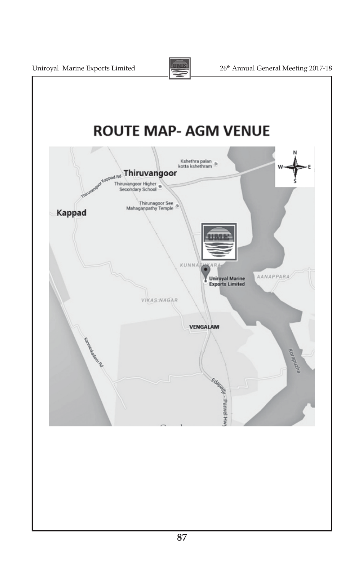

Uniroyal Marine Exports Limited 20th 26<sup>th</sup> Annual General Meeting 2017-18

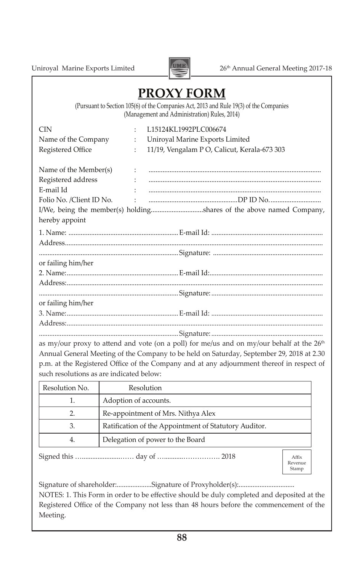Uniroyal Marine Exports Limited 2017-18



# **PROXY FORM**

(Pursuant to Section 105(6) of the Companies Act, 2013 and Rule 19(3) of the Companies (Management and Administration) Rules, 2014)

| <b>CIN</b>                                                                 | $\ddot{\cdot}$ | L15124KL1992PLC006674                                                                                 |  |  |
|----------------------------------------------------------------------------|----------------|-------------------------------------------------------------------------------------------------------|--|--|
| Name of the Company                                                        | $\ddot{\cdot}$ | Uniroyal Marine Exports Limited                                                                       |  |  |
| Registered Office                                                          | $\ddot{\cdot}$ | 11/19, Vengalam P O, Calicut, Kerala-673 303                                                          |  |  |
| Name of the Member(s)                                                      | $\sim$ 10      |                                                                                                       |  |  |
| Registered address                                                         |                |                                                                                                       |  |  |
| E-mail Id                                                                  |                |                                                                                                       |  |  |
| Folio No. /Client ID No.                                                   |                |                                                                                                       |  |  |
|                                                                            |                | I/We, being the member(s) holdingshares of the above named Company,                                   |  |  |
| hereby appoint                                                             |                |                                                                                                       |  |  |
|                                                                            |                |                                                                                                       |  |  |
|                                                                            |                |                                                                                                       |  |  |
|                                                                            |                |                                                                                                       |  |  |
| or failing him/her                                                         |                |                                                                                                       |  |  |
|                                                                            |                |                                                                                                       |  |  |
|                                                                            |                |                                                                                                       |  |  |
|                                                                            |                |                                                                                                       |  |  |
| or failing him/her                                                         |                |                                                                                                       |  |  |
|                                                                            |                |                                                                                                       |  |  |
|                                                                            |                |                                                                                                       |  |  |
|                                                                            |                |                                                                                                       |  |  |
|                                                                            |                | as my/our proxy to attend and vote (on a poll) for me/us and on my/our behalf at the 26 <sup>th</sup> |  |  |
| $(10, 10)$ $(11, 0)$ $(1, 0)$ $(1, 1)$ $(1, 1)$ $(1, 0)$ $(1, 0)$ $(1, 0)$ |                |                                                                                                       |  |  |

Annual General Meeting of the Company to be held on Saturday, September 29, 2018 at 2.30 p.m. at the Registered Office of the Company and at any adjournment thereof in respect of such resolutions as are indicated below:

| Resolution No. | Resolution                                            |
|----------------|-------------------------------------------------------|
|                | Adoption of accounts.                                 |
|                | Re-appointment of Mrs. Nithya Alex                    |
| 3.             | Ratification of the Appointment of Statutory Auditor. |
| 4.             | Delegation of power to the Board                      |
|                |                                                       |

Signed this …......................…… day of …...........……………. 2018

Affix Revenue Stamp

Signature of shareholder:....................Signature of Proxyholder(s):................................ NOTES: 1. This Form in order to be effective should be duly completed and deposited at the Registered Office of the Company not less than 48 hours before the commencement of the Meeting.